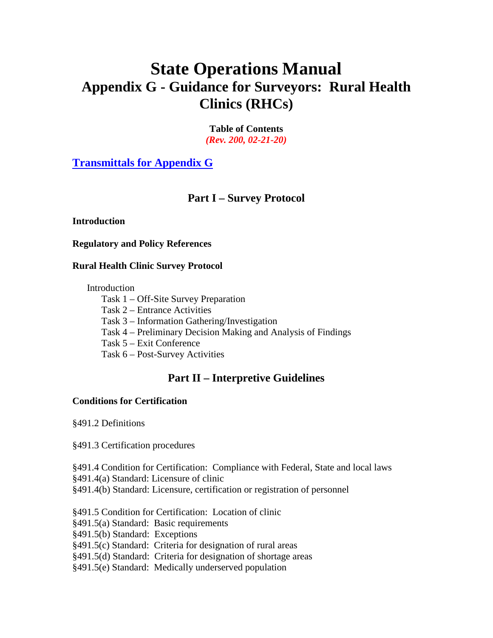# **State Operations Manual Appendix G - Guidance for Surveyors: Rural Health Clinics (RHCs)**

**Table of Contents** *(Rev. 200, 02-21-20)*

**[Transmittals for Appendix G](#page-1-0)**

# **Part I – Survey Protocol**

#### **Introduction**

**Regulatory and Policy References**

#### **Rural Health Clinic Survey Protocol**

Introduction

Task 1 – Off-Site Survey Preparation

Task 2 – Entrance Activities

Task 3 – Information Gathering/Investigation

Task 4 – Preliminary Decision Making and Analysis of Findings

Task 5 – Exit Conference

Task 6 – Post-Survey Activities

# **Part II – Interpretive Guidelines**

#### **Conditions for Certification**

§491.2 Definitions

§491.3 Certification procedures

§491.4 Condition for Certification: Compliance with Federal, State and local laws

§491.4(a) Standard: Licensure of clinic

§491.4(b) Standard: Licensure, certification or registration of personnel

§491.5 Condition for Certification: Location of clinic

§491.5(a) Standard: Basic requirements

§491.5(b) Standard: Exceptions

§491.5(c) Standard: Criteria for designation of rural areas

§491.5(d) Standard: Criteria for designation of shortage areas

§491.5(e) Standard: Medically underserved population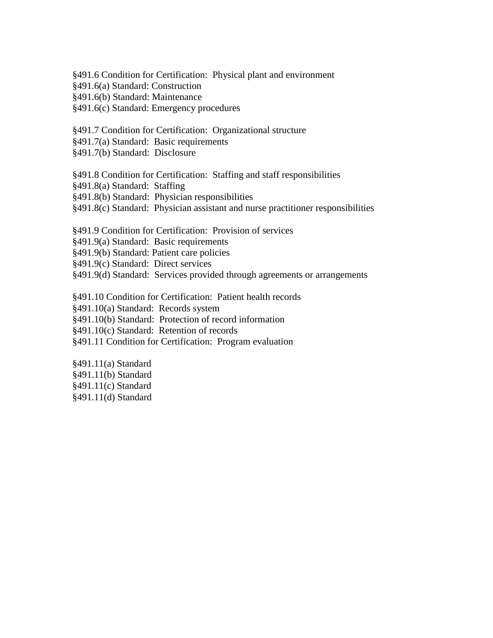§491.6 Condition for Certification: Physical plant and environment

§491.6(a) Standard: Construction

§491.6(b) Standard: Maintenance

§491.6(c) Standard: Emergency procedures

§491.7 Condition for Certification: Organizational structure

§491.7(a) Standard: Basic requirements

§491.7(b) Standard: Disclosure

§491.8 Condition for Certification: Staffing and staff responsibilities

§491.8(a) Standard: Staffing

§491.8(b) Standard: Physician responsibilities

§491.8(c) Standard: Physician assistant and nurse practitioner responsibilities

§491.9 Condition for Certification: Provision of services

§491.9(a) Standard: Basic requirements

§491.9(b) Standard: Patient care policies

§491.9(c) Standard: Direct services

§491.9(d) Standard: Services provided through agreements or arrangements

§491.10 Condition for Certification: Patient health records

§491.10(a) Standard: Records system

§491.10(b) Standard: Protection of record information

§491.10(c) Standard: Retention of records

§491.11 Condition for Certification: Program evaluation

<span id="page-1-0"></span>§491.11(a) Standard §491.11(b) Standard §491.11(c) Standard §491.11(d) Standard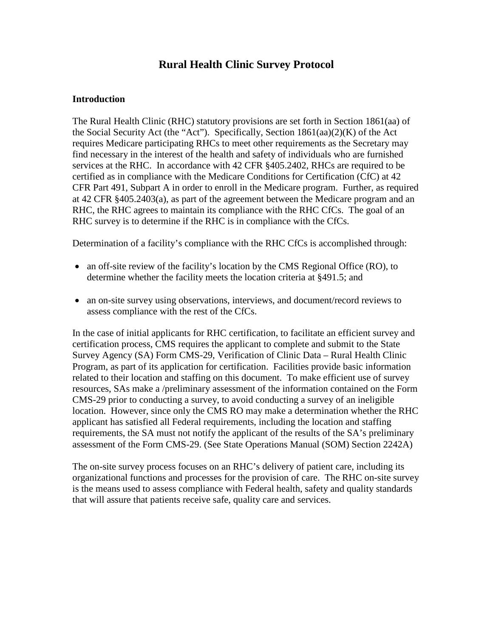# **Rural Health Clinic Survey Protocol**

#### **Introduction**

The Rural Health Clinic (RHC) statutory provisions are set forth in Section 1861(aa) of the Social Security Act (the "Act"). Specifically, Section 1861(aa)(2)(K) of the Act requires Medicare participating RHCs to meet other requirements as the Secretary may find necessary in the interest of the health and safety of individuals who are furnished services at the RHC. In accordance with 42 CFR §405.2402, RHCs are required to be certified as in compliance with the Medicare Conditions for Certification (CfC) at 42 CFR Part 491, Subpart A in order to enroll in the Medicare program. Further, as required at 42 CFR §405.2403(a), as part of the agreement between the Medicare program and an RHC, the RHC agrees to maintain its compliance with the RHC CfCs. The goal of an RHC survey is to determine if the RHC is in compliance with the CfCs.

Determination of a facility's compliance with the RHC CfCs is accomplished through:

- an off-site review of the facility's location by the CMS Regional Office (RO), to determine whether the facility meets the location criteria at §491.5; and
- an on-site survey using observations, interviews, and document/record reviews to assess compliance with the rest of the CfCs.

In the case of initial applicants for RHC certification, to facilitate an efficient survey and certification process, CMS requires the applicant to complete and submit to the State Survey Agency (SA) Form CMS-29, Verification of Clinic Data – Rural Health Clinic Program, as part of its application for certification. Facilities provide basic information related to their location and staffing on this document. To make efficient use of survey resources, SAs make a /preliminary assessment of the information contained on the Form CMS-29 prior to conducting a survey, to avoid conducting a survey of an ineligible location. However, since only the CMS RO may make a determination whether the RHC applicant has satisfied all Federal requirements, including the location and staffing requirements, the SA must not notify the applicant of the results of the SA's preliminary assessment of the Form CMS-29. (See State Operations Manual (SOM) Section 2242A)

The on-site survey process focuses on an RHC's delivery of patient care, including its organizational functions and processes for the provision of care. The RHC on-site survey is the means used to assess compliance with Federal health, safety and quality standards that will assure that patients receive safe, quality care and services.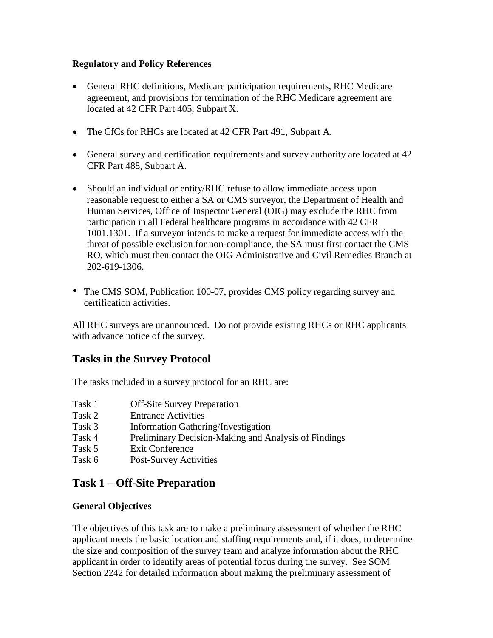#### **Regulatory and Policy References**

- General RHC definitions, Medicare participation requirements, RHC Medicare agreement, and provisions for termination of the RHC Medicare agreement are located at 42 CFR Part 405, Subpart X.
- The CfCs for RHCs are located at 42 CFR Part 491, Subpart A.
- General survey and certification requirements and survey authority are located at 42 CFR Part 488, Subpart A.
- Should an individual or entity/RHC refuse to allow immediate access upon reasonable request to either a SA or CMS surveyor, the Department of Health and Human Services, Office of Inspector General (OIG) may exclude the RHC from participation in all Federal healthcare programs in accordance with 42 CFR 1001.1301. If a surveyor intends to make a request for immediate access with the threat of possible exclusion for non-compliance, the SA must first contact the CMS RO, which must then contact the OIG Administrative and Civil Remedies Branch at 202-619-1306.
- The CMS SOM, Publication 100-07, provides CMS policy regarding survey and certification activities.

All RHC surveys are unannounced. Do not provide existing RHCs or RHC applicants with advance notice of the survey.

# **Tasks in the Survey Protocol**

The tasks included in a survey protocol for an RHC are:

- Task 1 Off-Site Survey Preparation
- Task 2 Entrance Activities
- Task 3 Information Gathering/Investigation
- Task 4 Preliminary Decision-Making and Analysis of Findings
- Task 5 Exit Conference
- Task 6 Post-Survey Activities

# **Task 1 – Off-Site Preparation**

#### **General Objectives**

The objectives of this task are to make a preliminary assessment of whether the RHC applicant meets the basic location and staffing requirements and, if it does, to determine the size and composition of the survey team and analyze information about the RHC applicant in order to identify areas of potential focus during the survey. See SOM Section 2242 for detailed information about making the preliminary assessment of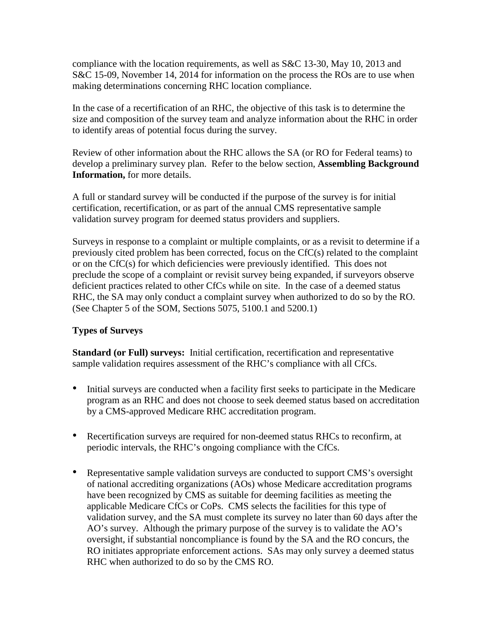compliance with the location requirements, as well as S&C 13-30, May 10, 2013 and S&C 15-09, November 14, 2014 for information on the process the ROs are to use when making determinations concerning RHC location compliance.

In the case of a recertification of an RHC, the objective of this task is to determine the size and composition of the survey team and analyze information about the RHC in order to identify areas of potential focus during the survey.

Review of other information about the RHC allows the SA (or RO for Federal teams) to develop a preliminary survey plan. Refer to the below section, **Assembling Background Information,** for more details.

A full or standard survey will be conducted if the purpose of the survey is for initial certification, recertification, or as part of the annual CMS representative sample validation survey program for deemed status providers and suppliers.

Surveys in response to a complaint or multiple complaints, or as a revisit to determine if a previously cited problem has been corrected, focus on the CfC(s) related to the complaint or on the CfC(s) for which deficiencies were previously identified. This does not preclude the scope of a complaint or revisit survey being expanded, if surveyors observe deficient practices related to other CfCs while on site. In the case of a deemed status RHC, the SA may only conduct a complaint survey when authorized to do so by the RO. (See Chapter 5 of the SOM, Sections 5075, 5100.1 and 5200.1)

#### **Types of Surveys**

**Standard (or Full) surveys:** Initial certification, recertification and representative sample validation requires assessment of the RHC's compliance with all CfCs.

- Initial surveys are conducted when a facility first seeks to participate in the Medicare program as an RHC and does not choose to seek deemed status based on accreditation by a CMS-approved Medicare RHC accreditation program.
- Recertification surveys are required for non-deemed status RHCs to reconfirm, at periodic intervals, the RHC's ongoing compliance with the CfCs.
- Representative sample validation surveys are conducted to support CMS's oversight of national accrediting organizations (AOs) whose Medicare accreditation programs have been recognized by CMS as suitable for deeming facilities as meeting the applicable Medicare CfCs or CoPs. CMS selects the facilities for this type of validation survey, and the SA must complete its survey no later than 60 days after the AO's survey. Although the primary purpose of the survey is to validate the AO's oversight, if substantial noncompliance is found by the SA and the RO concurs, the RO initiates appropriate enforcement actions. SAs may only survey a deemed status RHC when authorized to do so by the CMS RO.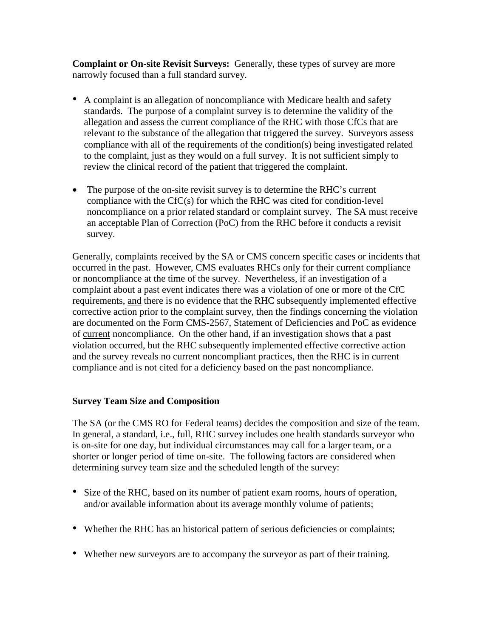**Complaint or On-site Revisit Surveys:** Generally, these types of survey are more narrowly focused than a full standard survey.

- A complaint is an allegation of noncompliance with Medicare health and safety standards. The purpose of a complaint survey is to determine the validity of the allegation and assess the current compliance of the RHC with those CfCs that are relevant to the substance of the allegation that triggered the survey. Surveyors assess compliance with all of the requirements of the condition(s) being investigated related to the complaint, just as they would on a full survey. It is not sufficient simply to review the clinical record of the patient that triggered the complaint.
- The purpose of the on-site revisit survey is to determine the RHC's current compliance with the CfC(s) for which the RHC was cited for condition-level noncompliance on a prior related standard or complaint survey. The SA must receive an acceptable Plan of Correction (PoC) from the RHC before it conducts a revisit survey.

Generally, complaints received by the SA or CMS concern specific cases or incidents that occurred in the past. However, CMS evaluates RHCs only for their current compliance or noncompliance at the time of the survey. Nevertheless, if an investigation of a complaint about a past event indicates there was a violation of one or more of the CfC requirements, and there is no evidence that the RHC subsequently implemented effective corrective action prior to the complaint survey, then the findings concerning the violation are documented on the Form CMS-2567, Statement of Deficiencies and PoC as evidence of current noncompliance. On the other hand, if an investigation shows that a past violation occurred, but the RHC subsequently implemented effective corrective action and the survey reveals no current noncompliant practices, then the RHC is in current compliance and is not cited for a deficiency based on the past noncompliance.

#### **Survey Team Size and Composition**

The SA (or the CMS RO for Federal teams) decides the composition and size of the team. In general, a standard, i.e., full, RHC survey includes one health standards surveyor who is on-site for one day, but individual circumstances may call for a larger team, or a shorter or longer period of time on-site. The following factors are considered when determining survey team size and the scheduled length of the survey:

- Size of the RHC, based on its number of patient exam rooms, hours of operation, and/or available information about its average monthly volume of patients;
- Whether the RHC has an historical pattern of serious deficiencies or complaints;
- Whether new surveyors are to accompany the surveyor as part of their training.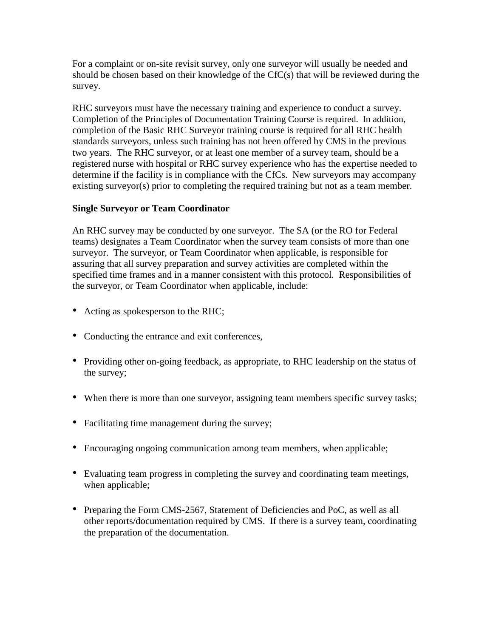For a complaint or on-site revisit survey, only one surveyor will usually be needed and should be chosen based on their knowledge of the CfC(s) that will be reviewed during the survey.

RHC surveyors must have the necessary training and experience to conduct a survey. Completion of the Principles of Documentation Training Course is required. In addition, completion of the Basic RHC Surveyor training course is required for all RHC health standards surveyors, unless such training has not been offered by CMS in the previous two years. The RHC surveyor, or at least one member of a survey team, should be a registered nurse with hospital or RHC survey experience who has the expertise needed to determine if the facility is in compliance with the CfCs. New surveyors may accompany existing surveyor(s) prior to completing the required training but not as a team member.

#### **Single Surveyor or Team Coordinator**

An RHC survey may be conducted by one surveyor. The SA (or the RO for Federal teams) designates a Team Coordinator when the survey team consists of more than one surveyor. The surveyor, or Team Coordinator when applicable, is responsible for assuring that all survey preparation and survey activities are completed within the specified time frames and in a manner consistent with this protocol. Responsibilities of the surveyor, or Team Coordinator when applicable, include:

- Acting as spokesperson to the RHC;
- Conducting the entrance and exit conferences,
- Providing other on-going feedback, as appropriate, to RHC leadership on the status of the survey;
- When there is more than one surveyor, assigning team members specific survey tasks;
- Facilitating time management during the survey;
- Encouraging ongoing communication among team members, when applicable;
- Evaluating team progress in completing the survey and coordinating team meetings, when applicable;
- Preparing the Form CMS-2567, Statement of Deficiencies and PoC, as well as all other reports/documentation required by CMS. If there is a survey team, coordinating the preparation of the documentation.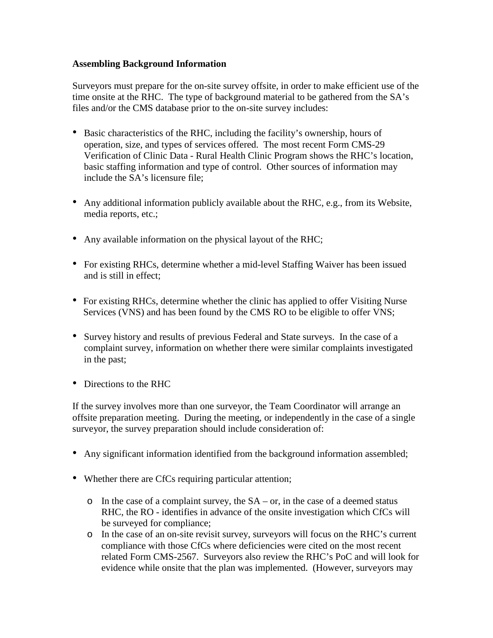#### **Assembling Background Information**

Surveyors must prepare for the on-site survey offsite, in order to make efficient use of the time onsite at the RHC. The type of background material to be gathered from the SA's files and/or the CMS database prior to the on-site survey includes:

- Basic characteristics of the RHC, including the facility's ownership, hours of operation, size, and types of services offered. The most recent Form CMS-29 Verification of Clinic Data - Rural Health Clinic Program shows the RHC's location, basic staffing information and type of control. Other sources of information may include the SA's licensure file;
- Any additional information publicly available about the RHC, e.g., from its Website, media reports, etc.;
- Any available information on the physical layout of the RHC;
- For existing RHCs, determine whether a mid-level Staffing Waiver has been issued and is still in effect;
- For existing RHCs, determine whether the clinic has applied to offer Visiting Nurse Services (VNS) and has been found by the CMS RO to be eligible to offer VNS;
- Survey history and results of previous Federal and State surveys. In the case of a complaint survey, information on whether there were similar complaints investigated in the past;
- Directions to the RHC

If the survey involves more than one surveyor, the Team Coordinator will arrange an offsite preparation meeting. During the meeting, or independently in the case of a single surveyor, the survey preparation should include consideration of:

- Any significant information identified from the background information assembled;
- Whether there are CfCs requiring particular attention;
	- $\circ$  In the case of a complaint survey, the SA or, in the case of a deemed status RHC, the RO - identifies in advance of the onsite investigation which CfCs will be surveyed for compliance;
	- o In the case of an on-site revisit survey, surveyors will focus on the RHC's current compliance with those CfCs where deficiencies were cited on the most recent related Form CMS-2567. Surveyors also review the RHC's PoC and will look for evidence while onsite that the plan was implemented. (However, surveyors may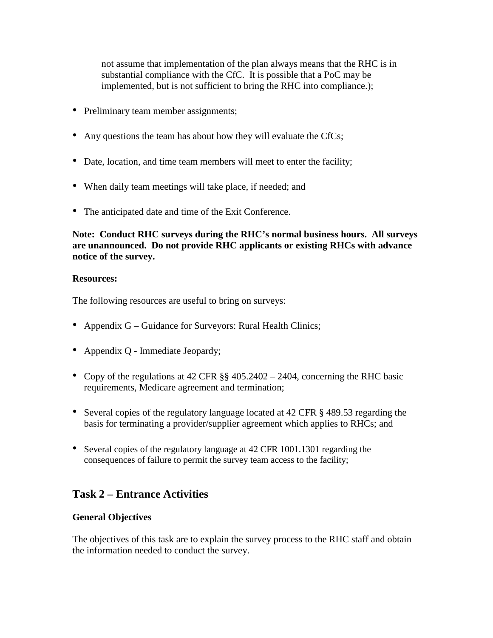not assume that implementation of the plan always means that the RHC is in substantial compliance with the CfC. It is possible that a PoC may be implemented, but is not sufficient to bring the RHC into compliance.);

- Preliminary team member assignments;
- Any questions the team has about how they will evaluate the CfCs;
- Date, location, and time team members will meet to enter the facility;
- When daily team meetings will take place, if needed; and
- The anticipated date and time of the Exit Conference.

**Note: Conduct RHC surveys during the RHC's normal business hours. All surveys are unannounced. Do not provide RHC applicants or existing RHCs with advance notice of the survey.**

#### **Resources:**

The following resources are useful to bring on surveys:

- Appendix G Guidance for Surveyors: Rural Health Clinics;
- Appendix Q Immediate Jeopardy;
- Copy of the regulations at 42 CFR §§ 405.2402 2404, concerning the RHC basic requirements, Medicare agreement and termination;
- Several copies of the regulatory language located at 42 CFR § 489.53 regarding the basis for terminating a provider/supplier agreement which applies to RHCs; and
- Several copies of the regulatory language at 42 CFR 1001.1301 regarding the consequences of failure to permit the survey team access to the facility;

# **Task 2 – Entrance Activities**

#### **General Objectives**

The objectives of this task are to explain the survey process to the RHC staff and obtain the information needed to conduct the survey.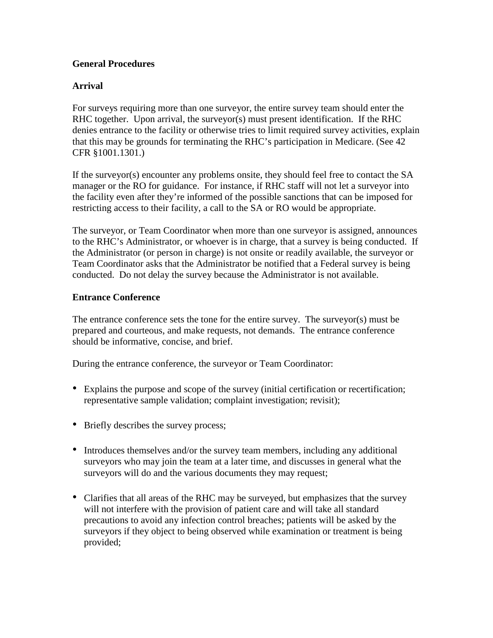#### **General Procedures**

#### **Arrival**

For surveys requiring more than one surveyor, the entire survey team should enter the RHC together. Upon arrival, the surveyor(s) must present identification. If the RHC denies entrance to the facility or otherwise tries to limit required survey activities, explain that this may be grounds for terminating the RHC's participation in Medicare. (See 42 CFR §1001.1301.)

If the surveyor(s) encounter any problems onsite, they should feel free to contact the SA manager or the RO for guidance. For instance, if RHC staff will not let a surveyor into the facility even after they're informed of the possible sanctions that can be imposed for restricting access to their facility, a call to the SA or RO would be appropriate.

The surveyor, or Team Coordinator when more than one surveyor is assigned, announces to the RHC's Administrator, or whoever is in charge, that a survey is being conducted. If the Administrator (or person in charge) is not onsite or readily available, the surveyor or Team Coordinator asks that the Administrator be notified that a Federal survey is being conducted. Do not delay the survey because the Administrator is not available.

#### **Entrance Conference**

The entrance conference sets the tone for the entire survey. The surveyor(s) must be prepared and courteous, and make requests, not demands. The entrance conference should be informative, concise, and brief.

During the entrance conference, the surveyor or Team Coordinator:

- Explains the purpose and scope of the survey (initial certification or recertification; representative sample validation; complaint investigation; revisit);
- Briefly describes the survey process;
- Introduces themselves and/or the survey team members, including any additional surveyors who may join the team at a later time, and discusses in general what the surveyors will do and the various documents they may request;
- Clarifies that all areas of the RHC may be surveyed, but emphasizes that the survey will not interfere with the provision of patient care and will take all standard precautions to avoid any infection control breaches; patients will be asked by the surveyors if they object to being observed while examination or treatment is being provided;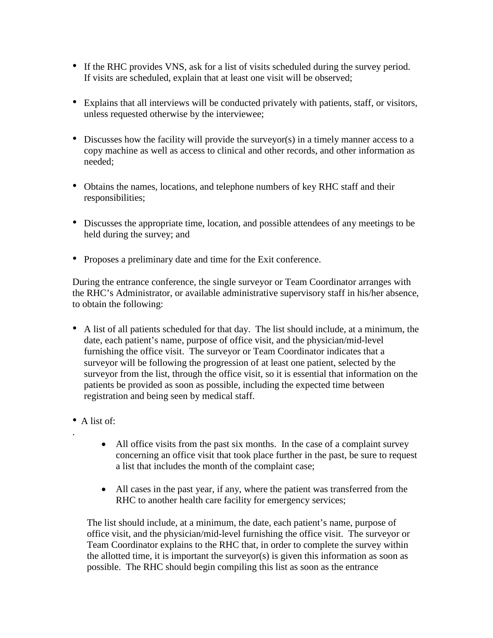- If the RHC provides VNS, ask for a list of visits scheduled during the survey period. If visits are scheduled, explain that at least one visit will be observed;
- Explains that all interviews will be conducted privately with patients, staff, or visitors, unless requested otherwise by the interviewee;
- Discusses how the facility will provide the surveyor(s) in a timely manner access to a copy machine as well as access to clinical and other records, and other information as needed;
- Obtains the names, locations, and telephone numbers of key RHC staff and their responsibilities;
- Discusses the appropriate time, location, and possible attendees of any meetings to be held during the survey; and
- Proposes a preliminary date and time for the Exit conference.

During the entrance conference, the single surveyor or Team Coordinator arranges with the RHC's Administrator, or available administrative supervisory staff in his/her absence, to obtain the following:

- A list of all patients scheduled for that day. The list should include, at a minimum, the date, each patient's name, purpose of office visit, and the physician/mid-level furnishing the office visit. The surveyor or Team Coordinator indicates that a surveyor will be following the progression of at least one patient, selected by the surveyor from the list, through the office visit, so it is essential that information on the patients be provided as soon as possible, including the expected time between registration and being seen by medical staff.
- A list of:

.

- All office visits from the past six months. In the case of a complaint survey concerning an office visit that took place further in the past, be sure to request a list that includes the month of the complaint case;
- All cases in the past year, if any, where the patient was transferred from the RHC to another health care facility for emergency services;

The list should include, at a minimum, the date, each patient's name, purpose of office visit, and the physician/mid-level furnishing the office visit. The surveyor or Team Coordinator explains to the RHC that, in order to complete the survey within the allotted time, it is important the surveyor(s) is given this information as soon as possible. The RHC should begin compiling this list as soon as the entrance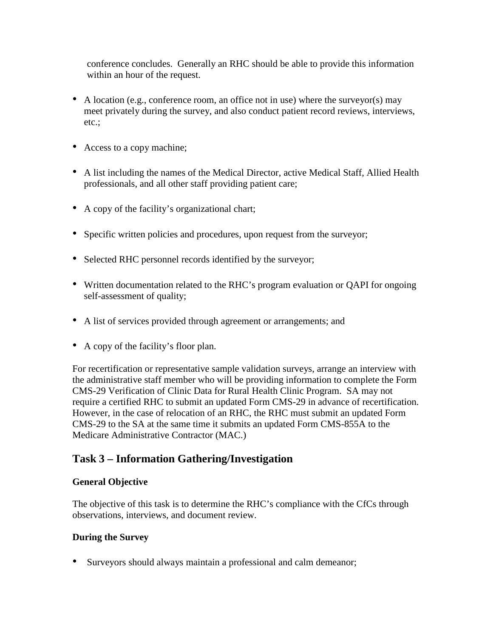conference concludes. Generally an RHC should be able to provide this information within an hour of the request.

- A location (e.g., conference room, an office not in use) where the surveyor(s) may meet privately during the survey, and also conduct patient record reviews, interviews, etc.;
- Access to a copy machine;
- A list including the names of the Medical Director, active Medical Staff, Allied Health professionals, and all other staff providing patient care;
- A copy of the facility's organizational chart;
- Specific written policies and procedures, upon request from the surveyor;
- Selected RHC personnel records identified by the surveyor;
- Written documentation related to the RHC's program evaluation or QAPI for ongoing self-assessment of quality;
- A list of services provided through agreement or arrangements; and
- A copy of the facility's floor plan.

For recertification or representative sample validation surveys, arrange an interview with the administrative staff member who will be providing information to complete the Form CMS-29 Verification of Clinic Data for Rural Health Clinic Program. SA may not require a certified RHC to submit an updated Form CMS-29 in advance of recertification. However, in the case of relocation of an RHC, the RHC must submit an updated Form CMS-29 to the SA at the same time it submits an updated Form CMS-855A to the Medicare Administrative Contractor (MAC.)

# **Task 3 – Information Gathering/Investigation**

#### **General Objective**

The objective of this task is to determine the RHC's compliance with the CfCs through observations, interviews, and document review.

#### **During the Survey**

• Surveyors should always maintain a professional and calm demeanor;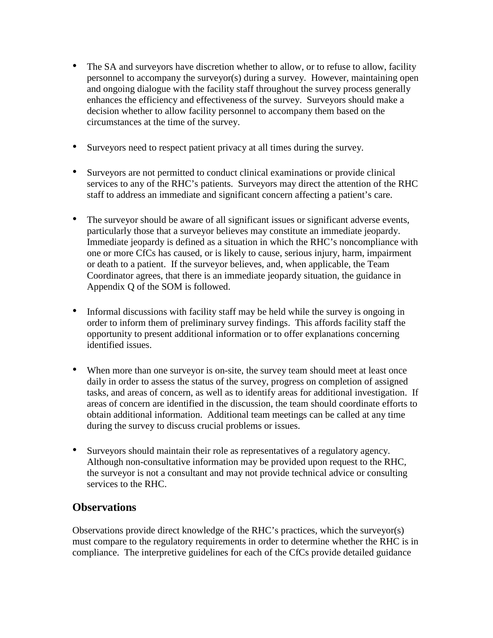- The SA and surveyors have discretion whether to allow, or to refuse to allow, facility personnel to accompany the surveyor(s) during a survey. However, maintaining open and ongoing dialogue with the facility staff throughout the survey process generally enhances the efficiency and effectiveness of the survey. Surveyors should make a decision whether to allow facility personnel to accompany them based on the circumstances at the time of the survey.
- Surveyors need to respect patient privacy at all times during the survey.
- Surveyors are not permitted to conduct clinical examinations or provide clinical services to any of the RHC's patients. Surveyors may direct the attention of the RHC staff to address an immediate and significant concern affecting a patient's care.
- The surveyor should be aware of all significant issues or significant adverse events, particularly those that a surveyor believes may constitute an immediate jeopardy. Immediate jeopardy is defined as a situation in which the RHC's noncompliance with one or more CfCs has caused, or is likely to cause, serious injury, harm, impairment or death to a patient. If the surveyor believes, and, when applicable, the Team Coordinator agrees, that there is an immediate jeopardy situation, the guidance in Appendix Q of the SOM is followed.
- Informal discussions with facility staff may be held while the survey is ongoing in order to inform them of preliminary survey findings. This affords facility staff the opportunity to present additional information or to offer explanations concerning identified issues.
- When more than one surveyor is on-site, the survey team should meet at least once daily in order to assess the status of the survey, progress on completion of assigned tasks, and areas of concern, as well as to identify areas for additional investigation. If areas of concern are identified in the discussion, the team should coordinate efforts to obtain additional information. Additional team meetings can be called at any time during the survey to discuss crucial problems or issues.
- Surveyors should maintain their role as representatives of a regulatory agency. Although non-consultative information may be provided upon request to the RHC, the surveyor is not a consultant and may not provide technical advice or consulting services to the RHC.

# **Observations**

Observations provide direct knowledge of the RHC's practices, which the surveyor(s) must compare to the regulatory requirements in order to determine whether the RHC is in compliance. The interpretive guidelines for each of the CfCs provide detailed guidance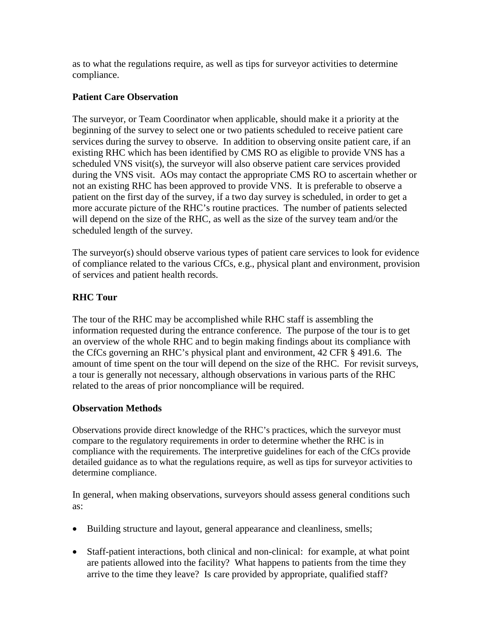as to what the regulations require, as well as tips for surveyor activities to determine compliance.

#### **Patient Care Observation**

The surveyor, or Team Coordinator when applicable, should make it a priority at the beginning of the survey to select one or two patients scheduled to receive patient care services during the survey to observe. In addition to observing onsite patient care, if an existing RHC which has been identified by CMS RO as eligible to provide VNS has a scheduled VNS visit(s), the surveyor will also observe patient care services provided during the VNS visit. AOs may contact the appropriate CMS RO to ascertain whether or not an existing RHC has been approved to provide VNS. It is preferable to observe a patient on the first day of the survey, if a two day survey is scheduled, in order to get a more accurate picture of the RHC's routine practices. The number of patients selected will depend on the size of the RHC, as well as the size of the survey team and/or the scheduled length of the survey.

The surveyor(s) should observe various types of patient care services to look for evidence of compliance related to the various CfCs, e.g., physical plant and environment, provision of services and patient health records.

#### **RHC Tour**

The tour of the RHC may be accomplished while RHC staff is assembling the information requested during the entrance conference. The purpose of the tour is to get an overview of the whole RHC and to begin making findings about its compliance with the CfCs governing an RHC's physical plant and environment, 42 CFR § 491.6. The amount of time spent on the tour will depend on the size of the RHC. For revisit surveys, a tour is generally not necessary, although observations in various parts of the RHC related to the areas of prior noncompliance will be required.

#### **Observation Methods**

Observations provide direct knowledge of the RHC's practices, which the surveyor must compare to the regulatory requirements in order to determine whether the RHC is in compliance with the requirements. The interpretive guidelines for each of the CfCs provide detailed guidance as to what the regulations require, as well as tips for surveyor activities to determine compliance.

In general, when making observations, surveyors should assess general conditions such as:

- Building structure and layout, general appearance and cleanliness, smells;
- Staff-patient interactions, both clinical and non-clinical: for example, at what point are patients allowed into the facility? What happens to patients from the time they arrive to the time they leave? Is care provided by appropriate, qualified staff?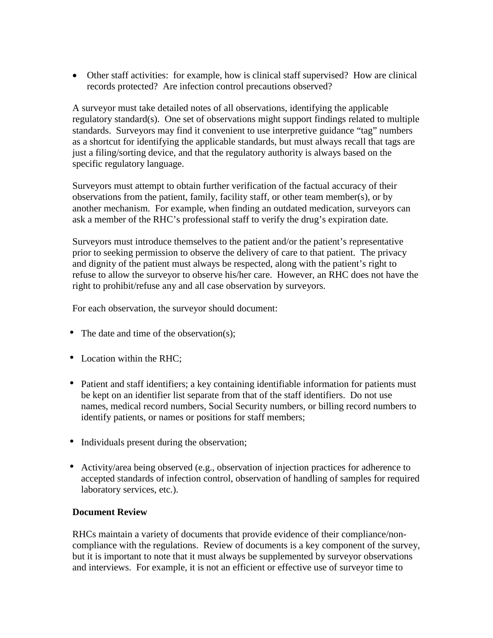• Other staff activities: for example, how is clinical staff supervised? How are clinical records protected? Are infection control precautions observed?

A surveyor must take detailed notes of all observations, identifying the applicable regulatory standard(s). One set of observations might support findings related to multiple standards. Surveyors may find it convenient to use interpretive guidance "tag" numbers as a shortcut for identifying the applicable standards, but must always recall that tags are just a filing/sorting device, and that the regulatory authority is always based on the specific regulatory language.

Surveyors must attempt to obtain further verification of the factual accuracy of their observations from the patient, family, facility staff, or other team member(s), or by another mechanism. For example, when finding an outdated medication, surveyors can ask a member of the RHC's professional staff to verify the drug's expiration date.

Surveyors must introduce themselves to the patient and/or the patient's representative prior to seeking permission to observe the delivery of care to that patient. The privacy and dignity of the patient must always be respected, along with the patient's right to refuse to allow the surveyor to observe his/her care. However, an RHC does not have the right to prohibit/refuse any and all case observation by surveyors.

For each observation, the surveyor should document:

- The date and time of the observation(s):
- Location within the RHC;
- Patient and staff identifiers; a key containing identifiable information for patients must be kept on an identifier list separate from that of the staff identifiers. Do not use names, medical record numbers, Social Security numbers, or billing record numbers to identify patients, or names or positions for staff members;
- Individuals present during the observation;
- Activity/area being observed (e.g., observation of injection practices for adherence to accepted standards of infection control, observation of handling of samples for required laboratory services, etc.).

#### **Document Review**

RHCs maintain a variety of documents that provide evidence of their compliance/noncompliance with the regulations. Review of documents is a key component of the survey, but it is important to note that it must always be supplemented by surveyor observations and interviews. For example, it is not an efficient or effective use of surveyor time to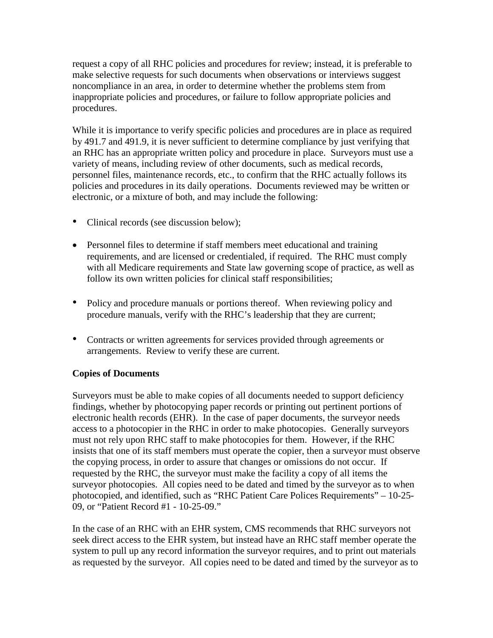request a copy of all RHC policies and procedures for review; instead, it is preferable to make selective requests for such documents when observations or interviews suggest noncompliance in an area, in order to determine whether the problems stem from inappropriate policies and procedures, or failure to follow appropriate policies and procedures.

While it is importance to verify specific policies and procedures are in place as required by 491.7 and 491.9, it is never sufficient to determine compliance by just verifying that an RHC has an appropriate written policy and procedure in place. Surveyors must use a variety of means, including review of other documents, such as medical records, personnel files, maintenance records, etc., to confirm that the RHC actually follows its policies and procedures in its daily operations. Documents reviewed may be written or electronic, or a mixture of both, and may include the following:

- Clinical records (see discussion below);
- Personnel files to determine if staff members meet educational and training requirements, and are licensed or credentialed, if required. The RHC must comply with all Medicare requirements and State law governing scope of practice, as well as follow its own written policies for clinical staff responsibilities;
- Policy and procedure manuals or portions thereof. When reviewing policy and procedure manuals, verify with the RHC's leadership that they are current;
- Contracts or written agreements for services provided through agreements or arrangements. Review to verify these are current.

#### **Copies of Documents**

Surveyors must be able to make copies of all documents needed to support deficiency findings, whether by photocopying paper records or printing out pertinent portions of electronic health records (EHR). In the case of paper documents, the surveyor needs access to a photocopier in the RHC in order to make photocopies. Generally surveyors must not rely upon RHC staff to make photocopies for them. However, if the RHC insists that one of its staff members must operate the copier, then a surveyor must observe the copying process, in order to assure that changes or omissions do not occur. If requested by the RHC, the surveyor must make the facility a copy of all items the surveyor photocopies. All copies need to be dated and timed by the surveyor as to when photocopied, and identified, such as "RHC Patient Care Polices Requirements" – 10-25- 09, or "Patient Record #1 - 10-25-09."

In the case of an RHC with an EHR system, CMS recommends that RHC surveyors not seek direct access to the EHR system, but instead have an RHC staff member operate the system to pull up any record information the surveyor requires, and to print out materials as requested by the surveyor. All copies need to be dated and timed by the surveyor as to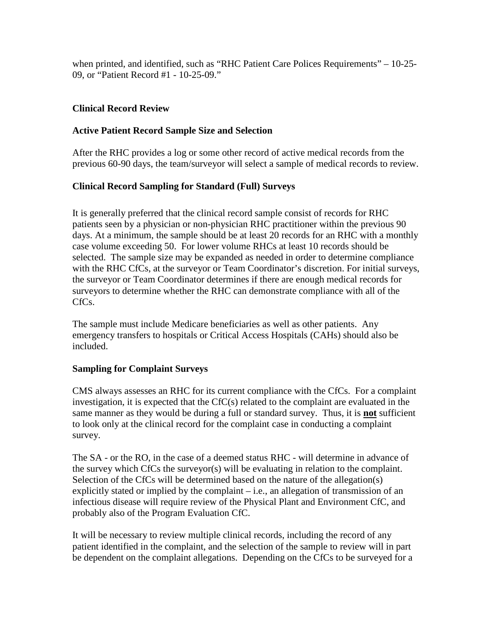when printed, and identified, such as "RHC Patient Care Polices Requirements" – 10-25- 09, or "Patient Record #1 - 10-25-09."

#### **Clinical Record Review**

#### **Active Patient Record Sample Size and Selection**

After the RHC provides a log or some other record of active medical records from the previous 60-90 days, the team/surveyor will select a sample of medical records to review.

### **Clinical Record Sampling for Standard (Full) Surveys**

It is generally preferred that the clinical record sample consist of records for RHC patients seen by a physician or non-physician RHC practitioner within the previous 90 days. At a minimum, the sample should be at least 20 records for an RHC with a monthly case volume exceeding 50. For lower volume RHCs at least 10 records should be selected. The sample size may be expanded as needed in order to determine compliance with the RHC CfCs, at the surveyor or Team Coordinator's discretion. For initial surveys, the surveyor or Team Coordinator determines if there are enough medical records for surveyors to determine whether the RHC can demonstrate compliance with all of the CfCs.

The sample must include Medicare beneficiaries as well as other patients. Any emergency transfers to hospitals or Critical Access Hospitals (CAHs) should also be included.

#### **Sampling for Complaint Surveys**

CMS always assesses an RHC for its current compliance with the CfCs. For a complaint investigation, it is expected that the CfC(s) related to the complaint are evaluated in the same manner as they would be during a full or standard survey. Thus, it is **not** sufficient to look only at the clinical record for the complaint case in conducting a complaint survey.

The SA - or the RO, in the case of a deemed status RHC - will determine in advance of the survey which CfCs the surveyor(s) will be evaluating in relation to the complaint. Selection of the CfCs will be determined based on the nature of the allegation(s) explicitly stated or implied by the complaint  $-$  i.e., an allegation of transmission of an infectious disease will require review of the Physical Plant and Environment CfC, and probably also of the Program Evaluation CfC.

It will be necessary to review multiple clinical records, including the record of any patient identified in the complaint, and the selection of the sample to review will in part be dependent on the complaint allegations. Depending on the CfCs to be surveyed for a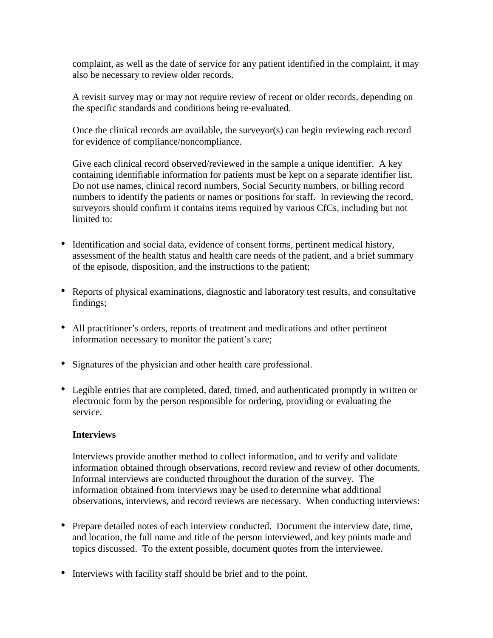complaint, as well as the date of service for any patient identified in the complaint, it may also be necessary to review older records.

A revisit survey may or may not require review of recent or older records, depending on the specific standards and conditions being re-evaluated.

Once the clinical records are available, the surveyor(s) can begin reviewing each record for evidence of compliance/noncompliance.

Give each clinical record observed/reviewed in the sample a unique identifier. A key containing identifiable information for patients must be kept on a separate identifier list. Do not use names, clinical record numbers, Social Security numbers, or billing record numbers to identify the patients or names or positions for staff. In reviewing the record, surveyors should confirm it contains items required by various CfCs, including but not limited to:

- Identification and social data, evidence of consent forms, pertinent medical history, assessment of the health status and health care needs of the patient, and a brief summary of the episode, disposition, and the instructions to the patient;
- Reports of physical examinations, diagnostic and laboratory test results, and consultative findings;
- All practitioner's orders, reports of treatment and medications and other pertinent information necessary to monitor the patient's care;
- Signatures of the physician and other health care professional.
- Legible entries that are completed, dated, timed, and authenticated promptly in written or electronic form by the person responsible for ordering, providing or evaluating the service.

#### **Interviews**

Interviews provide another method to collect information, and to verify and validate information obtained through observations, record review and review of other documents. Informal interviews are conducted throughout the duration of the survey. The information obtained from interviews may be used to determine what additional observations, interviews, and record reviews are necessary. When conducting interviews:

- Prepare detailed notes of each interview conducted. Document the interview date, time, and location, the full name and title of the person interviewed, and key points made and topics discussed. To the extent possible, document quotes from the interviewee.
- Interviews with facility staff should be brief and to the point.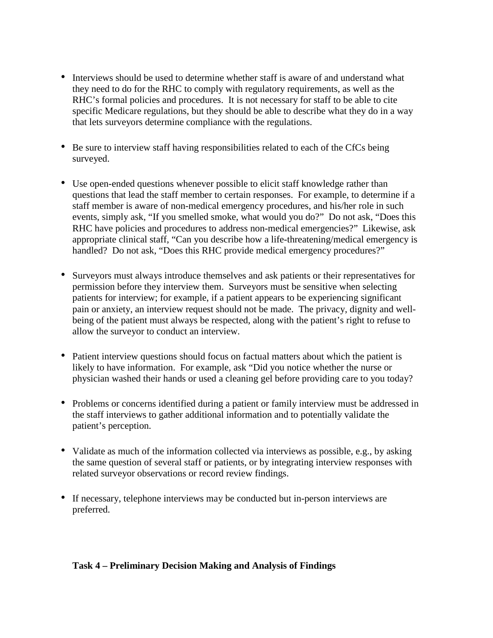- Interviews should be used to determine whether staff is aware of and understand what they need to do for the RHC to comply with regulatory requirements, as well as the RHC's formal policies and procedures. It is not necessary for staff to be able to cite specific Medicare regulations, but they should be able to describe what they do in a way that lets surveyors determine compliance with the regulations.
- Be sure to interview staff having responsibilities related to each of the CfCs being surveyed.
- Use open-ended questions whenever possible to elicit staff knowledge rather than questions that lead the staff member to certain responses. For example, to determine if a staff member is aware of non-medical emergency procedures, and his/her role in such events, simply ask, "If you smelled smoke, what would you do?" Do not ask, "Does this RHC have policies and procedures to address non-medical emergencies?" Likewise, ask appropriate clinical staff, "Can you describe how a life-threatening/medical emergency is handled? Do not ask, "Does this RHC provide medical emergency procedures?"
- Surveyors must always introduce themselves and ask patients or their representatives for permission before they interview them. Surveyors must be sensitive when selecting patients for interview; for example, if a patient appears to be experiencing significant pain or anxiety, an interview request should not be made. The privacy, dignity and wellbeing of the patient must always be respected, along with the patient's right to refuse to allow the surveyor to conduct an interview.
- Patient interview questions should focus on factual matters about which the patient is likely to have information. For example, ask "Did you notice whether the nurse or physician washed their hands or used a cleaning gel before providing care to you today?
- Problems or concerns identified during a patient or family interview must be addressed in the staff interviews to gather additional information and to potentially validate the patient's perception.
- Validate as much of the information collected via interviews as possible, e.g., by asking the same question of several staff or patients, or by integrating interview responses with related surveyor observations or record review findings.
- If necessary, telephone interviews may be conducted but in-person interviews are preferred.

#### **Task 4 – Preliminary Decision Making and Analysis of Findings**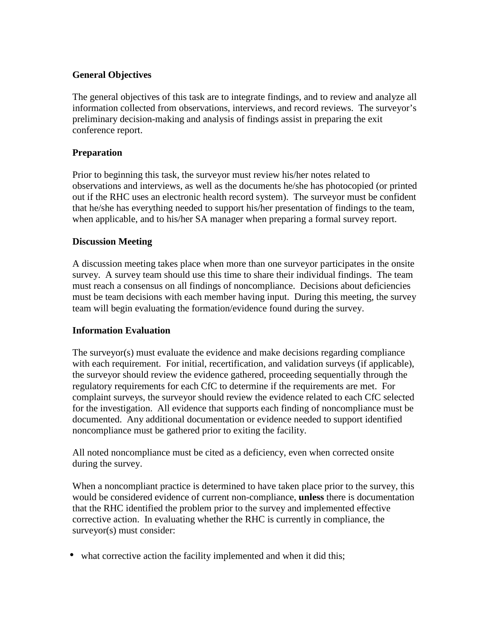#### **General Objectives**

The general objectives of this task are to integrate findings, and to review and analyze all information collected from observations, interviews, and record reviews. The surveyor's preliminary decision-making and analysis of findings assist in preparing the exit conference report.

#### **Preparation**

Prior to beginning this task, the surveyor must review his/her notes related to observations and interviews, as well as the documents he/she has photocopied (or printed out if the RHC uses an electronic health record system). The surveyor must be confident that he/she has everything needed to support his/her presentation of findings to the team, when applicable, and to his/her SA manager when preparing a formal survey report.

#### **Discussion Meeting**

A discussion meeting takes place when more than one surveyor participates in the onsite survey. A survey team should use this time to share their individual findings. The team must reach a consensus on all findings of noncompliance. Decisions about deficiencies must be team decisions with each member having input. During this meeting, the survey team will begin evaluating the formation/evidence found during the survey.

#### **Information Evaluation**

The surveyor(s) must evaluate the evidence and make decisions regarding compliance with each requirement. For initial, recertification, and validation surveys (if applicable), the surveyor should review the evidence gathered, proceeding sequentially through the regulatory requirements for each CfC to determine if the requirements are met. For complaint surveys, the surveyor should review the evidence related to each CfC selected for the investigation. All evidence that supports each finding of noncompliance must be documented. Any additional documentation or evidence needed to support identified noncompliance must be gathered prior to exiting the facility.

All noted noncompliance must be cited as a deficiency, even when corrected onsite during the survey.

When a noncompliant practice is determined to have taken place prior to the survey, this would be considered evidence of current non-compliance, **unless** there is documentation that the RHC identified the problem prior to the survey and implemented effective corrective action. In evaluating whether the RHC is currently in compliance, the surveyor(s) must consider:

• what corrective action the facility implemented and when it did this;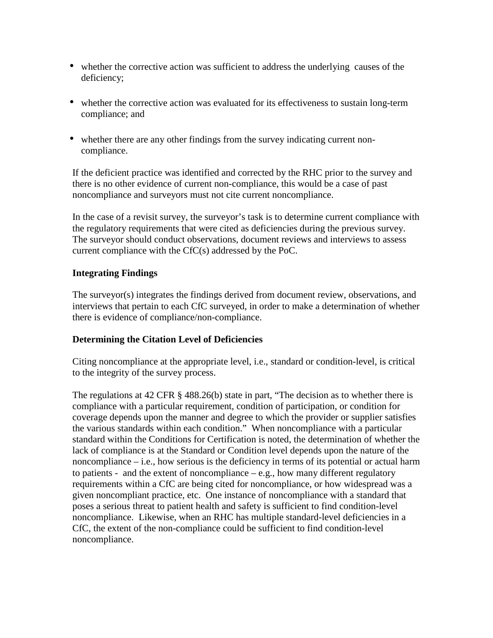- whether the corrective action was sufficient to address the underlying causes of the deficiency;
- whether the corrective action was evaluated for its effectiveness to sustain long-term compliance; and
- whether there are any other findings from the survey indicating current noncompliance.

If the deficient practice was identified and corrected by the RHC prior to the survey and there is no other evidence of current non-compliance, this would be a case of past noncompliance and surveyors must not cite current noncompliance.

In the case of a revisit survey, the surveyor's task is to determine current compliance with the regulatory requirements that were cited as deficiencies during the previous survey. The surveyor should conduct observations, document reviews and interviews to assess current compliance with the CfC(s) addressed by the PoC.

#### **Integrating Findings**

The surveyor(s) integrates the findings derived from document review, observations, and interviews that pertain to each CfC surveyed, in order to make a determination of whether there is evidence of compliance/non-compliance.

#### **Determining the Citation Level of Deficiencies**

Citing noncompliance at the appropriate level, i.e., standard or condition-level, is critical to the integrity of the survey process.

The regulations at 42 CFR § 488.26(b) state in part, "The decision as to whether there is compliance with a particular requirement, condition of participation, or condition for coverage depends upon the manner and degree to which the provider or supplier satisfies the various standards within each condition." When noncompliance with a particular standard within the Conditions for Certification is noted, the determination of whether the lack of compliance is at the Standard or Condition level depends upon the nature of the noncompliance – i.e., how serious is the deficiency in terms of its potential or actual harm to patients - and the extent of noncompliance  $-e.g.,$  how many different regulatory requirements within a CfC are being cited for noncompliance, or how widespread was a given noncompliant practice, etc. One instance of noncompliance with a standard that poses a serious threat to patient health and safety is sufficient to find condition-level noncompliance. Likewise, when an RHC has multiple standard-level deficiencies in a CfC, the extent of the non-compliance could be sufficient to find condition-level noncompliance.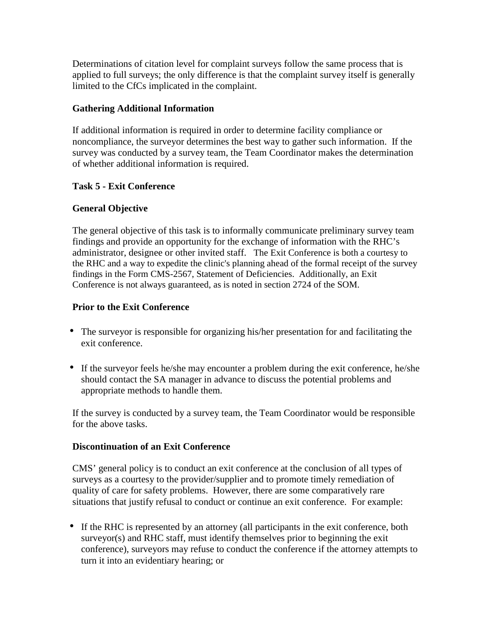Determinations of citation level for complaint surveys follow the same process that is applied to full surveys; the only difference is that the complaint survey itself is generally limited to the CfCs implicated in the complaint.

#### **Gathering Additional Information**

If additional information is required in order to determine facility compliance or noncompliance, the surveyor determines the best way to gather such information. If the survey was conducted by a survey team, the Team Coordinator makes the determination of whether additional information is required.

#### **Task 5 - Exit Conference**

#### **General Objective**

The general objective of this task is to informally communicate preliminary survey team findings and provide an opportunity for the exchange of information with the RHC's administrator, designee or other invited staff. The Exit Conference is both a courtesy to the RHC and a way to expedite the clinic's planning ahead of the formal receipt of the survey findings in the Form CMS-2567, Statement of Deficiencies. Additionally, an Exit Conference is not always guaranteed, as is noted in section 2724 of the SOM.

#### **Prior to the Exit Conference**

- The surveyor is responsible for organizing his/her presentation for and facilitating the exit conference.
- If the surveyor feels he/she may encounter a problem during the exit conference, he/she should contact the SA manager in advance to discuss the potential problems and appropriate methods to handle them.

If the survey is conducted by a survey team, the Team Coordinator would be responsible for the above tasks.

#### **Discontinuation of an Exit Conference**

CMS' general policy is to conduct an exit conference at the conclusion of all types of surveys as a courtesy to the provider/supplier and to promote timely remediation of quality of care for safety problems. However, there are some comparatively rare situations that justify refusal to conduct or continue an exit conference. For example:

• If the RHC is represented by an attorney (all participants in the exit conference, both surveyor(s) and RHC staff, must identify themselves prior to beginning the exit conference), surveyors may refuse to conduct the conference if the attorney attempts to turn it into an evidentiary hearing; or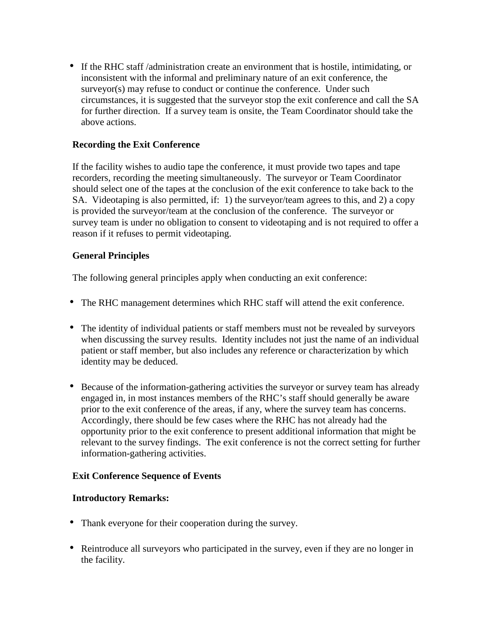• If the RHC staff /administration create an environment that is hostile, intimidating, or inconsistent with the informal and preliminary nature of an exit conference, the surveyor(s) may refuse to conduct or continue the conference. Under such circumstances, it is suggested that the surveyor stop the exit conference and call the SA for further direction. If a survey team is onsite, the Team Coordinator should take the above actions.

#### **Recording the Exit Conference**

If the facility wishes to audio tape the conference, it must provide two tapes and tape recorders, recording the meeting simultaneously. The surveyor or Team Coordinator should select one of the tapes at the conclusion of the exit conference to take back to the SA. Videotaping is also permitted, if: 1) the surveyor/team agrees to this, and 2) a copy is provided the surveyor/team at the conclusion of the conference. The surveyor or survey team is under no obligation to consent to videotaping and is not required to offer a reason if it refuses to permit videotaping.

#### **General Principles**

The following general principles apply when conducting an exit conference:

- The RHC management determines which RHC staff will attend the exit conference.
- The identity of individual patients or staff members must not be revealed by surveyors when discussing the survey results. Identity includes not just the name of an individual patient or staff member, but also includes any reference or characterization by which identity may be deduced.
- Because of the information-gathering activities the surveyor or survey team has already engaged in, in most instances members of the RHC's staff should generally be aware prior to the exit conference of the areas, if any, where the survey team has concerns. Accordingly, there should be few cases where the RHC has not already had the opportunity prior to the exit conference to present additional information that might be relevant to the survey findings. The exit conference is not the correct setting for further information-gathering activities.

#### **Exit Conference Sequence of Events**

#### **Introductory Remarks:**

- Thank everyone for their cooperation during the survey.
- Reintroduce all surveyors who participated in the survey, even if they are no longer in the facility.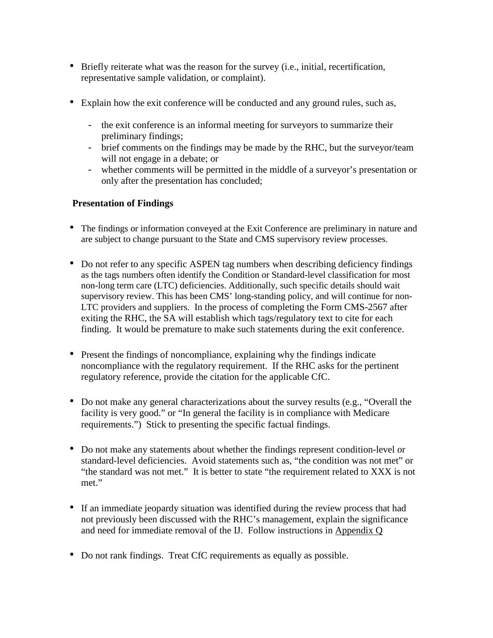- Briefly reiterate what was the reason for the survey (i.e., initial, recertification, representative sample validation, or complaint).
- Explain how the exit conference will be conducted and any ground rules, such as,
	- the exit conference is an informal meeting for surveyors to summarize their preliminary findings;
	- brief comments on the findings may be made by the RHC, but the surveyor/team will not engage in a debate; or
	- whether comments will be permitted in the middle of a surveyor's presentation or only after the presentation has concluded;

#### **Presentation of Findings**

- The findings or information conveyed at the Exit Conference are preliminary in nature and are subject to change pursuant to the State and CMS supervisory review processes.
- Do not refer to any specific ASPEN tag numbers when describing deficiency findings as the tags numbers often identify the Condition or Standard-level classification for most non-long term care (LTC) deficiencies. Additionally, such specific details should wait supervisory review. This has been CMS' long-standing policy, and will continue for non-LTC providers and suppliers. In the process of completing the Form CMS-2567 after exiting the RHC, the SA will establish which tags/regulatory text to cite for each finding. It would be premature to make such statements during the exit conference.
- Present the findings of noncompliance, explaining why the findings indicate noncompliance with the regulatory requirement. If the RHC asks for the pertinent regulatory reference, provide the citation for the applicable CfC.
- Do not make any general characterizations about the survey results (e.g., "Overall the facility is very good." or "In general the facility is in compliance with Medicare requirements.") Stick to presenting the specific factual findings.
- Do not make any statements about whether the findings represent condition-level or standard-level deficiencies. Avoid statements such as, "the condition was not met" or "the standard was not met." It is better to state "the requirement related to XXX is not met."
- If an immediate jeopardy situation was identified during the review process that had not previously been discussed with the RHC's management, explain the significance and need for immediate removal of the IJ. Follow instructions in Appendix Q
- Do not rank findings. Treat CfC requirements as equally as possible.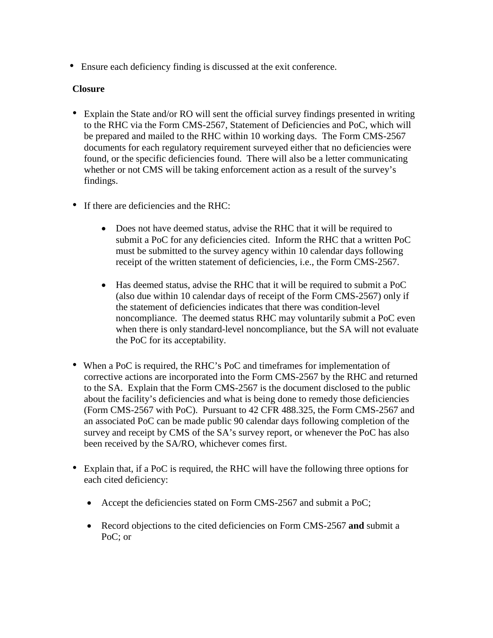• Ensure each deficiency finding is discussed at the exit conference.

#### **Closure**

- Explain the State and/or RO will sent the official survey findings presented in writing to the RHC via the Form CMS-2567, Statement of Deficiencies and PoC, which will be prepared and mailed to the RHC within 10 working days. The Form CMS-2567 documents for each regulatory requirement surveyed either that no deficiencies were found, or the specific deficiencies found. There will also be a letter communicating whether or not CMS will be taking enforcement action as a result of the survey's findings.
- If there are deficiencies and the RHC:
	- Does not have deemed status, advise the RHC that it will be required to submit a PoC for any deficiencies cited. Inform the RHC that a written PoC must be submitted to the survey agency within 10 calendar days following receipt of the written statement of deficiencies, i.e., the Form CMS-2567.
	- Has deemed status, advise the RHC that it will be required to submit a PoC (also due within 10 calendar days of receipt of the Form CMS-2567) only if the statement of deficiencies indicates that there was condition-level noncompliance. The deemed status RHC may voluntarily submit a PoC even when there is only standard-level noncompliance, but the SA will not evaluate the PoC for its acceptability.
- When a PoC is required, the RHC's PoC and time frames for implementation of corrective actions are incorporated into the Form CMS-2567 by the RHC and returned to the SA. Explain that the Form CMS-2567 is the document disclosed to the public about the facility's deficiencies and what is being done to remedy those deficiencies (Form CMS-2567 with PoC). Pursuant to 42 CFR 488.325, the Form CMS-2567 and an associated PoC can be made public 90 calendar days following completion of the survey and receipt by CMS of the SA's survey report, or whenever the PoC has also been received by the SA/RO, whichever comes first.
- Explain that, if a PoC is required, the RHC will have the following three options for each cited deficiency:
	- Accept the deficiencies stated on Form CMS-2567 and submit a PoC;
	- Record objections to the cited deficiencies on Form CMS-2567 **and** submit a PoC; or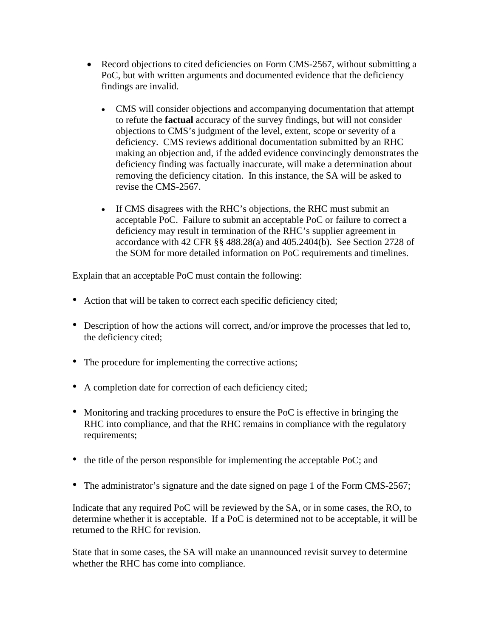- Record objections to cited deficiencies on Form CMS-2567, without submitting a PoC, but with written arguments and documented evidence that the deficiency findings are invalid.
	- CMS will consider objections and accompanying documentation that attempt to refute the **factual** accuracy of the survey findings, but will not consider objections to CMS's judgment of the level, extent, scope or severity of a deficiency. CMS reviews additional documentation submitted by an RHC making an objection and, if the added evidence convincingly demonstrates the deficiency finding was factually inaccurate, will make a determination about removing the deficiency citation. In this instance, the SA will be asked to revise the CMS-2567.
	- If CMS disagrees with the RHC's objections, the RHC must submit an acceptable PoC. Failure to submit an acceptable PoC or failure to correct a deficiency may result in termination of the RHC's supplier agreement in accordance with 42 CFR §§ 488.28(a) and 405.2404(b). See Section 2728 of the SOM for more detailed information on PoC requirements and timelines.

Explain that an acceptable PoC must contain the following:

- Action that will be taken to correct each specific deficiency cited;
- Description of how the actions will correct, and/or improve the processes that led to, the deficiency cited;
- The procedure for implementing the corrective actions;
- A completion date for correction of each deficiency cited;
- Monitoring and tracking procedures to ensure the PoC is effective in bringing the RHC into compliance, and that the RHC remains in compliance with the regulatory requirements;
- the title of the person responsible for implementing the acceptable PoC; and
- The administrator's signature and the date signed on page 1 of the Form CMS-2567;

Indicate that any required PoC will be reviewed by the SA, or in some cases, the RO, to determine whether it is acceptable. If a PoC is determined not to be acceptable, it will be returned to the RHC for revision.

State that in some cases, the SA will make an unannounced revisit survey to determine whether the RHC has come into compliance.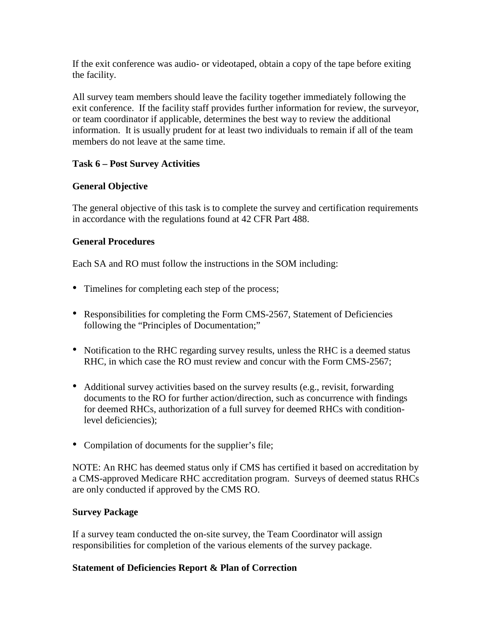If the exit conference was audio- or videotaped, obtain a copy of the tape before exiting the facility.

All survey team members should leave the facility together immediately following the exit conference. If the facility staff provides further information for review, the surveyor, or team coordinator if applicable, determines the best way to review the additional information. It is usually prudent for at least two individuals to remain if all of the team members do not leave at the same time.

### **Task 6 – Post Survey Activities**

### **General Objective**

The general objective of this task is to complete the survey and certification requirements in accordance with the regulations found at 42 CFR Part 488.

#### **General Procedures**

Each SA and RO must follow the instructions in the SOM including:

- Timelines for completing each step of the process;
- Responsibilities for completing the Form CMS-2567, Statement of Deficiencies following the "Principles of Documentation;"
- Notification to the RHC regarding survey results, unless the RHC is a deemed status RHC, in which case the RO must review and concur with the Form CMS-2567;
- Additional survey activities based on the survey results (e.g., revisit, forwarding documents to the RO for further action/direction, such as concurrence with findings for deemed RHCs, authorization of a full survey for deemed RHCs with conditionlevel deficiencies);
- Compilation of documents for the supplier's file;

NOTE: An RHC has deemed status only if CMS has certified it based on accreditation by a CMS-approved Medicare RHC accreditation program. Surveys of deemed status RHCs are only conducted if approved by the CMS RO.

#### **Survey Package**

If a survey team conducted the on-site survey, the Team Coordinator will assign responsibilities for completion of the various elements of the survey package.

#### **Statement of Deficiencies Report & Plan of Correction**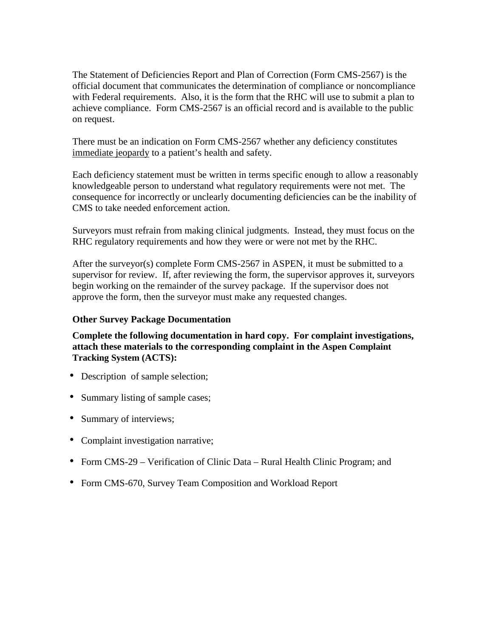The Statement of Deficiencies Report and Plan of Correction (Form CMS-2567) is the official document that communicates the determination of compliance or noncompliance with Federal requirements. Also, it is the form that the RHC will use to submit a plan to achieve compliance. Form CMS-2567 is an official record and is available to the public on request.

There must be an indication on Form CMS-2567 whether any deficiency constitutes immediate jeopardy to a patient's health and safety.

Each deficiency statement must be written in terms specific enough to allow a reasonably knowledgeable person to understand what regulatory requirements were not met. The consequence for incorrectly or unclearly documenting deficiencies can be the inability of CMS to take needed enforcement action.

Surveyors must refrain from making clinical judgments. Instead, they must focus on the RHC regulatory requirements and how they were or were not met by the RHC.

After the surveyor(s) complete Form CMS-2567 in ASPEN, it must be submitted to a supervisor for review. If, after reviewing the form, the supervisor approves it, surveyors begin working on the remainder of the survey package. If the supervisor does not approve the form, then the surveyor must make any requested changes.

#### **Other Survey Package Documentation**

**Complete the following documentation in hard copy. For complaint investigations, attach these materials to the corresponding complaint in the Aspen Complaint Tracking System (ACTS):**

- Description of sample selection;
- Summary listing of sample cases;
- Summary of interviews;
- Complaint investigation narrative;
- Form CMS-29 Verification of Clinic Data Rural Health Clinic Program; and
- Form CMS-670, Survey Team Composition and Workload Report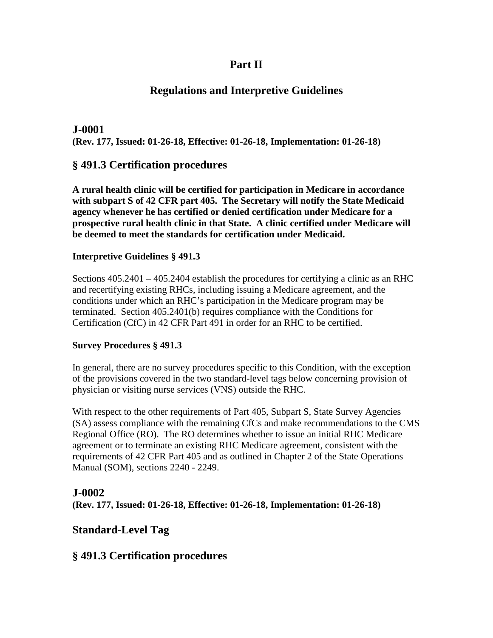# **Part II**

# **Regulations and Interpretive Guidelines**

# **J-0001 (Rev. 177, Issued: 01-26-18, Effective: 01-26-18, Implementation: 01-26-18)**

# **§ 491.3 Certification procedures**

**A rural health clinic will be certified for participation in Medicare in accordance with subpart S of 42 CFR part 405. The Secretary will notify the State Medicaid agency whenever he has certified or denied certification under Medicare for a prospective rural health clinic in that State. A clinic certified under Medicare will be deemed to meet the standards for certification under Medicaid.**

#### **Interpretive Guidelines § 491.3**

Sections 405.2401 – 405.2404 establish the procedures for certifying a clinic as an RHC and recertifying existing RHCs, including issuing a Medicare agreement, and the conditions under which an RHC's participation in the Medicare program may be terminated. Section 405.2401(b) requires compliance with the Conditions for Certification (CfC) in 42 CFR Part 491 in order for an RHC to be certified.

#### **Survey Procedures § 491.3**

In general, there are no survey procedures specific to this Condition, with the exception of the provisions covered in the two standard-level tags below concerning provision of physician or visiting nurse services (VNS) outside the RHC.

With respect to the other requirements of Part 405, Subpart S, State Survey Agencies (SA) assess compliance with the remaining CfCs and make recommendations to the CMS Regional Office (RO). The RO determines whether to issue an initial RHC Medicare agreement or to terminate an existing RHC Medicare agreement, consistent with the requirements of 42 CFR Part 405 and as outlined in Chapter 2 of the State Operations Manual (SOM), sections 2240 - 2249.

# **J-0002**

**(Rev. 177, Issued: 01-26-18, Effective: 01-26-18, Implementation: 01-26-18)**

# **Standard-Level Tag**

# **§ 491.3 Certification procedures**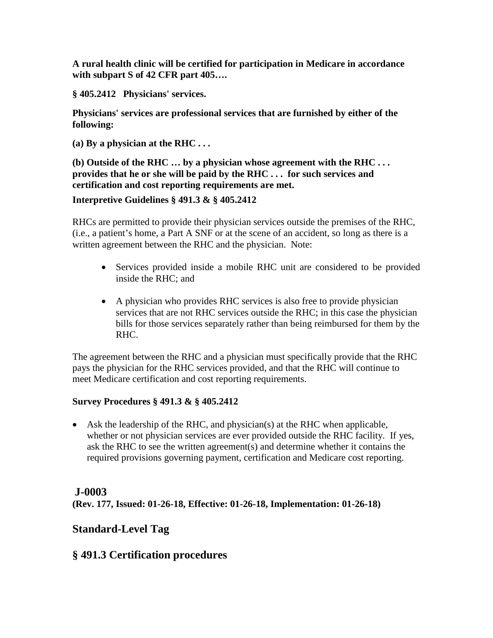**A rural health clinic will be certified for participation in Medicare in accordance with subpart S of 42 CFR part 405….**

**§ 405.2412 Physicians' services.**

**Physicians' services are professional services that are furnished by either of the following:**

**(a) By a physician at the RHC . . .** 

**(b) Outside of the RHC … by a physician whose agreement with the RHC . . . provides that he or she will be paid by the RHC . . . for such services and certification and cost reporting requirements are met.**

#### **Interpretive Guidelines § 491.3 & § 405.2412**

RHCs are permitted to provide their physician services outside the premises of the RHC, (i.e., a patient's home, a Part A SNF or at the scene of an accident, so long as there is a written agreement between the RHC and the physician. Note:

- Services provided inside a mobile RHC unit are considered to be provided inside the RHC; and
- A physician who provides RHC services is also free to provide physician services that are not RHC services outside the RHC; in this case the physician bills for those services separately rather than being reimbursed for them by the RHC.

The agreement between the RHC and a physician must specifically provide that the RHC pays the physician for the RHC services provided, and that the RHC will continue to meet Medicare certification and cost reporting requirements.

#### **Survey Procedures § 491.3 & § 405.2412**

• Ask the leadership of the RHC, and physician(s) at the RHC when applicable, whether or not physician services are ever provided outside the RHC facility. If yes, ask the RHC to see the written agreement(s) and determine whether it contains the required provisions governing payment, certification and Medicare cost reporting.

# **J-0003**

**(Rev. 177, Issued: 01-26-18, Effective: 01-26-18, Implementation: 01-26-18)**

# **Standard-Level Tag**

# **§ 491.3 Certification procedures**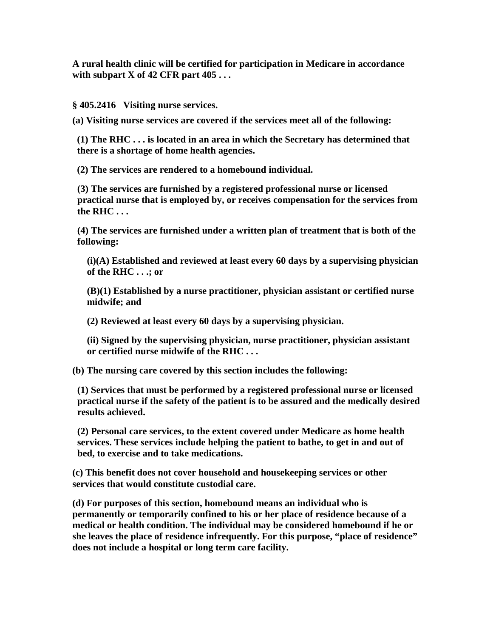**A rural health clinic will be certified for participation in Medicare in accordance with subpart X of 42 CFR part 405 . . .**

**§ 405.2416 Visiting nurse services.**

**(a) Visiting nurse services are covered if the services meet all of the following:**

**(1) The RHC . . . is located in an area in which the Secretary has determined that there is a shortage of home health agencies.**

**(2) The services are rendered to a homebound individual.**

**(3) The services are furnished by a registered professional nurse or licensed practical nurse that is employed by, or receives compensation for the services from the RHC . . .**

**(4) The services are furnished under a written plan of treatment that is both of the following:**

**(i)(A) Established and reviewed at least every 60 days by a supervising physician of the RHC . . .; or**

**(B)(1) Established by a nurse practitioner, physician assistant or certified nurse midwife; and**

**(2) Reviewed at least every 60 days by a supervising physician.**

**(ii) Signed by the supervising physician, nurse practitioner, physician assistant or certified nurse midwife of the RHC . . .**

**(b) The nursing care covered by this section includes the following:**

**(1) Services that must be performed by a registered professional nurse or licensed practical nurse if the safety of the patient is to be assured and the medically desired results achieved.**

**(2) Personal care services, to the extent covered under Medicare as home health services. These services include helping the patient to bathe, to get in and out of bed, to exercise and to take medications.**

**(c) This benefit does not cover household and housekeeping services or other services that would constitute custodial care.**

**(d) For purposes of this section, homebound means an individual who is permanently or temporarily confined to his or her place of residence because of a medical or health condition. The individual may be considered homebound if he or she leaves the place of residence infrequently. For this purpose, "place of residence" does not include a hospital or long term care facility.**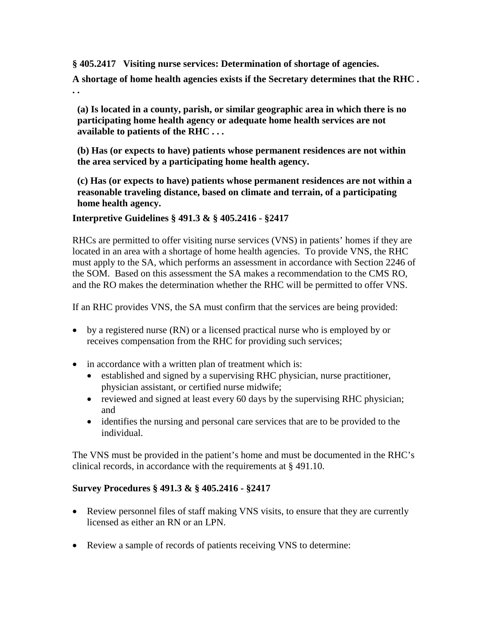**§ 405.2417 Visiting nurse services: Determination of shortage of agencies.**

**A shortage of home health agencies exists if the Secretary determines that the RHC . . .**

**(a) Is located in a county, parish, or similar geographic area in which there is no participating home health agency or adequate home health services are not available to patients of the RHC . . .**

**(b) Has (or expects to have) patients whose permanent residences are not within the area serviced by a participating home health agency.**

**(c) Has (or expects to have) patients whose permanent residences are not within a reasonable traveling distance, based on climate and terrain, of a participating home health agency.**

**Interpretive Guidelines § 491.3 & § 405.2416 - §2417**

RHCs are permitted to offer visiting nurse services (VNS) in patients' homes if they are located in an area with a shortage of home health agencies. To provide VNS, the RHC must apply to the SA, which performs an assessment in accordance with Section 2246 of the SOM. Based on this assessment the SA makes a recommendation to the CMS RO, and the RO makes the determination whether the RHC will be permitted to offer VNS.

If an RHC provides VNS, the SA must confirm that the services are being provided:

- by a registered nurse (RN) or a licensed practical nurse who is employed by or receives compensation from the RHC for providing such services;
- in accordance with a written plan of treatment which is:
	- established and signed by a supervising RHC physician, nurse practitioner, physician assistant, or certified nurse midwife;
	- reviewed and signed at least every 60 days by the supervising RHC physician; and
	- identifies the nursing and personal care services that are to be provided to the individual.

The VNS must be provided in the patient's home and must be documented in the RHC's clinical records, in accordance with the requirements at § 491.10.

#### **Survey Procedures § 491.3 & § 405.2416 - §2417**

- Review personnel files of staff making VNS visits, to ensure that they are currently licensed as either an RN or an LPN.
- Review a sample of records of patients receiving VNS to determine: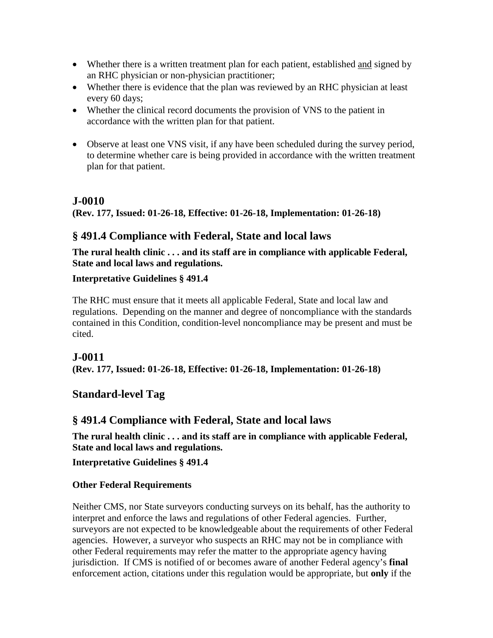- Whether there is a written treatment plan for each patient, established and signed by an RHC physician or non-physician practitioner;
- Whether there is evidence that the plan was reviewed by an RHC physician at least every 60 days;
- Whether the clinical record documents the provision of VNS to the patient in accordance with the written plan for that patient.
- Observe at least one VNS visit, if any have been scheduled during the survey period, to determine whether care is being provided in accordance with the written treatment plan for that patient.

# **J-0010**

**(Rev. 177, Issued: 01-26-18, Effective: 01-26-18, Implementation: 01-26-18)**

# **§ 491.4 Compliance with Federal, State and local laws**

**The rural health clinic . . . and its staff are in compliance with applicable Federal, State and local laws and regulations.**

# **Interpretative Guidelines § 491.4**

The RHC must ensure that it meets all applicable Federal, State and local law and regulations. Depending on the manner and degree of noncompliance with the standards contained in this Condition, condition-level noncompliance may be present and must be cited.

# **J-0011**

**(Rev. 177, Issued: 01-26-18, Effective: 01-26-18, Implementation: 01-26-18)**

# **Standard-level Tag**

# **§ 491.4 Compliance with Federal, State and local laws**

**The rural health clinic . . . and its staff are in compliance with applicable Federal, State and local laws and regulations.**

**Interpretative Guidelines § 491.4**

# **Other Federal Requirements**

Neither CMS, nor State surveyors conducting surveys on its behalf, has the authority to interpret and enforce the laws and regulations of other Federal agencies. Further, surveyors are not expected to be knowledgeable about the requirements of other Federal agencies. However, a surveyor who suspects an RHC may not be in compliance with other Federal requirements may refer the matter to the appropriate agency having jurisdiction. If CMS is notified of or becomes aware of another Federal agency's **final** enforcement action, citations under this regulation would be appropriate, but **only** if the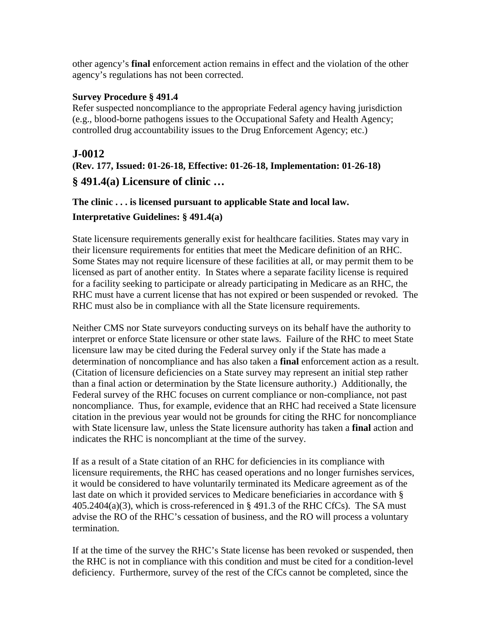other agency's **final** enforcement action remains in effect and the violation of the other agency's regulations has not been corrected.

#### **Survey Procedure § 491.4**

Refer suspected noncompliance to the appropriate Federal agency having jurisdiction (e.g., blood-borne pathogens issues to the Occupational Safety and Health Agency; controlled drug accountability issues to the Drug Enforcement Agency; etc.)

# **J-0012**

**(Rev. 177, Issued: 01-26-18, Effective: 01-26-18, Implementation: 01-26-18)**

### **§ 491.4(a) Licensure of clinic …**

**The clinic . . . is licensed pursuant to applicable State and local law.**

#### **Interpretative Guidelines: § 491.4(a)**

State licensure requirements generally exist for healthcare facilities. States may vary in their licensure requirements for entities that meet the Medicare definition of an RHC. Some States may not require licensure of these facilities at all, or may permit them to be licensed as part of another entity. In States where a separate facility license is required for a facility seeking to participate or already participating in Medicare as an RHC, the RHC must have a current license that has not expired or been suspended or revoked. The RHC must also be in compliance with all the State licensure requirements.

Neither CMS nor State surveyors conducting surveys on its behalf have the authority to interpret or enforce State licensure or other state laws. Failure of the RHC to meet State licensure law may be cited during the Federal survey only if the State has made a determination of noncompliance and has also taken a **final** enforcement action as a result. (Citation of licensure deficiencies on a State survey may represent an initial step rather than a final action or determination by the State licensure authority.) Additionally, the Federal survey of the RHC focuses on current compliance or non-compliance, not past noncompliance. Thus, for example, evidence that an RHC had received a State licensure citation in the previous year would not be grounds for citing the RHC for noncompliance with State licensure law, unless the State licensure authority has taken a **final** action and indicates the RHC is noncompliant at the time of the survey.

If as a result of a State citation of an RHC for deficiencies in its compliance with licensure requirements, the RHC has ceased operations and no longer furnishes services, it would be considered to have voluntarily terminated its Medicare agreement as of the last date on which it provided services to Medicare beneficiaries in accordance with § 405.2404(a)(3), which is cross-referenced in § 491.3 of the RHC CfCs). The SA must advise the RO of the RHC's cessation of business, and the RO will process a voluntary termination.

If at the time of the survey the RHC's State license has been revoked or suspended, then the RHC is not in compliance with this condition and must be cited for a condition-level deficiency. Furthermore, survey of the rest of the CfCs cannot be completed, since the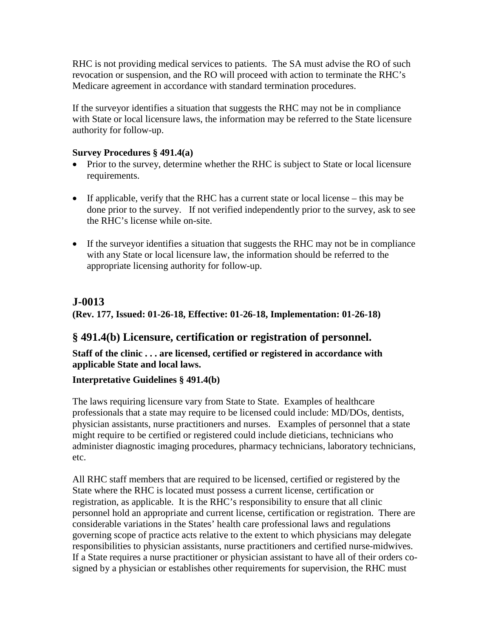RHC is not providing medical services to patients. The SA must advise the RO of such revocation or suspension, and the RO will proceed with action to terminate the RHC's Medicare agreement in accordance with standard termination procedures.

If the surveyor identifies a situation that suggests the RHC may not be in compliance with State or local licensure laws, the information may be referred to the State licensure authority for follow-up.

### **Survey Procedures § 491.4(a)**

- Prior to the survey, determine whether the RHC is subject to State or local licensure requirements.
- If applicable, verify that the RHC has a current state or local license this may be done prior to the survey. If not verified independently prior to the survey, ask to see the RHC's license while on-site.
- If the surveyor identifies a situation that suggests the RHC may not be in compliance with any State or local licensure law, the information should be referred to the appropriate licensing authority for follow-up.

# **J-0013**

**(Rev. 177, Issued: 01-26-18, Effective: 01-26-18, Implementation: 01-26-18)**

# **§ 491.4(b) Licensure, certification or registration of personnel.**

**Staff of the clinic . . . are licensed, certified or registered in accordance with applicable State and local laws.**

# **Interpretative Guidelines § 491.4(b)**

The laws requiring licensure vary from State to State. Examples of healthcare professionals that a state may require to be licensed could include: MD/DOs, dentists, physician assistants, nurse practitioners and nurses. Examples of personnel that a state might require to be certified or registered could include dieticians, technicians who administer diagnostic imaging procedures, pharmacy technicians, laboratory technicians, etc.

All RHC staff members that are required to be licensed, certified or registered by the State where the RHC is located must possess a current license, certification or registration, as applicable. It is the RHC's responsibility to ensure that all clinic personnel hold an appropriate and current license, certification or registration. There are considerable variations in the States' health care professional laws and regulations governing scope of practice acts relative to the extent to which physicians may delegate responsibilities to physician assistants, nurse practitioners and certified nurse-midwives. If a State requires a nurse practitioner or physician assistant to have all of their orders cosigned by a physician or establishes other requirements for supervision, the RHC must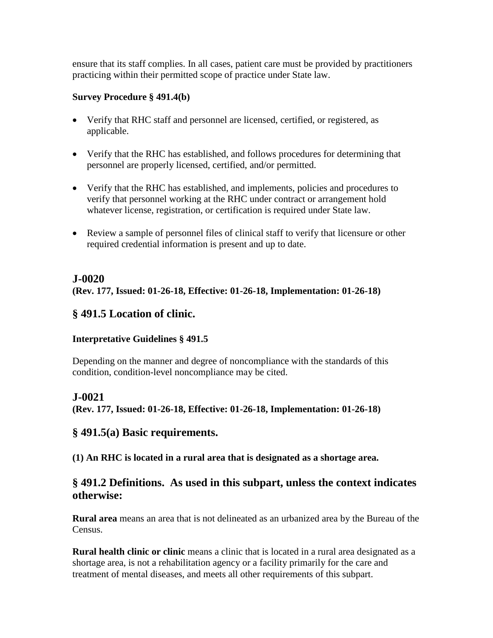ensure that its staff complies. In all cases, patient care must be provided by practitioners practicing within their permitted scope of practice under State law.

### **Survey Procedure § 491.4(b)**

- Verify that RHC staff and personnel are licensed, certified, or registered, as applicable.
- Verify that the RHC has established, and follows procedures for determining that personnel are properly licensed, certified, and/or permitted.
- Verify that the RHC has established, and implements, policies and procedures to verify that personnel working at the RHC under contract or arrangement hold whatever license, registration, or certification is required under State law.
- Review a sample of personnel files of clinical staff to verify that licensure or other required credential information is present and up to date.

# **J-0020**

**(Rev. 177, Issued: 01-26-18, Effective: 01-26-18, Implementation: 01-26-18)**

# **§ 491.5 Location of clinic.**

#### **Interpretative Guidelines § 491.5**

Depending on the manner and degree of noncompliance with the standards of this condition, condition-level noncompliance may be cited.

# **J-0021**

**(Rev. 177, Issued: 01-26-18, Effective: 01-26-18, Implementation: 01-26-18)**

# **§ 491.5(a) Basic requirements.**

**(1) An RHC is located in a rural area that is designated as a shortage area.**

# **§ 491.2 Definitions. As used in this subpart, unless the context indicates otherwise:**

**Rural area** means an area that is not delineated as an urbanized area by the Bureau of the Census.

**Rural health clinic or clinic** means a clinic that is located in a rural area designated as a shortage area, is not a rehabilitation agency or a facility primarily for the care and treatment of mental diseases, and meets all other requirements of this subpart.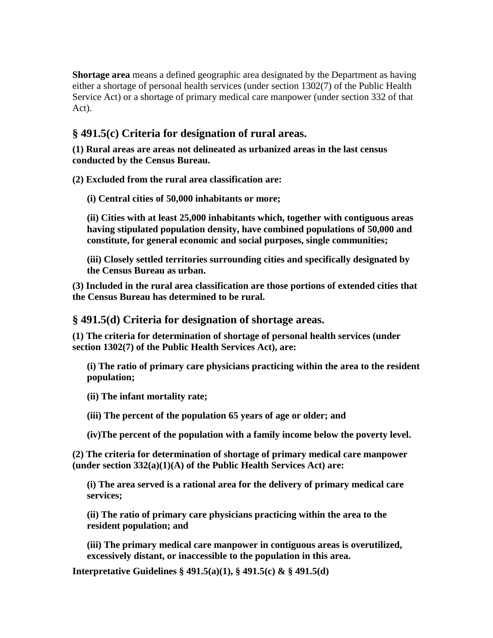**Shortage area** means a defined geographic area designated by the Department as having either a shortage of personal health services (under section 1302(7) of the Public Health Service Act) or a shortage of primary medical care manpower (under section 332 of that Act).

# **§ 491.5(c) Criteria for designation of rural areas.**

**(1) Rural areas are areas not delineated as urbanized areas in the last census conducted by the Census Bureau.**

**(2) Excluded from the rural area classification are:**

**(i) Central cities of 50,000 inhabitants or more;**

**(ii) Cities with at least 25,000 inhabitants which, together with contiguous areas having stipulated population density, have combined populations of 50,000 and constitute, for general economic and social purposes, single communities;**

**(iii) Closely settled territories surrounding cities and specifically designated by the Census Bureau as urban.**

**(3) Included in the rural area classification are those portions of extended cities that the Census Bureau has determined to be rural.**

**§ 491.5(d) Criteria for designation of shortage areas.**

**(1) The criteria for determination of shortage of personal health services (under section 1302(7) of the Public Health Services Act), are:**

**(i) The ratio of primary care physicians practicing within the area to the resident population;**

**(ii) The infant mortality rate;**

**(iii) The percent of the population 65 years of age or older; and**

**(iv)The percent of the population with a family income below the poverty level.**

**(2) The criteria for determination of shortage of primary medical care manpower (under section 332(a)(1)(A) of the Public Health Services Act) are:**

**(i) The area served is a rational area for the delivery of primary medical care services;**

**(ii) The ratio of primary care physicians practicing within the area to the resident population; and**

**(iii) The primary medical care manpower in contiguous areas is overutilized, excessively distant, or inaccessible to the population in this area.**

**Interpretative Guidelines § 491.5(a)(1), § 491.5(c) & § 491.5(d)**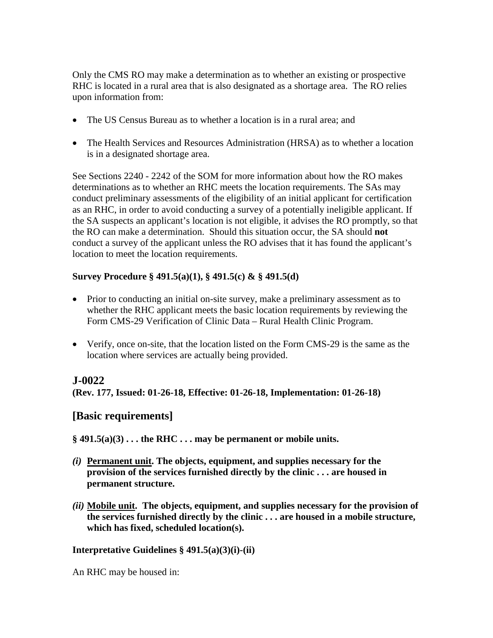Only the CMS RO may make a determination as to whether an existing or prospective RHC is located in a rural area that is also designated as a shortage area. The RO relies upon information from:

- The US Census Bureau as to whether a location is in a rural area; and
- The Health Services and Resources Administration (HRSA) as to whether a location is in a designated shortage area.

See Sections 2240 - 2242 of the SOM for more information about how the RO makes determinations as to whether an RHC meets the location requirements. The SAs may conduct preliminary assessments of the eligibility of an initial applicant for certification as an RHC, in order to avoid conducting a survey of a potentially ineligible applicant. If the SA suspects an applicant's location is not eligible, it advises the RO promptly, so that the RO can make a determination. Should this situation occur, the SA should **not** conduct a survey of the applicant unless the RO advises that it has found the applicant's location to meet the location requirements.

### **Survey Procedure § 491.5(a)(1), § 491.5(c) & § 491.5(d)**

- Prior to conducting an initial on-site survey, make a preliminary assessment as to whether the RHC applicant meets the basic location requirements by reviewing the Form CMS-29 Verification of Clinic Data – Rural Health Clinic Program.
- Verify, once on-site, that the location listed on the Form CMS-29 is the same as the location where services are actually being provided.

# **J-0022**

**(Rev. 177, Issued: 01-26-18, Effective: 01-26-18, Implementation: 01-26-18)**

# **[Basic requirements]**

 $\S$  491.5(a)(3) . . . the RHC . . . may be permanent or mobile units.

- *(i)* **Permanent unit. The objects, equipment, and supplies necessary for the provision of the services furnished directly by the clinic . . . are housed in permanent structure.**
- *(ii)* **Mobile unit. The objects, equipment, and supplies necessary for the provision of the services furnished directly by the clinic . . . are housed in a mobile structure, which has fixed, scheduled location(s).**

#### **Interpretative Guidelines § 491.5(a)(3)(i)-(ii)**

An RHC may be housed in: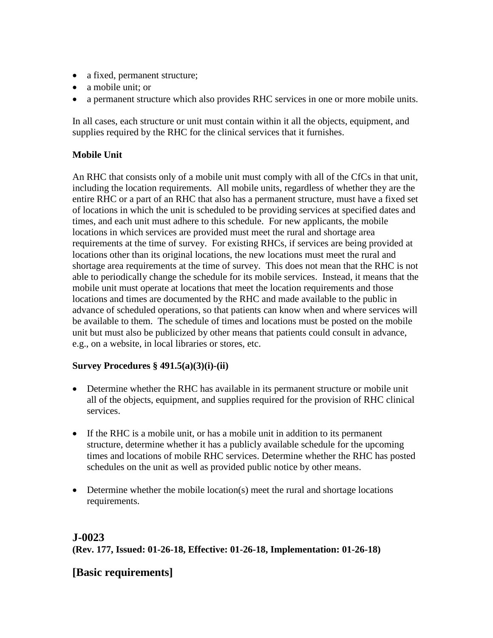- a fixed, permanent structure;
- a mobile unit; or
- a permanent structure which also provides RHC services in one or more mobile units.

In all cases, each structure or unit must contain within it all the objects, equipment, and supplies required by the RHC for the clinical services that it furnishes.

### **Mobile Unit**

An RHC that consists only of a mobile unit must comply with all of the CfCs in that unit, including the location requirements. All mobile units, regardless of whether they are the entire RHC or a part of an RHC that also has a permanent structure, must have a fixed set of locations in which the unit is scheduled to be providing services at specified dates and times, and each unit must adhere to this schedule. For new applicants, the mobile locations in which services are provided must meet the rural and shortage area requirements at the time of survey. For existing RHCs, if services are being provided at locations other than its original locations, the new locations must meet the rural and shortage area requirements at the time of survey. This does not mean that the RHC is not able to periodically change the schedule for its mobile services. Instead, it means that the mobile unit must operate at locations that meet the location requirements and those locations and times are documented by the RHC and made available to the public in advance of scheduled operations, so that patients can know when and where services will be available to them. The schedule of times and locations must be posted on the mobile unit but must also be publicized by other means that patients could consult in advance, e.g., on a website, in local libraries or stores, etc.

#### **Survey Procedures § 491.5(a)(3)(i)-(ii)**

- Determine whether the RHC has available in its permanent structure or mobile unit all of the objects, equipment, and supplies required for the provision of RHC clinical services.
- If the RHC is a mobile unit, or has a mobile unit in addition to its permanent structure, determine whether it has a publicly available schedule for the upcoming times and locations of mobile RHC services. Determine whether the RHC has posted schedules on the unit as well as provided public notice by other means.
- Determine whether the mobile location(s) meet the rural and shortage locations requirements.

# **J-0023 (Rev. 177, Issued: 01-26-18, Effective: 01-26-18, Implementation: 01-26-18)**

# **[Basic requirements]**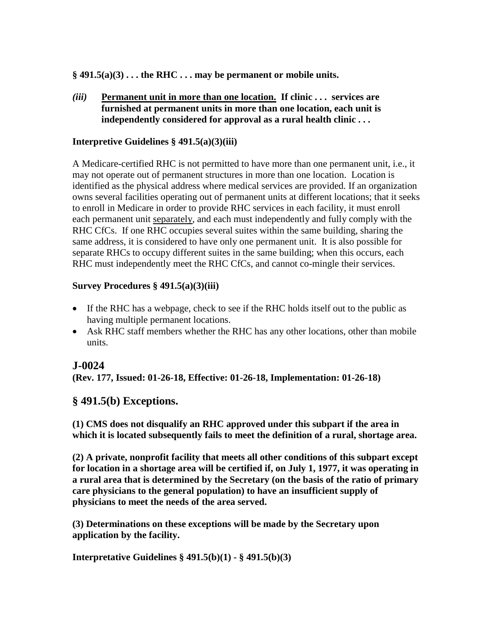$\S$  491.5(a)(3) . . . the RHC . . . may be permanent or mobile units.

*(iii)* **Permanent unit in more than one location. If clinic . . . services are furnished at permanent units in more than one location, each unit is independently considered for approval as a rural health clinic . . .**

#### **Interpretive Guidelines § 491.5(a)(3)(iii)**

A Medicare-certified RHC is not permitted to have more than one permanent unit, i.e., it may not operate out of permanent structures in more than one location. Location is identified as the physical address where medical services are provided. If an organization owns several facilities operating out of permanent units at different locations; that it seeks to enroll in Medicare in order to provide RHC services in each facility, it must enroll each permanent unit separately, and each must independently and fully comply with the RHC CfCs. If one RHC occupies several suites within the same building, sharing the same address, it is considered to have only one permanent unit. It is also possible for separate RHCs to occupy different suites in the same building; when this occurs, each RHC must independently meet the RHC CfCs, and cannot co-mingle their services.

#### **Survey Procedures § 491.5(a)(3)(iii)**

- If the RHC has a webpage, check to see if the RHC holds itself out to the public as having multiple permanent locations.
- Ask RHC staff members whether the RHC has any other locations, other than mobile units.

# **J-0024**

**(Rev. 177, Issued: 01-26-18, Effective: 01-26-18, Implementation: 01-26-18)**

# **§ 491.5(b) Exceptions.**

**(1) CMS does not disqualify an RHC approved under this subpart if the area in which it is located subsequently fails to meet the definition of a rural, shortage area.**

**(2) A private, nonprofit facility that meets all other conditions of this subpart except for location in a shortage area will be certified if, on July 1, 1977, it was operating in a rural area that is determined by the Secretary (on the basis of the ratio of primary care physicians to the general population) to have an insufficient supply of physicians to meet the needs of the area served.**

**(3) Determinations on these exceptions will be made by the Secretary upon application by the facility.**

**Interpretative Guidelines § 491.5(b)(1) - § 491.5(b)(3)**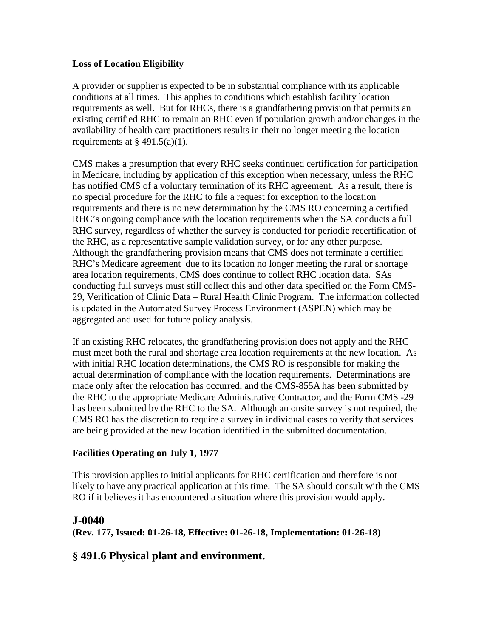#### **Loss of Location Eligibility**

A provider or supplier is expected to be in substantial compliance with its applicable conditions at all times. This applies to conditions which establish facility location requirements as well. But for RHCs, there is a grandfathering provision that permits an existing certified RHC to remain an RHC even if population growth and/or changes in the availability of health care practitioners results in their no longer meeting the location requirements at  $\S$  491.5(a)(1).

CMS makes a presumption that every RHC seeks continued certification for participation in Medicare, including by application of this exception when necessary, unless the RHC has notified CMS of a voluntary termination of its RHC agreement. As a result, there is no special procedure for the RHC to file a request for exception to the location requirements and there is no new determination by the CMS RO concerning a certified RHC's ongoing compliance with the location requirements when the SA conducts a full RHC survey, regardless of whether the survey is conducted for periodic recertification of the RHC, as a representative sample validation survey, or for any other purpose. Although the grandfathering provision means that CMS does not terminate a certified RHC's Medicare agreement due to its location no longer meeting the rural or shortage area location requirements, CMS does continue to collect RHC location data. SAs conducting full surveys must still collect this and other data specified on the Form CMS-29, Verification of Clinic Data – Rural Health Clinic Program. The information collected is updated in the Automated Survey Process Environment (ASPEN) which may be aggregated and used for future policy analysis.

If an existing RHC relocates, the grandfathering provision does not apply and the RHC must meet both the rural and shortage area location requirements at the new location. As with initial RHC location determinations, the CMS RO is responsible for making the actual determination of compliance with the location requirements. Determinations are made only after the relocation has occurred, and the CMS-855A has been submitted by the RHC to the appropriate Medicare Administrative Contractor, and the Form CMS -29 has been submitted by the RHC to the SA. Although an onsite survey is not required, the CMS RO has the discretion to require a survey in individual cases to verify that services are being provided at the new location identified in the submitted documentation.

#### **Facilities Operating on July 1, 1977**

This provision applies to initial applicants for RHC certification and therefore is not likely to have any practical application at this time. The SA should consult with the CMS RO if it believes it has encountered a situation where this provision would apply.

# **J-0040 (Rev. 177, Issued: 01-26-18, Effective: 01-26-18, Implementation: 01-26-18)**

# **§ 491.6 Physical plant and environment.**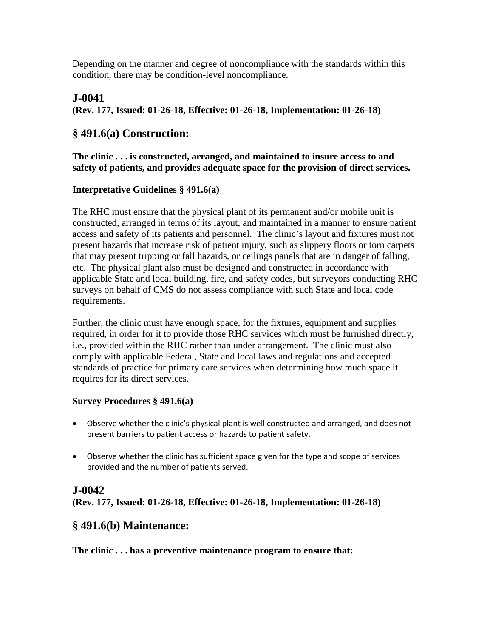Depending on the manner and degree of noncompliance with the standards within this condition, there may be condition-level noncompliance.

# **J-0041**

**(Rev. 177, Issued: 01-26-18, Effective: 01-26-18, Implementation: 01-26-18)**

# **§ 491.6(a) Construction:**

**The clinic . . . is constructed, arranged, and maintained to insure access to and safety of patients, and provides adequate space for the provision of direct services.**

#### **Interpretative Guidelines § 491.6(a)**

The RHC must ensure that the physical plant of its permanent and/or mobile unit is constructed, arranged in terms of its layout, and maintained in a manner to ensure patient access and safety of its patients and personnel. The clinic's layout and fixtures must not present hazards that increase risk of patient injury, such as slippery floors or torn carpets that may present tripping or fall hazards, or ceilings panels that are in danger of falling, etc. The physical plant also must be designed and constructed in accordance with applicable State and local building, fire, and safety codes, but surveyors conducting RHC surveys on behalf of CMS do not assess compliance with such State and local code requirements.

Further, the clinic must have enough space, for the fixtures, equipment and supplies required, in order for it to provide those RHC services which must be furnished directly, i.e., provided within the RHC rather than under arrangement. The clinic must also comply with applicable Federal, State and local laws and regulations and accepted standards of practice for primary care services when determining how much space it requires for its direct services.

#### **Survey Procedures § 491.6(a)**

- Observe whether the clinic's physical plant is well constructed and arranged, and does not present barriers to patient access or hazards to patient safety.
- Observe whether the clinic has sufficient space given for the type and scope of services provided and the number of patients served.

# **J-0042**

**(Rev. 177, Issued: 01-26-18, Effective: 01-26-18, Implementation: 01-26-18)**

# **§ 491.6(b) Maintenance:**

**The clinic . . . has a preventive maintenance program to ensure that:**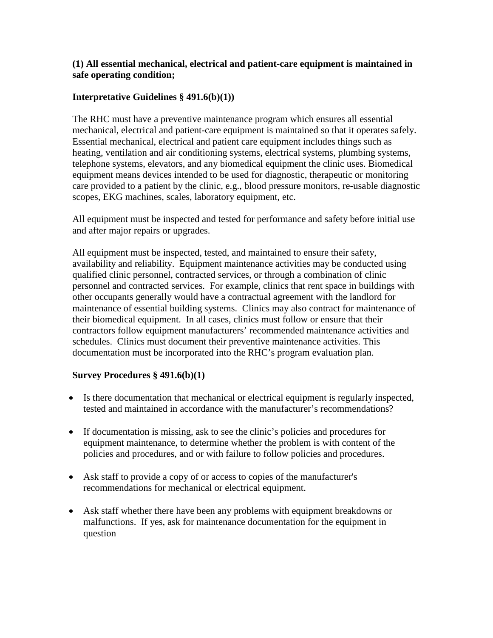#### **(1) All essential mechanical, electrical and patient-care equipment is maintained in safe operating condition;**

#### **Interpretative Guidelines § 491.6(b)(1))**

The RHC must have a preventive maintenance program which ensures all essential mechanical, electrical and patient-care equipment is maintained so that it operates safely. Essential mechanical, electrical and patient care equipment includes things such as heating, ventilation and air conditioning systems, electrical systems, plumbing systems, telephone systems, elevators, and any biomedical equipment the clinic uses. Biomedical equipment means devices intended to be used for diagnostic, therapeutic or monitoring care provided to a patient by the clinic, e.g., blood pressure monitors, re-usable diagnostic scopes, EKG machines, scales, laboratory equipment, etc.

All equipment must be inspected and tested for performance and safety before initial use and after major repairs or upgrades.

All equipment must be inspected, tested, and maintained to ensure their safety, availability and reliability. Equipment maintenance activities may be conducted using qualified clinic personnel, contracted services, or through a combination of clinic personnel and contracted services. For example, clinics that rent space in buildings with other occupants generally would have a contractual agreement with the landlord for maintenance of essential building systems. Clinics may also contract for maintenance of their biomedical equipment. In all cases, clinics must follow or ensure that their contractors follow equipment manufacturers' recommended maintenance activities and schedules. Clinics must document their preventive maintenance activities. This documentation must be incorporated into the RHC's program evaluation plan.

#### **Survey Procedures § 491.6(b)(1)**

- Is there documentation that mechanical or electrical equipment is regularly inspected, tested and maintained in accordance with the manufacturer's recommendations?
- If documentation is missing, ask to see the clinic's policies and procedures for equipment maintenance, to determine whether the problem is with content of the policies and procedures, and or with failure to follow policies and procedures.
- Ask staff to provide a copy of or access to copies of the manufacturer's recommendations for mechanical or electrical equipment.
- Ask staff whether there have been any problems with equipment breakdowns or malfunctions. If yes, ask for maintenance documentation for the equipment in question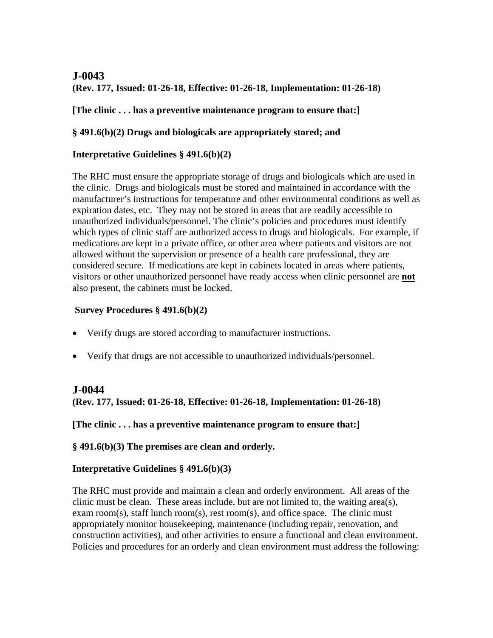# **J-0043**

**(Rev. 177, Issued: 01-26-18, Effective: 01-26-18, Implementation: 01-26-18)**

**[The clinic . . . has a preventive maintenance program to ensure that:]**

### **§ 491.6(b)(2) Drugs and biologicals are appropriately stored; and**

### **Interpretative Guidelines § 491.6(b)(2)**

The RHC must ensure the appropriate storage of drugs and biologicals which are used in the clinic. Drugs and biologicals must be stored and maintained in accordance with the manufacturer's instructions for temperature and other environmental conditions as well as expiration dates, etc. They may not be stored in areas that are readily accessible to unauthorized individuals/personnel. The clinic's policies and procedures must identify which types of clinic staff are authorized access to drugs and biologicals. For example, if medications are kept in a private office, or other area where patients and visitors are not allowed without the supervision or presence of a health care professional, they are considered secure. If medications are kept in cabinets located in areas where patients, visitors or other unauthorized personnel have ready access when clinic personnel are **not** also present, the cabinets must be locked.

### **Survey Procedures § 491.6(b)(2)**

- Verify drugs are stored according to manufacturer instructions.
- Verify that drugs are not accessible to unauthorized individuals/personnel.

# **J-0044**

**(Rev. 177, Issued: 01-26-18, Effective: 01-26-18, Implementation: 01-26-18)**

**[The clinic . . . has a preventive maintenance program to ensure that:]**

**§ 491.6(b)(3) The premises are clean and orderly.**

# **Interpretative Guidelines § 491.6(b)(3)**

The RHC must provide and maintain a clean and orderly environment. All areas of the clinic must be clean. These areas include, but are not limited to, the waiting area(s), exam room(s), staff lunch room(s), rest room(s), and office space. The clinic must appropriately monitor housekeeping, maintenance (including repair, renovation, and construction activities), and other activities to ensure a functional and clean environment. Policies and procedures for an orderly and clean environment must address the following: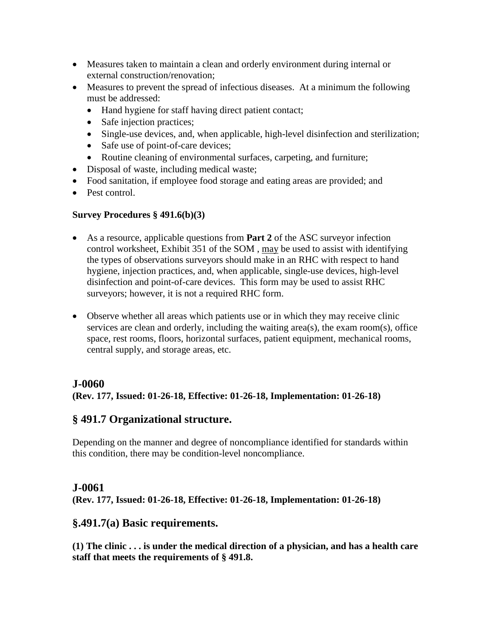- Measures taken to maintain a clean and orderly environment during internal or external construction/renovation;
- Measures to prevent the spread of infectious diseases. At a minimum the following must be addressed:
	- Hand hygiene for staff having direct patient contact;
	- Safe injection practices;
	- Single-use devices, and, when applicable, high-level disinfection and sterilization;
	- Safe use of point-of-care devices;
	- Routine cleaning of environmental surfaces, carpeting, and furniture;
- Disposal of waste, including medical waste;
- Food sanitation, if employee food storage and eating areas are provided; and
- Pest control.

#### **Survey Procedures § 491.6(b)(3)**

- As a resource, applicable questions from **Part 2** of the ASC surveyor infection control worksheet, Exhibit 351 of the SOM , may be used to assist with identifying the types of observations surveyors should make in an RHC with respect to hand hygiene, injection practices, and, when applicable, single-use devices, high-level disinfection and point-of-care devices. This form may be used to assist RHC surveyors; however, it is not a required RHC form.
- Observe whether all areas which patients use or in which they may receive clinic services are clean and orderly, including the waiting area(s), the exam room(s), office space, rest rooms, floors, horizontal surfaces, patient equipment, mechanical rooms, central supply, and storage areas, etc.

# **J-0060**

**(Rev. 177, Issued: 01-26-18, Effective: 01-26-18, Implementation: 01-26-18)**

# **§ 491.7 Organizational structure.**

Depending on the manner and degree of noncompliance identified for standards within this condition, there may be condition-level noncompliance.

#### **J-0061**

**(Rev. 177, Issued: 01-26-18, Effective: 01-26-18, Implementation: 01-26-18)**

# **§.491.7(a) Basic requirements.**

**(1) The clinic . . . is under the medical direction of a physician, and has a health care staff that meets the requirements of § 491.8.**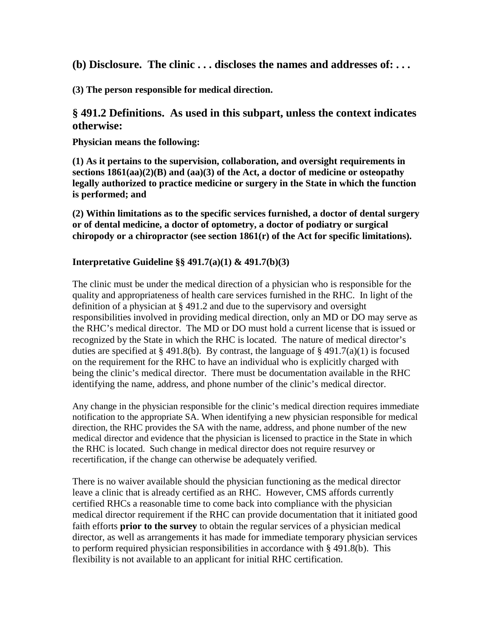**(b) Disclosure. The clinic . . . discloses the names and addresses of: . . .**

**(3) The person responsible for medical direction.**

# **§ 491.2 Definitions. As used in this subpart, unless the context indicates otherwise:**

**Physician means the following:**

**(1) As it pertains to the supervision, collaboration, and oversight requirements in sections 1861(aa)(2)(B) and (aa)(3) of the Act, a doctor of medicine or osteopathy legally authorized to practice medicine or surgery in the State in which the function is performed; and**

**(2) Within limitations as to the specific services furnished, a doctor of dental surgery or of dental medicine, a doctor of optometry, a doctor of podiatry or surgical chiropody or a chiropractor (see section 1861(r) of the Act for specific limitations).**

### **Interpretative Guideline §§ 491.7(a)(1) & 491.7(b)(3)**

The clinic must be under the medical direction of a physician who is responsible for the quality and appropriateness of health care services furnished in the RHC. In light of the definition of a physician at § 491.2 and due to the supervisory and oversight responsibilities involved in providing medical direction, only an MD or DO may serve as the RHC's medical director. The MD or DO must hold a current license that is issued or recognized by the State in which the RHC is located. The nature of medical director's duties are specified at § 491.8(b). By contrast, the language of § 491.7(a)(1) is focused on the requirement for the RHC to have an individual who is explicitly charged with being the clinic's medical director. There must be documentation available in the RHC identifying the name, address, and phone number of the clinic's medical director.

Any change in the physician responsible for the clinic's medical direction requires immediate notification to the appropriate SA. When identifying a new physician responsible for medical direction, the RHC provides the SA with the name, address, and phone number of the new medical director and evidence that the physician is licensed to practice in the State in which the RHC is located. Such change in medical director does not require resurvey or recertification, if the change can otherwise be adequately verified.

There is no waiver available should the physician functioning as the medical director leave a clinic that is already certified as an RHC. However, CMS affords currently certified RHCs a reasonable time to come back into compliance with the physician medical director requirement if the RHC can provide documentation that it initiated good faith efforts **prior to the survey** to obtain the regular services of a physician medical director, as well as arrangements it has made for immediate temporary physician services to perform required physician responsibilities in accordance with § 491.8(b). This flexibility is not available to an applicant for initial RHC certification.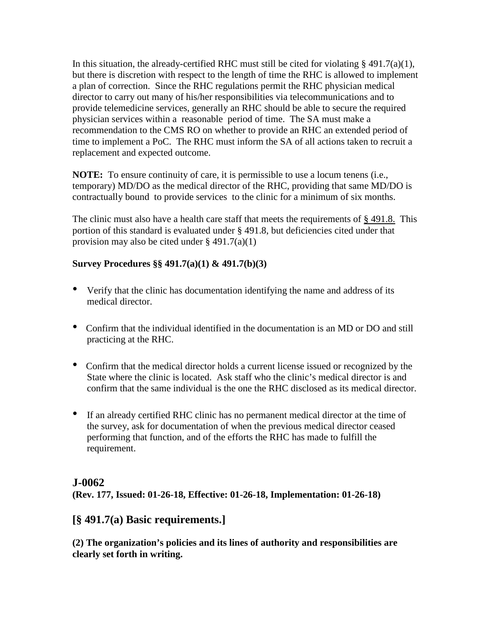In this situation, the already-certified RHC must still be cited for violating § 491.7(a)(1), but there is discretion with respect to the length of time the RHC is allowed to implement a plan of correction. Since the RHC regulations permit the RHC physician medical director to carry out many of his/her responsibilities via telecommunications and to provide telemedicine services, generally an RHC should be able to secure the required physician services within a reasonable period of time. The SA must make a recommendation to the CMS RO on whether to provide an RHC an extended period of time to implement a PoC. The RHC must inform the SA of all actions taken to recruit a replacement and expected outcome.

**NOTE:** To ensure continuity of care, it is permissible to use a locum tenens (i.e., temporary) MD/DO as the medical director of the RHC, providing that same MD/DO is contractually bound to provide services to the clinic for a minimum of six months.

The clinic must also have a health care staff that meets the requirements of §491.8. This portion of this standard is evaluated under § 491.8, but deficiencies cited under that provision may also be cited under  $\S 491.7(a)(1)$ 

### **Survey Procedures §§ 491.7(a)(1) & 491.7(b)(3)**

- Verify that the clinic has documentation identifying the name and address of its medical director.
- Confirm that the individual identified in the documentation is an MD or DO and still practicing at the RHC.
- Confirm that the medical director holds a current license issued or recognized by the State where the clinic is located. Ask staff who the clinic's medical director is and confirm that the same individual is the one the RHC disclosed as its medical director.
- If an already certified RHC clinic has no permanent medical director at the time of the survey, ask for documentation of when the previous medical director ceased performing that function, and of the efforts the RHC has made to fulfill the requirement.

# **J-0062**

**(Rev. 177, Issued: 01-26-18, Effective: 01-26-18, Implementation: 01-26-18)**

# **[§ 491.7(a) Basic requirements.]**

**(2) The organization's policies and its lines of authority and responsibilities are clearly set forth in writing.**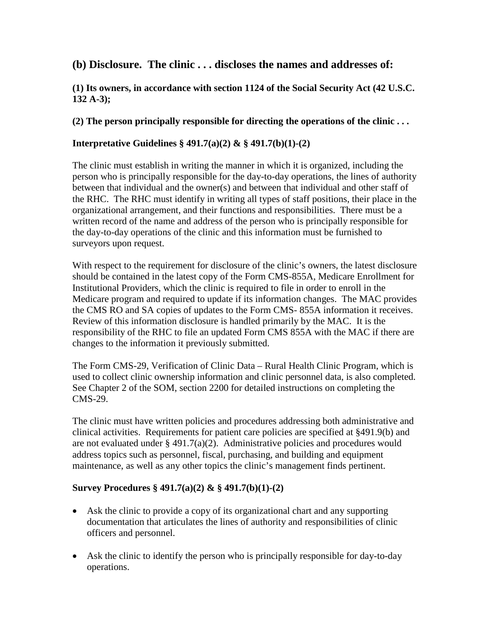# **(b) Disclosure. The clinic . . . discloses the names and addresses of:**

#### **(1) Its owners, in accordance with section 1124 of the Social Security Act (42 U.S.C. 132 A-3);**

#### **(2) The person principally responsible for directing the operations of the clinic . . .**

#### **Interpretative Guidelines § 491.7(a)(2) & § 491.7(b)(1)-(2)**

The clinic must establish in writing the manner in which it is organized, including the person who is principally responsible for the day-to-day operations, the lines of authority between that individual and the owner(s) and between that individual and other staff of the RHC. The RHC must identify in writing all types of staff positions, their place in the organizational arrangement, and their functions and responsibilities. There must be a written record of the name and address of the person who is principally responsible for the day-to-day operations of the clinic and this information must be furnished to surveyors upon request.

With respect to the requirement for disclosure of the clinic's owners, the latest disclosure should be contained in the latest copy of the Form CMS-855A, Medicare Enrollment for Institutional Providers, which the clinic is required to file in order to enroll in the Medicare program and required to update if its information changes. The MAC provides the CMS RO and SA copies of updates to the Form CMS- 855A information it receives. Review of this information disclosure is handled primarily by the MAC. It is the responsibility of the RHC to file an updated Form CMS 855A with the MAC if there are changes to the information it previously submitted.

The Form CMS-29, Verification of Clinic Data – Rural Health Clinic Program, which is used to collect clinic ownership information and clinic personnel data, is also completed. See Chapter 2 of the SOM, section 2200 for detailed instructions on completing the CMS-29.

The clinic must have written policies and procedures addressing both administrative and clinical activities. Requirements for patient care policies are specified at §491.9(b) and are not evaluated under  $\S 491.7(a)(2)$ . Administrative policies and procedures would address topics such as personnel, fiscal, purchasing, and building and equipment maintenance, as well as any other topics the clinic's management finds pertinent.

#### **Survey Procedures § 491.7(a)(2) & § 491.7(b)(1)-(2)**

- Ask the clinic to provide a copy of its organizational chart and any supporting documentation that articulates the lines of authority and responsibilities of clinic officers and personnel.
- Ask the clinic to identify the person who is principally responsible for day-to-day operations.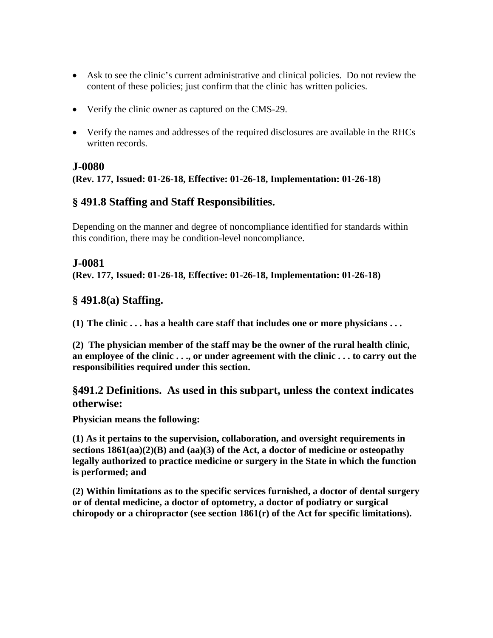- Ask to see the clinic's current administrative and clinical policies. Do not review the content of these policies; just confirm that the clinic has written policies.
- Verify the clinic owner as captured on the CMS-29.
- Verify the names and addresses of the required disclosures are available in the RHCs written records.

### **J-0080**

# **(Rev. 177, Issued: 01-26-18, Effective: 01-26-18, Implementation: 01-26-18)**

# **§ 491.8 Staffing and Staff Responsibilities.**

Depending on the manner and degree of noncompliance identified for standards within this condition, there may be condition-level noncompliance.

# **J-0081**

**(Rev. 177, Issued: 01-26-18, Effective: 01-26-18, Implementation: 01-26-18)**

# **§ 491.8(a) Staffing.**

**(1) The clinic . . . has a health care staff that includes one or more physicians . . .** 

**(2) The physician member of the staff may be the owner of the rural health clinic, an employee of the clinic . . ., or under agreement with the clinic . . . to carry out the responsibilities required under this section.**

# **§491.2 Definitions. As used in this subpart, unless the context indicates otherwise:**

**Physician means the following:**

**(1) As it pertains to the supervision, collaboration, and oversight requirements in sections 1861(aa)(2)(B) and (aa)(3) of the Act, a doctor of medicine or osteopathy legally authorized to practice medicine or surgery in the State in which the function is performed; and**

**(2) Within limitations as to the specific services furnished, a doctor of dental surgery or of dental medicine, a doctor of optometry, a doctor of podiatry or surgical chiropody or a chiropractor (see section 1861(r) of the Act for specific limitations).**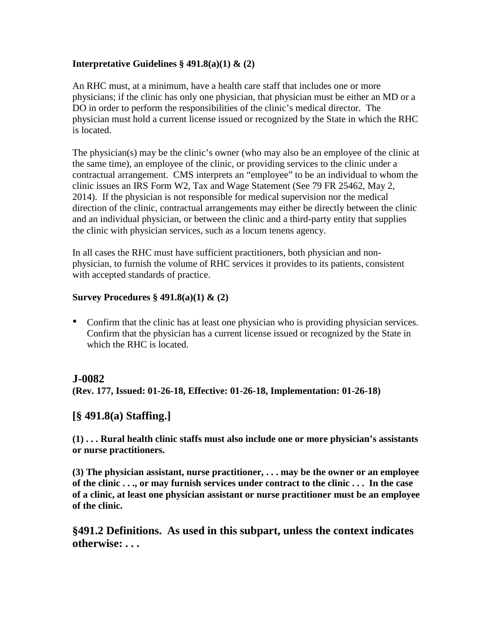#### **Interpretative Guidelines § 491.8(a)(1) & (2)**

An RHC must, at a minimum, have a health care staff that includes one or more physicians; if the clinic has only one physician, that physician must be either an MD or a DO in order to perform the responsibilities of the clinic's medical director. The physician must hold a current license issued or recognized by the State in which the RHC is located.

The physician(s) may be the clinic's owner (who may also be an employee of the clinic at the same time), an employee of the clinic, or providing services to the clinic under a contractual arrangement. CMS interprets an "employee" to be an individual to whom the clinic issues an IRS Form W2, Tax and Wage Statement (See 79 FR 25462, May 2, 2014). If the physician is not responsible for medical supervision nor the medical direction of the clinic, contractual arrangements may either be directly between the clinic and an individual physician, or between the clinic and a third-party entity that supplies the clinic with physician services, such as a locum tenens agency.

In all cases the RHC must have sufficient practitioners, both physician and nonphysician, to furnish the volume of RHC services it provides to its patients, consistent with accepted standards of practice.

### **Survey Procedures § 491.8(a)(1) & (2)**

• Confirm that the clinic has at least one physician who is providing physician services. Confirm that the physician has a current license issued or recognized by the State in which the RHC is located.

# **J-0082**

**(Rev. 177, Issued: 01-26-18, Effective: 01-26-18, Implementation: 01-26-18)**

# **[§ 491.8(a) Staffing.]**

**(1) . . . Rural health clinic staffs must also include one or more physician's assistants or nurse practitioners.**

**(3) The physician assistant, nurse practitioner, . . . may be the owner or an employee of the clinic . . ., or may furnish services under contract to the clinic . . . In the case of a clinic, at least one physician assistant or nurse practitioner must be an employee of the clinic.**

**§491.2 Definitions. As used in this subpart, unless the context indicates otherwise: . . .**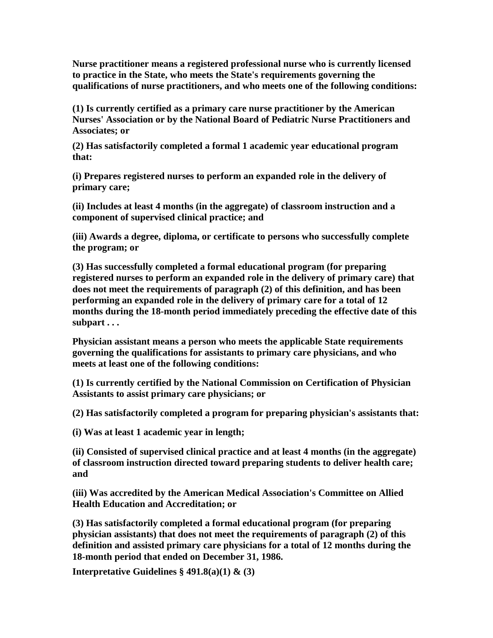**Nurse practitioner means a registered professional nurse who is currently licensed to practice in the State, who meets the State's requirements governing the qualifications of nurse practitioners, and who meets one of the following conditions:**

**(1) Is currently certified as a primary care nurse practitioner by the American Nurses' Association or by the National Board of Pediatric Nurse Practitioners and Associates; or**

**(2) Has satisfactorily completed a formal 1 academic year educational program that:**

**(i) Prepares registered nurses to perform an expanded role in the delivery of primary care;**

**(ii) Includes at least 4 months (in the aggregate) of classroom instruction and a component of supervised clinical practice; and**

**(iii) Awards a degree, diploma, or certificate to persons who successfully complete the program; or**

**(3) Has successfully completed a formal educational program (for preparing registered nurses to perform an expanded role in the delivery of primary care) that does not meet the requirements of paragraph (2) of this definition, and has been performing an expanded role in the delivery of primary care for a total of 12 months during the 18-month period immediately preceding the effective date of this subpart . . .**

**Physician assistant means a person who meets the applicable State requirements governing the qualifications for assistants to primary care physicians, and who meets at least one of the following conditions:**

**(1) Is currently certified by the National Commission on Certification of Physician Assistants to assist primary care physicians; or**

**(2) Has satisfactorily completed a program for preparing physician's assistants that:**

**(i) Was at least 1 academic year in length;**

**(ii) Consisted of supervised clinical practice and at least 4 months (in the aggregate) of classroom instruction directed toward preparing students to deliver health care; and**

**(iii) Was accredited by the American Medical Association's Committee on Allied Health Education and Accreditation; or**

**(3) Has satisfactorily completed a formal educational program (for preparing physician assistants) that does not meet the requirements of paragraph (2) of this definition and assisted primary care physicians for a total of 12 months during the 18-month period that ended on December 31, 1986.**

**Interpretative Guidelines § 491.8(a)(1) & (3)**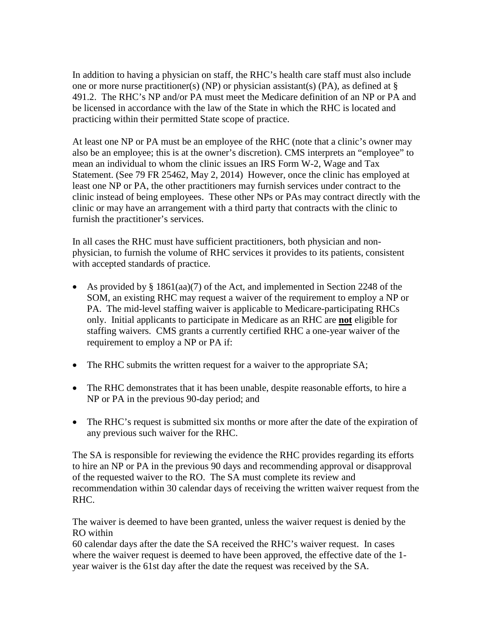In addition to having a physician on staff, the RHC's health care staff must also include one or more nurse practitioner(s) (NP) or physician assistant(s) (PA), as defined at  $\S$ 491.2. The RHC's NP and/or PA must meet the Medicare definition of an NP or PA and be licensed in accordance with the law of the State in which the RHC is located and practicing within their permitted State scope of practice.

At least one NP or PA must be an employee of the RHC (note that a clinic's owner may also be an employee; this is at the owner's discretion). CMS interprets an "employee" to mean an individual to whom the clinic issues an IRS Form W-2, Wage and Tax Statement. (See 79 FR 25462, May 2, 2014) However, once the clinic has employed at least one NP or PA, the other practitioners may furnish services under contract to the clinic instead of being employees. These other NPs or PAs may contract directly with the clinic or may have an arrangement with a third party that contracts with the clinic to furnish the practitioner's services.

In all cases the RHC must have sufficient practitioners, both physician and nonphysician, to furnish the volume of RHC services it provides to its patients, consistent with accepted standards of practice.

- As provided by § 1861(aa)(7) of the Act, and implemented in Section 2248 of the SOM, an existing RHC may request a waiver of the requirement to employ a NP or PA. The mid-level staffing waiver is applicable to Medicare-participating RHCs only. Initial applicants to participate in Medicare as an RHC are **not** eligible for staffing waivers. CMS grants a currently certified RHC a one-year waiver of the requirement to employ a NP or PA if:
- The RHC submits the written request for a waiver to the appropriate SA;
- The RHC demonstrates that it has been unable, despite reasonable efforts, to hire a NP or PA in the previous 90-day period; and
- The RHC's request is submitted six months or more after the date of the expiration of any previous such waiver for the RHC.

The SA is responsible for reviewing the evidence the RHC provides regarding its efforts to hire an NP or PA in the previous 90 days and recommending approval or disapproval of the requested waiver to the RO. The SA must complete its review and recommendation within 30 calendar days of receiving the written waiver request from the RHC.

The waiver is deemed to have been granted, unless the waiver request is denied by the RO within

60 calendar days after the date the SA received the RHC's waiver request. In cases where the waiver request is deemed to have been approved, the effective date of the 1 year waiver is the 61st day after the date the request was received by the SA.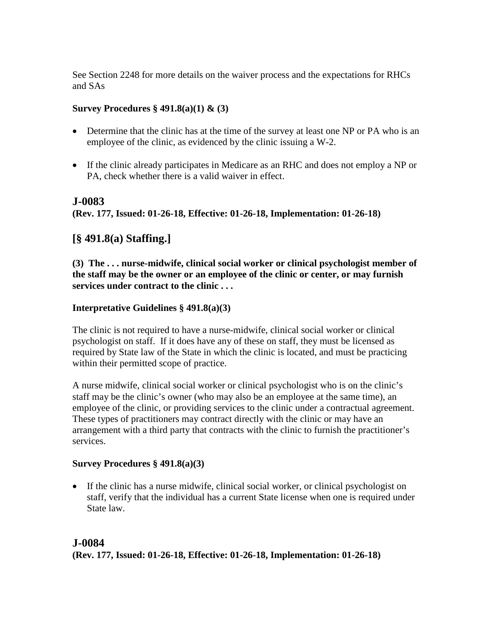See Section 2248 for more details on the waiver process and the expectations for RHCs and SAs

### **Survey Procedures § 491.8(a)(1) & (3)**

- Determine that the clinic has at the time of the survey at least one NP or PA who is an employee of the clinic, as evidenced by the clinic issuing a W-2.
- If the clinic already participates in Medicare as an RHC and does not employ a NP or PA, check whether there is a valid waiver in effect.

# **J-0083**

**(Rev. 177, Issued: 01-26-18, Effective: 01-26-18, Implementation: 01-26-18)**

# **[§ 491.8(a) Staffing.]**

**(3) The . . . nurse-midwife, clinical social worker or clinical psychologist member of the staff may be the owner or an employee of the clinic or center, or may furnish services under contract to the clinic . . .**

# **Interpretative Guidelines § 491.8(a)(3)**

The clinic is not required to have a nurse-midwife, clinical social worker or clinical psychologist on staff. If it does have any of these on staff, they must be licensed as required by State law of the State in which the clinic is located, and must be practicing within their permitted scope of practice.

A nurse midwife, clinical social worker or clinical psychologist who is on the clinic's staff may be the clinic's owner (who may also be an employee at the same time), an employee of the clinic, or providing services to the clinic under a contractual agreement. These types of practitioners may contract directly with the clinic or may have an arrangement with a third party that contracts with the clinic to furnish the practitioner's services.

#### **Survey Procedures § 491.8(a)(3)**

• If the clinic has a nurse midwife, clinical social worker, or clinical psychologist on staff, verify that the individual has a current State license when one is required under State law.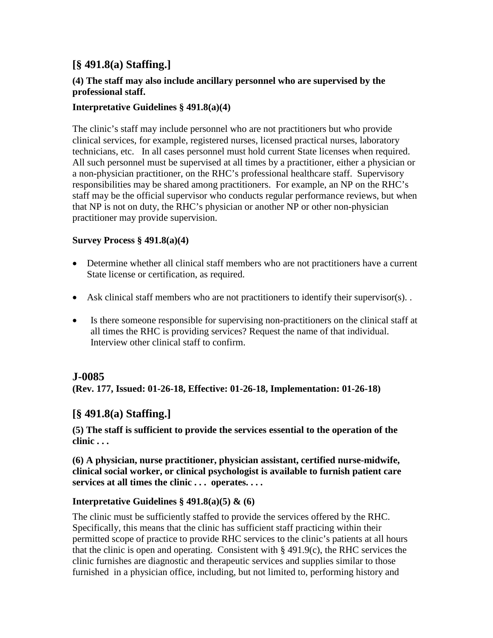# **[§ 491.8(a) Staffing.]**

#### **(4) The staff may also include ancillary personnel who are supervised by the professional staff.**

### **Interpretative Guidelines § 491.8(a)(4)**

The clinic's staff may include personnel who are not practitioners but who provide clinical services, for example, registered nurses, licensed practical nurses, laboratory technicians, etc. In all cases personnel must hold current State licenses when required. All such personnel must be supervised at all times by a practitioner, either a physician or a non-physician practitioner, on the RHC's professional healthcare staff. Supervisory responsibilities may be shared among practitioners. For example, an NP on the RHC's staff may be the official supervisor who conducts regular performance reviews, but when that NP is not on duty, the RHC's physician or another NP or other non-physician practitioner may provide supervision.

#### **Survey Process § 491.8(a)(4)**

- Determine whether all clinical staff members who are not practitioners have a current State license or certification, as required.
- Ask clinical staff members who are not practitioners to identify their supervisor(s).
- Is there someone responsible for supervising non-practitioners on the clinical staff at all times the RHC is providing services? Request the name of that individual. Interview other clinical staff to confirm.

# **J-0085**

**(Rev. 177, Issued: 01-26-18, Effective: 01-26-18, Implementation: 01-26-18)**

# **[§ 491.8(a) Staffing.]**

**(5) The staff is sufficient to provide the services essential to the operation of the clinic . . .**

**(6) A physician, nurse practitioner, physician assistant, certified nurse-midwife, clinical social worker, or clinical psychologist is available to furnish patient care services at all times the clinic . . . operates. . . .** 

#### **Interpretative Guidelines § 491.8(a)(5) & (6)**

The clinic must be sufficiently staffed to provide the services offered by the RHC. Specifically, this means that the clinic has sufficient staff practicing within their permitted scope of practice to provide RHC services to the clinic's patients at all hours that the clinic is open and operating. Consistent with  $\S 491.9(c)$ , the RHC services the clinic furnishes are diagnostic and therapeutic services and supplies similar to those furnished in a physician office, including, but not limited to, performing history and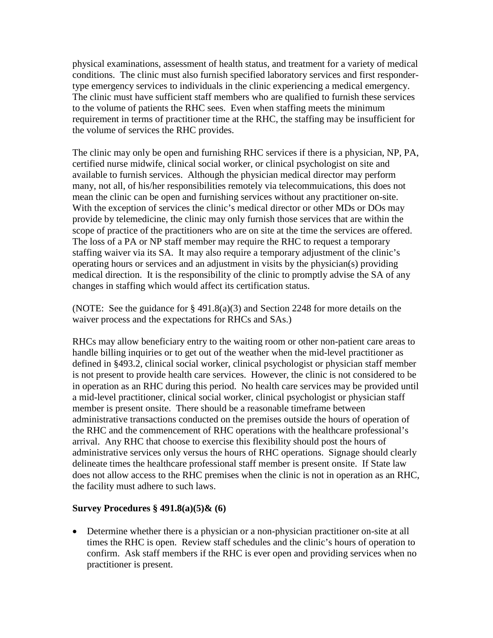physical examinations, assessment of health status, and treatment for a variety of medical conditions. The clinic must also furnish specified laboratory services and first respondertype emergency services to individuals in the clinic experiencing a medical emergency. The clinic must have sufficient staff members who are qualified to furnish these services to the volume of patients the RHC sees. Even when staffing meets the minimum requirement in terms of practitioner time at the RHC, the staffing may be insufficient for the volume of services the RHC provides.

The clinic may only be open and furnishing RHC services if there is a physician, NP, PA, certified nurse midwife, clinical social worker, or clinical psychologist on site and available to furnish services. Although the physician medical director may perform many, not all, of his/her responsibilities remotely via telecommuications, this does not mean the clinic can be open and furnishing services without any practitioner on-site. With the exception of services the clinic's medical director or other MDs or DOs may provide by telemedicine, the clinic may only furnish those services that are within the scope of practice of the practitioners who are on site at the time the services are offered. The loss of a PA or NP staff member may require the RHC to request a temporary staffing waiver via its SA. It may also require a temporary adjustment of the clinic's operating hours or services and an adjustment in visits by the physician(s) providing medical direction. It is the responsibility of the clinic to promptly advise the SA of any changes in staffing which would affect its certification status.

(NOTE: See the guidance for § 491.8(a)(3) and Section 2248 for more details on the waiver process and the expectations for RHCs and SAs.)

RHCs may allow beneficiary entry to the waiting room or other non-patient care areas to handle billing inquiries or to get out of the weather when the mid-level practitioner as defined in §493.2, clinical social worker, clinical psychologist or physician staff member is not present to provide health care services. However, the clinic is not considered to be in operation as an RHC during this period. No health care services may be provided until a mid-level practitioner, clinical social worker, clinical psychologist or physician staff member is present onsite. There should be a reasonable timeframe between administrative transactions conducted on the premises outside the hours of operation of the RHC and the commencement of RHC operations with the healthcare professional's arrival. Any RHC that choose to exercise this flexibility should post the hours of administrative services only versus the hours of RHC operations. Signage should clearly delineate times the healthcare professional staff member is present onsite. If State law does not allow access to the RHC premises when the clinic is not in operation as an RHC, the facility must adhere to such laws.

#### **Survey Procedures § 491.8(a)(5)& (6)**

• Determine whether there is a physician or a non-physician practitioner on-site at all times the RHC is open. Review staff schedules and the clinic's hours of operation to confirm. Ask staff members if the RHC is ever open and providing services when no practitioner is present.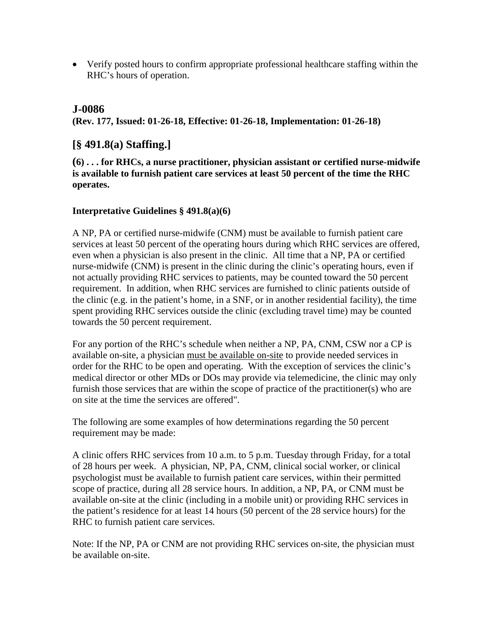• Verify posted hours to confirm appropriate professional healthcare staffing within the RHC's hours of operation.

# **J-0086**

**(Rev. 177, Issued: 01-26-18, Effective: 01-26-18, Implementation: 01-26-18)**

# **[§ 491.8(a) Staffing.]**

**(6) . . . for RHCs, a nurse practitioner, physician assistant or certified nurse-midwife is available to furnish patient care services at least 50 percent of the time the RHC operates.**

#### **Interpretative Guidelines § 491.8(a)(6)**

A NP, PA or certified nurse-midwife (CNM) must be available to furnish patient care services at least 50 percent of the operating hours during which RHC services are offered, even when a physician is also present in the clinic. All time that a NP, PA or certified nurse-midwife (CNM) is present in the clinic during the clinic's operating hours, even if not actually providing RHC services to patients, may be counted toward the 50 percent requirement. In addition, when RHC services are furnished to clinic patients outside of the clinic (e.g. in the patient's home, in a SNF, or in another residential facility), the time spent providing RHC services outside the clinic (excluding travel time) may be counted towards the 50 percent requirement.

For any portion of the RHC's schedule when neither a NP, PA, CNM, CSW nor a CP is available on-site, a physician must be available on-site to provide needed services in order for the RHC to be open and operating. With the exception of services the clinic's medical director or other MDs or DOs may provide via telemedicine, the clinic may only furnish those services that are within the scope of practice of the practitioner(s) who are on site at the time the services are offered".

The following are some examples of how determinations regarding the 50 percent requirement may be made:

A clinic offers RHC services from 10 a.m. to 5 p.m. Tuesday through Friday, for a total of 28 hours per week. A physician, NP, PA, CNM, clinical social worker, or clinical psychologist must be available to furnish patient care services, within their permitted scope of practice, during all 28 service hours. In addition, a NP, PA, or CNM must be available on-site at the clinic (including in a mobile unit) or providing RHC services in the patient's residence for at least 14 hours (50 percent of the 28 service hours) for the RHC to furnish patient care services.

Note: If the NP, PA or CNM are not providing RHC services on-site, the physician must be available on-site.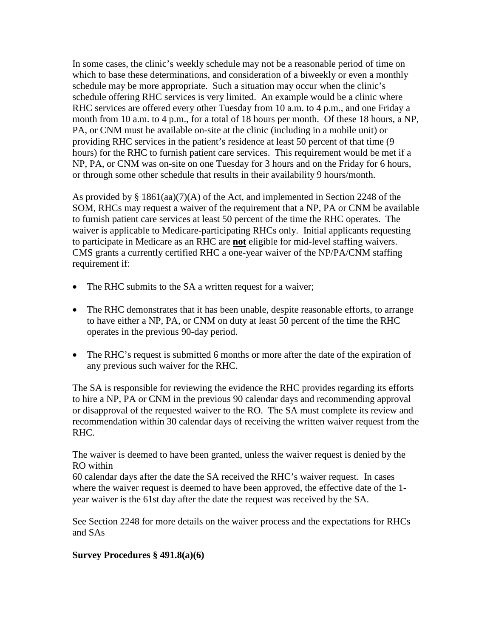In some cases, the clinic's weekly schedule may not be a reasonable period of time on which to base these determinations, and consideration of a biweekly or even a monthly schedule may be more appropriate. Such a situation may occur when the clinic's schedule offering RHC services is very limited. An example would be a clinic where RHC services are offered every other Tuesday from 10 a.m. to 4 p.m., and one Friday a month from 10 a.m. to 4 p.m., for a total of 18 hours per month. Of these 18 hours, a NP, PA, or CNM must be available on-site at the clinic (including in a mobile unit) or providing RHC services in the patient's residence at least 50 percent of that time (9 hours) for the RHC to furnish patient care services. This requirement would be met if a NP, PA, or CNM was on-site on one Tuesday for 3 hours and on the Friday for 6 hours, or through some other schedule that results in their availability 9 hours/month.

As provided by § 1861(aa)(7)(A) of the Act, and implemented in Section 2248 of the SOM, RHCs may request a waiver of the requirement that a NP, PA or CNM be available to furnish patient care services at least 50 percent of the time the RHC operates. The waiver is applicable to Medicare-participating RHCs only. Initial applicants requesting to participate in Medicare as an RHC are **not** eligible for mid-level staffing waivers. CMS grants a currently certified RHC a one-year waiver of the NP/PA/CNM staffing requirement if:

- The RHC submits to the SA a written request for a waiver;
- The RHC demonstrates that it has been unable, despite reasonable efforts, to arrange to have either a NP, PA, or CNM on duty at least 50 percent of the time the RHC operates in the previous 90-day period.
- The RHC's request is submitted 6 months or more after the date of the expiration of any previous such waiver for the RHC.

The SA is responsible for reviewing the evidence the RHC provides regarding its efforts to hire a NP, PA or CNM in the previous 90 calendar days and recommending approval or disapproval of the requested waiver to the RO. The SA must complete its review and recommendation within 30 calendar days of receiving the written waiver request from the RHC.

The waiver is deemed to have been granted, unless the waiver request is denied by the RO within

60 calendar days after the date the SA received the RHC's waiver request. In cases where the waiver request is deemed to have been approved, the effective date of the 1 year waiver is the 61st day after the date the request was received by the SA.

See Section 2248 for more details on the waiver process and the expectations for RHCs and SAs

#### **Survey Procedures § 491.8(a)(6)**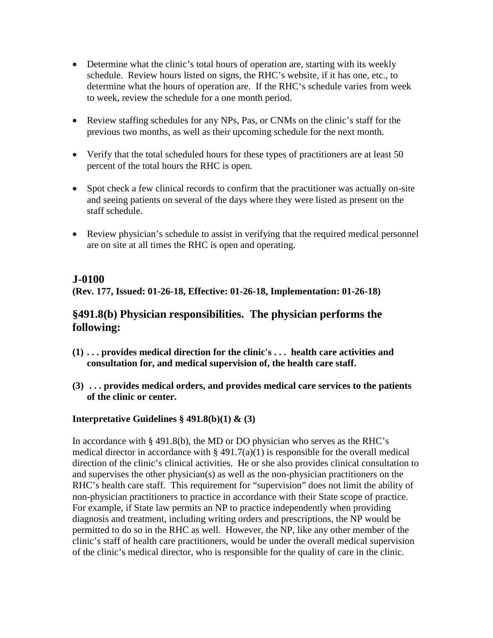- Determine what the clinic's total hours of operation are, starting with its weekly schedule. Review hours listed on signs, the RHC's website, if it has one, etc., to determine what the hours of operation are. If the RHC's schedule varies from week to week, review the schedule for a one month period.
- Review staffing schedules for any NPs, Pas, or CNMs on the clinic's staff for the previous two months, as well as their upcoming schedule for the next month.
- Verify that the total scheduled hours for these types of practitioners are at least 50 percent of the total hours the RHC is open.
- Spot check a few clinical records to confirm that the practitioner was actually on-site and seeing patients on several of the days where they were listed as present on the staff schedule.
- Review physician's schedule to assist in verifying that the required medical personnel are on site at all times the RHC is open and operating.

### **J-0100**

**(Rev. 177, Issued: 01-26-18, Effective: 01-26-18, Implementation: 01-26-18)**

# **§491.8(b) Physician responsibilities. The physician performs the following:**

- **(1) . . . provides medical direction for the clinic's . . . health care activities and consultation for, and medical supervision of, the health care staff.**
- **(3) . . . provides medical orders, and provides medical care services to the patients of the clinic or center.**

# **Interpretative Guidelines § 491.8(b)(1) & (3)**

In accordance with § 491.8(b), the MD or DO physician who serves as the RHC's medical director in accordance with  $\S$  491.7(a)(1) is responsible for the overall medical direction of the clinic's clinical activities. He or she also provides clinical consultation to and supervises the other physician(s) as well as the non-physician practitioners on the RHC's health care staff. This requirement for "supervision" does not limit the ability of non-physician practitioners to practice in accordance with their State scope of practice. For example, if State law permits an NP to practice independently when providing diagnosis and treatment, including writing orders and prescriptions, the NP would be permitted to do so in the RHC as well. However, the NP, like any other member of the clinic's staff of health care practitioners, would be under the overall medical supervision of the clinic's medical director, who is responsible for the quality of care in the clinic.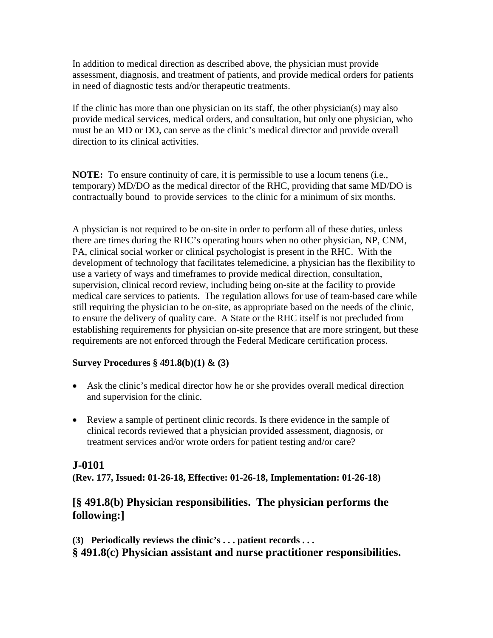In addition to medical direction as described above, the physician must provide assessment, diagnosis, and treatment of patients, and provide medical orders for patients in need of diagnostic tests and/or therapeutic treatments.

If the clinic has more than one physician on its staff, the other physician(s) may also provide medical services, medical orders, and consultation, but only one physician, who must be an MD or DO, can serve as the clinic's medical director and provide overall direction to its clinical activities.

**NOTE:** To ensure continuity of care, it is permissible to use a locum tenens (i.e., temporary) MD/DO as the medical director of the RHC, providing that same MD/DO is contractually bound to provide services to the clinic for a minimum of six months.

A physician is not required to be on-site in order to perform all of these duties, unless there are times during the RHC's operating hours when no other physician, NP, CNM, PA, clinical social worker or clinical psychologist is present in the RHC. With the development of technology that facilitates telemedicine, a physician has the flexibility to use a variety of ways and timeframes to provide medical direction, consultation, supervision, clinical record review, including being on-site at the facility to provide medical care services to patients. The regulation allows for use of team-based care while still requiring the physician to be on-site, as appropriate based on the needs of the clinic, to ensure the delivery of quality care. A State or the RHC itself is not precluded from establishing requirements for physician on-site presence that are more stringent, but these requirements are not enforced through the Federal Medicare certification process.

#### **Survey Procedures § 491.8(b)(1) & (3)**

- Ask the clinic's medical director how he or she provides overall medical direction and supervision for the clinic.
- Review a sample of pertinent clinic records. Is there evidence in the sample of clinical records reviewed that a physician provided assessment, diagnosis, or treatment services and/or wrote orders for patient testing and/or care?

#### **J-0101**

**(Rev. 177, Issued: 01-26-18, Effective: 01-26-18, Implementation: 01-26-18)**

# **[§ 491.8(b) Physician responsibilities. The physician performs the following:]**

**(3) Periodically reviews the clinic's . . . patient records . . . § 491.8(c) Physician assistant and nurse practitioner responsibilities.**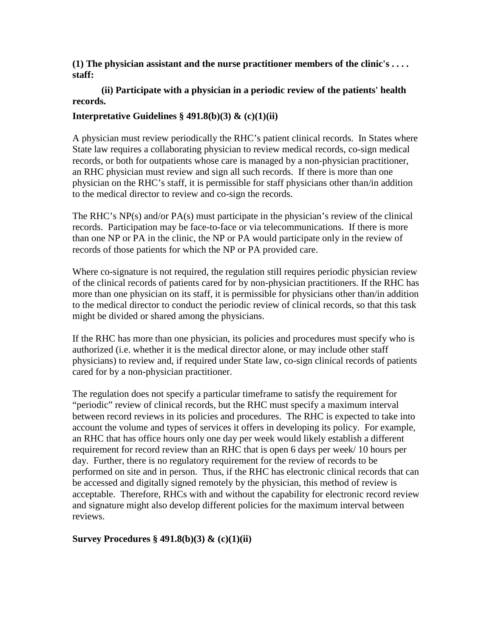**(1) The physician assistant and the nurse practitioner members of the clinic's . . . . staff:**

#### **(ii) Participate with a physician in a periodic review of the patients' health records.**

#### **Interpretative Guidelines § 491.8(b)(3) & (c)(1)(ii)**

A physician must review periodically the RHC's patient clinical records. In States where State law requires a collaborating physician to review medical records, co-sign medical records, or both for outpatients whose care is managed by a non-physician practitioner, an RHC physician must review and sign all such records. If there is more than one physician on the RHC's staff, it is permissible for staff physicians other than/in addition to the medical director to review and co-sign the records.

The RHC's  $NP(s)$  and/or  $PA(s)$  must participate in the physician's review of the clinical records. Participation may be face-to-face or via telecommunications. If there is more than one NP or PA in the clinic, the NP or PA would participate only in the review of records of those patients for which the NP or PA provided care.

Where co-signature is not required, the regulation still requires periodic physician review of the clinical records of patients cared for by non-physician practitioners. If the RHC has more than one physician on its staff, it is permissible for physicians other than/in addition to the medical director to conduct the periodic review of clinical records, so that this task might be divided or shared among the physicians.

If the RHC has more than one physician, its policies and procedures must specify who is authorized (i.e. whether it is the medical director alone, or may include other staff physicians) to review and, if required under State law, co-sign clinical records of patients cared for by a non-physician practitioner.

The regulation does not specify a particular timeframe to satisfy the requirement for "periodic" review of clinical records, but the RHC must specify a maximum interval between record reviews in its policies and procedures. The RHC is expected to take into account the volume and types of services it offers in developing its policy. For example, an RHC that has office hours only one day per week would likely establish a different requirement for record review than an RHC that is open 6 days per week/ 10 hours per day. Further, there is no regulatory requirement for the review of records to be performed on site and in person. Thus, if the RHC has electronic clinical records that can be accessed and digitally signed remotely by the physician, this method of review is acceptable. Therefore, RHCs with and without the capability for electronic record review and signature might also develop different policies for the maximum interval between reviews.

#### **Survey Procedures § 491.8(b)(3) & (c)(1)(ii)**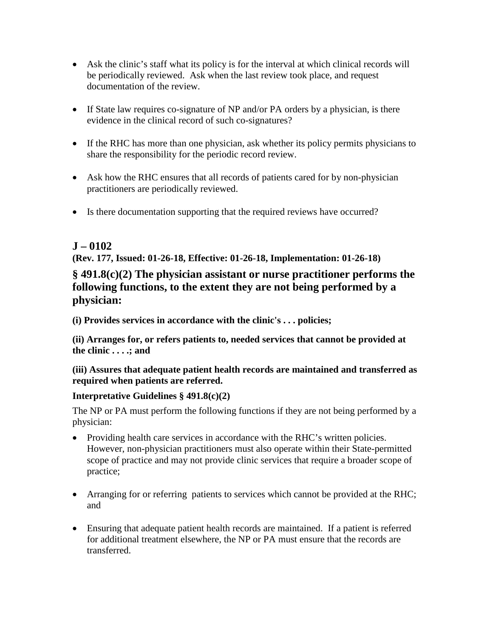- Ask the clinic's staff what its policy is for the interval at which clinical records will be periodically reviewed. Ask when the last review took place, and request documentation of the review.
- If State law requires co-signature of NP and/or PA orders by a physician, is there evidence in the clinical record of such co-signatures?
- If the RHC has more than one physician, ask whether its policy permits physicians to share the responsibility for the periodic record review.
- Ask how the RHC ensures that all records of patients cared for by non-physician practitioners are periodically reviewed.
- Is there documentation supporting that the required reviews have occurred?

# **J – 0102**

**(Rev. 177, Issued: 01-26-18, Effective: 01-26-18, Implementation: 01-26-18)**

# **§ 491.8(c)(2) The physician assistant or nurse practitioner performs the following functions, to the extent they are not being performed by a physician:**

**(i) Provides services in accordance with the clinic's . . . policies;**

**(ii) Arranges for, or refers patients to, needed services that cannot be provided at the clinic . . . .; and**

**(iii) Assures that adequate patient health records are maintained and transferred as required when patients are referred.**

# **Interpretative Guidelines § 491.8(c)(2)**

The NP or PA must perform the following functions if they are not being performed by a physician:

- Providing health care services in accordance with the RHC's written policies. However, non-physician practitioners must also operate within their State-permitted scope of practice and may not provide clinic services that require a broader scope of practice;
- Arranging for or referring patients to services which cannot be provided at the RHC; and
- Ensuring that adequate patient health records are maintained. If a patient is referred for additional treatment elsewhere, the NP or PA must ensure that the records are transferred.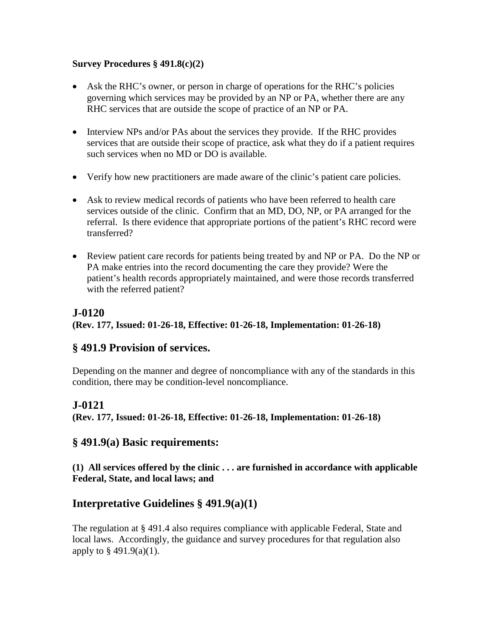### **Survey Procedures § 491.8(c)(2)**

- Ask the RHC's owner, or person in charge of operations for the RHC's policies governing which services may be provided by an NP or PA, whether there are any RHC services that are outside the scope of practice of an NP or PA.
- Interview NPs and/or PAs about the services they provide. If the RHC provides services that are outside their scope of practice, ask what they do if a patient requires such services when no MD or DO is available.
- Verify how new practitioners are made aware of the clinic's patient care policies.
- Ask to review medical records of patients who have been referred to health care services outside of the clinic. Confirm that an MD, DO, NP, or PA arranged for the referral. Is there evidence that appropriate portions of the patient's RHC record were transferred?
- Review patient care records for patients being treated by and NP or PA. Do the NP or PA make entries into the record documenting the care they provide? Were the patient's health records appropriately maintained, and were those records transferred with the referred patient?

# **J-0120**

**(Rev. 177, Issued: 01-26-18, Effective: 01-26-18, Implementation: 01-26-18)**

# **§ 491.9 Provision of services.**

Depending on the manner and degree of noncompliance with any of the standards in this condition, there may be condition-level noncompliance.

# **J-0121**

**(Rev. 177, Issued: 01-26-18, Effective: 01-26-18, Implementation: 01-26-18)**

# **§ 491.9(a) Basic requirements:**

**(1) All services offered by the clinic . . . are furnished in accordance with applicable Federal, State, and local laws; and**

# **Interpretative Guidelines § 491.9(a)(1)**

The regulation at § 491.4 also requires compliance with applicable Federal, State and local laws. Accordingly, the guidance and survey procedures for that regulation also apply to  $\S$  491.9(a)(1).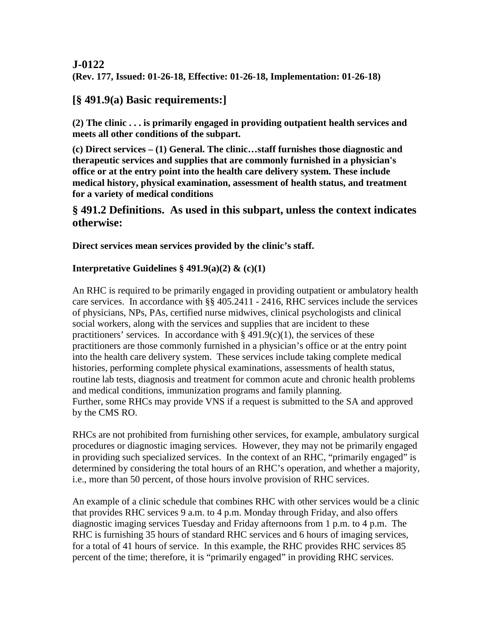# **J-0122 (Rev. 177, Issued: 01-26-18, Effective: 01-26-18, Implementation: 01-26-18)**

# **[§ 491.9(a) Basic requirements:]**

**(2) The clinic . . . is primarily engaged in providing outpatient health services and meets all other conditions of the subpart.**

**(c) Direct services – (1) General. The clinic…staff furnishes those diagnostic and therapeutic services and supplies that are commonly furnished in a physician's office or at the entry point into the health care delivery system. These include medical history, physical examination, assessment of health status, and treatment for a variety of medical conditions**

# **§ 491.2 Definitions. As used in this subpart, unless the context indicates otherwise:**

### **Direct services mean services provided by the clinic's staff.**

### **Interpretative Guidelines § 491.9(a)(2) & (c)(1)**

An RHC is required to be primarily engaged in providing outpatient or ambulatory health care services. In accordance with §§ 405.2411 - 2416, RHC services include the services of physicians, NPs, PAs, certified nurse midwives, clinical psychologists and clinical social workers, along with the services and supplies that are incident to these practitioners' services. In accordance with  $\S$  491.9(c)(1), the services of these practitioners are those commonly furnished in a physician's office or at the entry point into the health care delivery system. These services include taking complete medical histories, performing complete physical examinations, assessments of health status, routine lab tests, diagnosis and treatment for common acute and chronic health problems and medical conditions, immunization programs and family planning. Further, some RHCs may provide VNS if a request is submitted to the SA and approved by the CMS RO.

RHCs are not prohibited from furnishing other services, for example, ambulatory surgical procedures or diagnostic imaging services. However, they may not be primarily engaged in providing such specialized services. In the context of an RHC, "primarily engaged" is determined by considering the total hours of an RHC's operation, and whether a majority, i.e., more than 50 percent, of those hours involve provision of RHC services.

An example of a clinic schedule that combines RHC with other services would be a clinic that provides RHC services 9 a.m. to 4 p.m. Monday through Friday, and also offers diagnostic imaging services Tuesday and Friday afternoons from 1 p.m. to 4 p.m. The RHC is furnishing 35 hours of standard RHC services and 6 hours of imaging services, for a total of 41 hours of service. In this example, the RHC provides RHC services 85 percent of the time; therefore, it is "primarily engaged" in providing RHC services.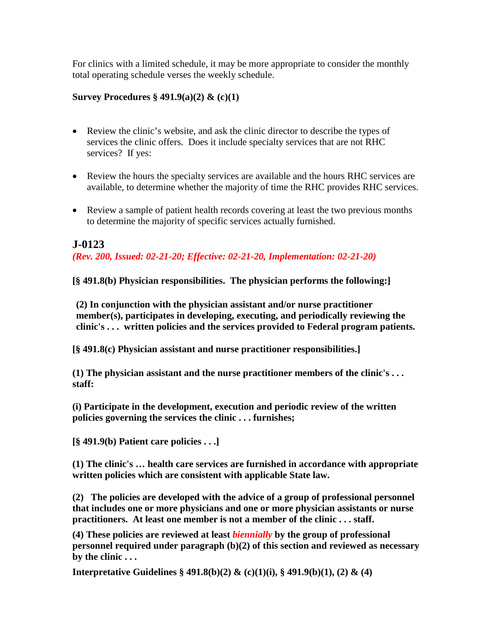For clinics with a limited schedule, it may be more appropriate to consider the monthly total operating schedule verses the weekly schedule.

#### **Survey Procedures § 491.9(a)(2) & (c)(1)**

- Review the clinic's website, and ask the clinic director to describe the types of services the clinic offers. Does it include specialty services that are not RHC services? If yes:
- Review the hours the specialty services are available and the hours RHC services are available, to determine whether the majority of time the RHC provides RHC services.
- Review a sample of patient health records covering at least the two previous months to determine the majority of specific services actually furnished.

# **J-0123**

*(Rev. 200, Issued: 02-21-20; Effective: 02-21-20, Implementation: 02-21-20)*

**[§ 491.8(b) Physician responsibilities. The physician performs the following:]**

**(2) In conjunction with the physician assistant and/or nurse practitioner member(s), participates in developing, executing, and periodically reviewing the clinic's . . . written policies and the services provided to Federal program patients.**

**[§ 491.8(c) Physician assistant and nurse practitioner responsibilities.]**

**(1) The physician assistant and the nurse practitioner members of the clinic's . . . staff:**

**(i) Participate in the development, execution and periodic review of the written policies governing the services the clinic . . . furnishes;**

**[§ 491.9(b) Patient care policies . . .]**

**(1) The clinic's … health care services are furnished in accordance with appropriate written policies which are consistent with applicable State law.**

**(2) The policies are developed with the advice of a group of professional personnel that includes one or more physicians and one or more physician assistants or nurse practitioners. At least one member is not a member of the clinic . . . staff.**

**(4) These policies are reviewed at least** *biennially* **by the group of professional personnel required under paragraph (b)(2) of this section and reviewed as necessary by the clinic . . .**

**Interpretative Guidelines § 491.8(b)(2) & (c)(1)(i), § 491.9(b)(1), (2) & (4)**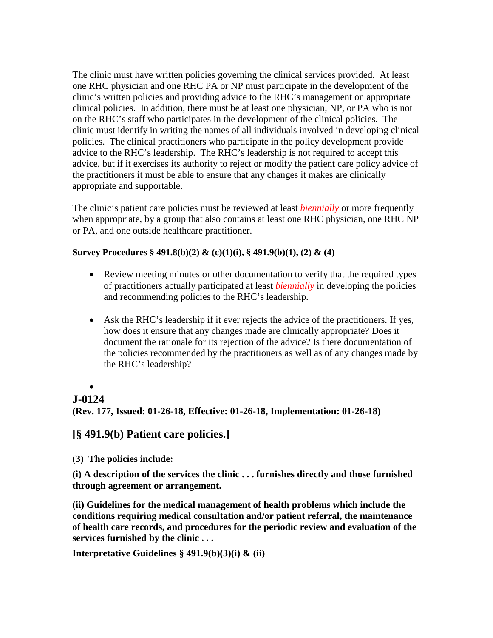The clinic must have written policies governing the clinical services provided. At least one RHC physician and one RHC PA or NP must participate in the development of the clinic's written policies and providing advice to the RHC's management on appropriate clinical policies. In addition, there must be at least one physician, NP, or PA who is not on the RHC's staff who participates in the development of the clinical policies. The clinic must identify in writing the names of all individuals involved in developing clinical policies. The clinical practitioners who participate in the policy development provide advice to the RHC's leadership. The RHC's leadership is not required to accept this advice, but if it exercises its authority to reject or modify the patient care policy advice of the practitioners it must be able to ensure that any changes it makes are clinically appropriate and supportable.

The clinic's patient care policies must be reviewed at least *biennially* or more frequently when appropriate, by a group that also contains at least one RHC physician, one RHC NP or PA, and one outside healthcare practitioner.

#### **Survey Procedures § 491.8(b)(2) & (c)(1)(i), § 491.9(b)(1), (2) & (4)**

- Review meeting minutes or other documentation to verify that the required types of practitioners actually participated at least *biennially* in developing the policies and recommending policies to the RHC's leadership.
- Ask the RHC's leadership if it ever rejects the advice of the practitioners. If yes, how does it ensure that any changes made are clinically appropriate? Does it document the rationale for its rejection of the advice? Is there documentation of the policies recommended by the practitioners as well as of any changes made by the RHC's leadership?

#### •

#### **J-0124**

**(Rev. 177, Issued: 01-26-18, Effective: 01-26-18, Implementation: 01-26-18)**

# **[§ 491.9(b) Patient care policies.]**

(**3) The policies include:**

**(i) A description of the services the clinic . . . furnishes directly and those furnished through agreement or arrangement.**

**(ii) Guidelines for the medical management of health problems which include the conditions requiring medical consultation and/or patient referral, the maintenance of health care records, and procedures for the periodic review and evaluation of the services furnished by the clinic . . .**

**Interpretative Guidelines § 491.9(b)(3)(i) & (ii)**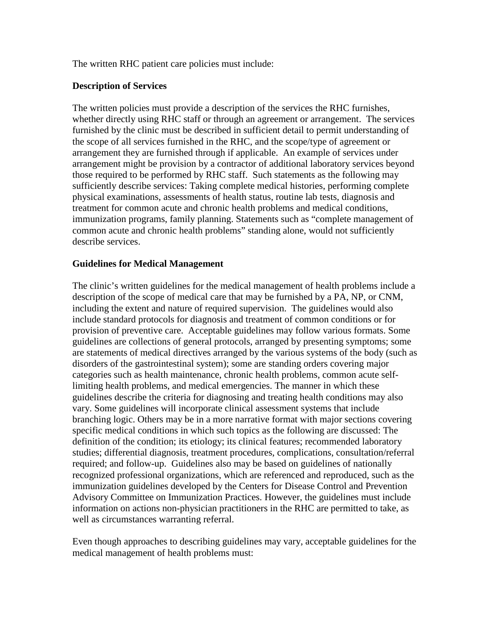The written RHC patient care policies must include:

#### **Description of Services**

The written policies must provide a description of the services the RHC furnishes, whether directly using RHC staff or through an agreement or arrangement. The services furnished by the clinic must be described in sufficient detail to permit understanding of the scope of all services furnished in the RHC, and the scope/type of agreement or arrangement they are furnished through if applicable. An example of services under arrangement might be provision by a contractor of additional laboratory services beyond those required to be performed by RHC staff. Such statements as the following may sufficiently describe services: Taking complete medical histories, performing complete physical examinations, assessments of health status, routine lab tests, diagnosis and treatment for common acute and chronic health problems and medical conditions, immunization programs, family planning. Statements such as "complete management of common acute and chronic health problems" standing alone, would not sufficiently describe services.

#### **Guidelines for Medical Management**

The clinic's written guidelines for the medical management of health problems include a description of the scope of medical care that may be furnished by a PA, NP, or CNM, including the extent and nature of required supervision. The guidelines would also include standard protocols for diagnosis and treatment of common conditions or for provision of preventive care. Acceptable guidelines may follow various formats. Some guidelines are collections of general protocols, arranged by presenting symptoms; some are statements of medical directives arranged by the various systems of the body (such as disorders of the gastrointestinal system); some are standing orders covering major categories such as health maintenance, chronic health problems, common acute selflimiting health problems, and medical emergencies. The manner in which these guidelines describe the criteria for diagnosing and treating health conditions may also vary. Some guidelines will incorporate clinical assessment systems that include branching logic. Others may be in a more narrative format with major sections covering specific medical conditions in which such topics as the following are discussed: The definition of the condition; its etiology; its clinical features; recommended laboratory studies; differential diagnosis, treatment procedures, complications, consultation/referral required; and follow-up. Guidelines also may be based on guidelines of nationally recognized professional organizations, which are referenced and reproduced, such as the immunization guidelines developed by the Centers for Disease Control and Prevention Advisory Committee on Immunization Practices. However, the guidelines must include information on actions non-physician practitioners in the RHC are permitted to take, as well as circumstances warranting referral.

Even though approaches to describing guidelines may vary, acceptable guidelines for the medical management of health problems must: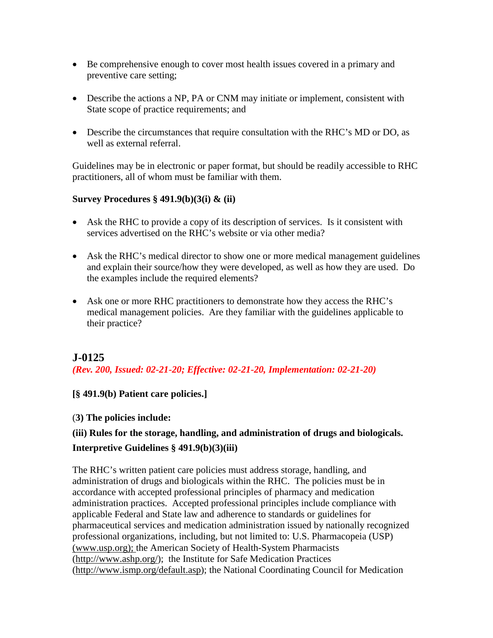- Be comprehensive enough to cover most health issues covered in a primary and preventive care setting;
- Describe the actions a NP, PA or CNM may initiate or implement, consistent with State scope of practice requirements; and
- Describe the circumstances that require consultation with the RHC's MD or DO, as well as external referral.

Guidelines may be in electronic or paper format, but should be readily accessible to RHC practitioners, all of whom must be familiar with them.

#### **Survey Procedures § 491.9(b)(3(i) & (ii)**

- Ask the RHC to provide a copy of its description of services. Is it consistent with services advertised on the RHC's website or via other media?
- Ask the RHC's medical director to show one or more medical management guidelines and explain their source/how they were developed, as well as how they are used. Do the examples include the required elements?
- Ask one or more RHC practitioners to demonstrate how they access the RHC's medical management policies. Are they familiar with the guidelines applicable to their practice?

# **J-0125**

*(Rev. 200, Issued: 02-21-20; Effective: 02-21-20, Implementation: 02-21-20)*

**[§ 491.9(b) Patient care policies.]**

#### (**3) The policies include:**

# **(iii) Rules for the storage, handling, and administration of drugs and biologicals.**

### **Interpretive Guidelines § 491.9(b)(3)(iii)**

The RHC's written patient care policies must address storage, handling, and administration of drugs and biologicals within the RHC. The policies must be in accordance with accepted professional principles of pharmacy and medication administration practices. Accepted professional principles include compliance with applicable Federal and State law and adherence to standards or guidelines for pharmaceutical services and medication administration issued by nationally recognized professional organizations, including, but not limited to: U.S. Pharmacopeia (USP) [\(www.usp.org\);](file://co-adhome1/../../Documents%20and%20Settings/gvb1/Documents%20and%20Settings/D2NK/Local%20Settings/Temporary%20Internet%20Files/Content.Outlook/I9MN7GFP/(www.usp.org)) the American Society of Health-System Pharmacists [\(http://www.ashp.org/\)](http://www.ashp.org/); the Institute for Safe Medication Practices [\(http://www.ismp.org/default.asp\)](http://www.ismp.org/default.asp); the National Coordinating Council for Medication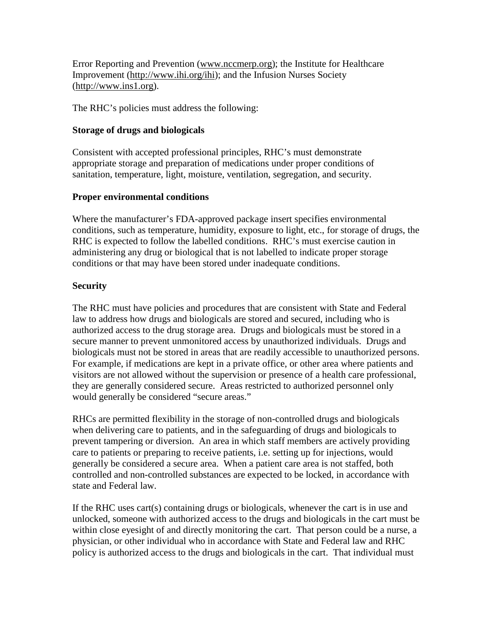Error Reporting and Prevention [\(www.nccmerp.org\)](http://www.nccmerp.org/); the Institute for Healthcare Improvement [\(http://www.ihi.org/ihi\)](http://www.ihi.org/ihi); and the Infusion Nurses Society [\(http://www.ins1.org\)](http://www.ins1.org/).

The RHC's policies must address the following:

#### **Storage of drugs and biologicals**

Consistent with accepted professional principles, RHC's must demonstrate appropriate storage and preparation of medications under proper conditions of sanitation, temperature, light, moisture, ventilation, segregation, and security.

#### **Proper environmental conditions**

Where the manufacturer's FDA-approved package insert specifies environmental conditions, such as temperature, humidity, exposure to light, etc., for storage of drugs, the RHC is expected to follow the labelled conditions. RHC's must exercise caution in administering any drug or biological that is not labelled to indicate proper storage conditions or that may have been stored under inadequate conditions.

#### **Security**

The RHC must have policies and procedures that are consistent with State and Federal law to address how drugs and biologicals are stored and secured, including who is authorized access to the drug storage area. Drugs and biologicals must be stored in a secure manner to prevent unmonitored access by unauthorized individuals. Drugs and biologicals must not be stored in areas that are readily accessible to unauthorized persons. For example, if medications are kept in a private office, or other area where patients and visitors are not allowed without the supervision or presence of a health care professional, they are generally considered secure. Areas restricted to authorized personnel only would generally be considered "secure areas."

RHCs are permitted flexibility in the storage of non-controlled drugs and biologicals when delivering care to patients, and in the safeguarding of drugs and biologicals to prevent tampering or diversion. An area in which staff members are actively providing care to patients or preparing to receive patients, i.e. setting up for injections, would generally be considered a secure area. When a patient care area is not staffed, both controlled and non-controlled substances are expected to be locked, in accordance with state and Federal law.

If the RHC uses cart(s) containing drugs or biologicals, whenever the cart is in use and unlocked, someone with authorized access to the drugs and biologicals in the cart must be within close eyesight of and directly monitoring the cart. That person could be a nurse, a physician, or other individual who in accordance with State and Federal law and RHC policy is authorized access to the drugs and biologicals in the cart. That individual must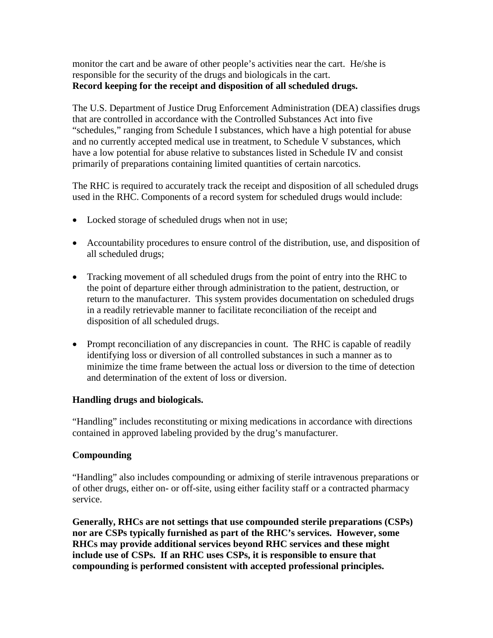monitor the cart and be aware of other people's activities near the cart. He/she is responsible for the security of the drugs and biologicals in the cart. **Record keeping for the receipt and disposition of all scheduled drugs.**

The U.S. Department of Justice Drug Enforcement Administration (DEA) classifies drugs that are controlled in accordance with the Controlled Substances Act into five "schedules," ranging from Schedule I substances, which have a high potential for abuse and no currently accepted medical use in treatment, to Schedule V substances, which have a low potential for abuse relative to substances listed in Schedule IV and consist primarily of preparations containing limited quantities of certain narcotics.

The RHC is required to accurately track the receipt and disposition of all scheduled drugs used in the RHC. Components of a record system for scheduled drugs would include:

- Locked storage of scheduled drugs when not in use;
- Accountability procedures to ensure control of the distribution, use, and disposition of all scheduled drugs;
- Tracking movement of all scheduled drugs from the point of entry into the RHC to the point of departure either through administration to the patient, destruction, or return to the manufacturer. This system provides documentation on scheduled drugs in a readily retrievable manner to facilitate reconciliation of the receipt and disposition of all scheduled drugs.
- Prompt reconciliation of any discrepancies in count. The RHC is capable of readily identifying loss or diversion of all controlled substances in such a manner as to minimize the time frame between the actual loss or diversion to the time of detection and determination of the extent of loss or diversion.

#### **Handling drugs and biologicals.**

"Handling" includes reconstituting or mixing medications in accordance with directions contained in approved labeling provided by the drug's manufacturer.

#### **Compounding**

"Handling" also includes compounding or admixing of sterile intravenous preparations or of other drugs, either on- or off-site, using either facility staff or a contracted pharmacy service.

**Generally, RHCs are not settings that use compounded sterile preparations (CSPs) nor are CSPs typically furnished as part of the RHC's services. However, some RHCs may provide additional services beyond RHC services and these might include use of CSPs. If an RHC uses CSPs, it is responsible to ensure that compounding is performed consistent with accepted professional principles.**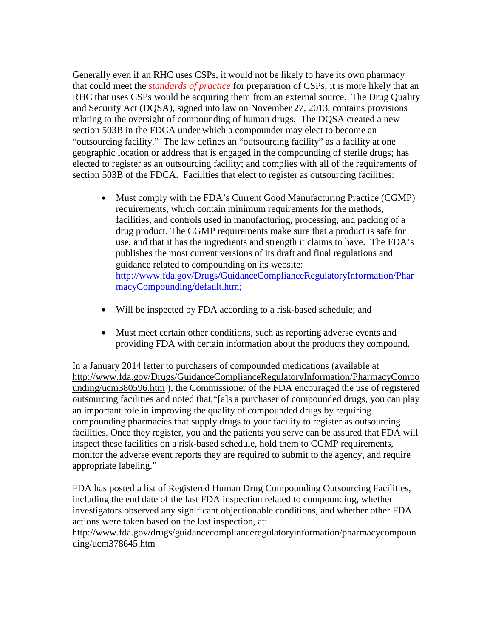Generally even if an RHC uses CSPs, it would not be likely to have its own pharmacy that could meet the *standards of practice* for preparation of CSPs; it is more likely that an RHC that uses CSPs would be acquiring them from an external source. The Drug Quality and Security Act (DQSA), signed into law on November 27, 2013, contains provisions relating to the oversight of compounding of human drugs. The DQSA created a new section 503B in the FDCA under which a compounder may elect to become an "outsourcing facility." The law defines an "outsourcing facility" as a facility at one geographic location or address that is engaged in the compounding of sterile drugs; has elected to register as an outsourcing facility; and complies with all of the requirements of section 503B of the FDCA. Facilities that elect to register as outsourcing facilities:

- Must comply with the FDA's Current Good Manufacturing Practice (CGMP) requirements, which contain minimum requirements for the methods, facilities, and controls used in manufacturing, processing, and packing of a drug product. The CGMP requirements make sure that a product is safe for use, and that it has the ingredients and strength it claims to have. The FDA's publishes the most current versions of its draft and final regulations and guidance related to compounding on its website: [http://www.fda.gov/Drugs/GuidanceComplianceRegulatoryInformation/Phar](http://www.fda.gov/Drugs/GuidanceComplianceRegulatoryInformation/PharmacyCompounding/default.htm) [macyCompounding/default.htm;](http://www.fda.gov/Drugs/GuidanceComplianceRegulatoryInformation/PharmacyCompounding/default.htm)
- Will be inspected by FDA according to a risk-based schedule; and
- Must meet certain other conditions, such as reporting adverse events and providing FDA with certain information about the products they compound.

In a January 2014 letter to purchasers of compounded medications (available at [http://www.fda.gov/Drugs/GuidanceComplianceRegulatoryInformation/PharmacyCompo](http://www.fda.gov/Drugs/GuidanceComplianceRegulatoryInformation/PharmacyCompounding/ucm380596.htm) [unding/ucm380596.htm](http://www.fda.gov/Drugs/GuidanceComplianceRegulatoryInformation/PharmacyCompounding/ucm380596.htm) ), the Commissioner of the FDA encouraged the use of registered outsourcing facilities and noted that,"[a]s a purchaser of compounded drugs, you can play an important role in improving the quality of compounded drugs by requiring compounding pharmacies that supply drugs to your facility to register as outsourcing facilities. Once they register, you and the patients you serve can be assured that FDA will inspect these facilities on a risk-based schedule, hold them to CGMP requirements, monitor the adverse event reports they are required to submit to the agency, and require appropriate labeling."

FDA has posted a list of Registered Human Drug Compounding Outsourcing Facilities, including the end date of the last FDA inspection related to compounding, whether investigators observed any significant objectionable conditions, and whether other FDA actions were taken based on the last inspection, at:

[http://www.fda.gov/drugs/guidancecomplianceregulatoryinformation/pharmacycompoun](http://www.fda.gov/drugs/guidancecomplianceregulatoryinformation/pharmacycompounding/ucm378645.htm) [ding/ucm378645.htm](http://www.fda.gov/drugs/guidancecomplianceregulatoryinformation/pharmacycompounding/ucm378645.htm)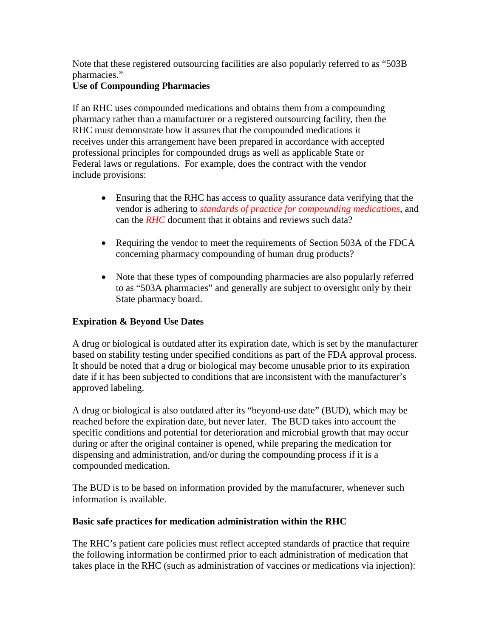Note that these registered outsourcing facilities are also popularly referred to as "503B pharmacies."

### **Use of Compounding Pharmacies**

If an RHC uses compounded medications and obtains them from a compounding pharmacy rather than a manufacturer or a registered outsourcing facility, then the RHC must demonstrate how it assures that the compounded medications it receives under this arrangement have been prepared in accordance with accepted professional principles for compounded drugs as well as applicable State or Federal laws or regulations. For example, does the contract with the vendor include provisions:

- Ensuring that the RHC has access to quality assurance data verifying that the vendor is adhering to *standards of practice for compounding medications*, and can the *RHC* document that it obtains and reviews such data?
- Requiring the vendor to meet the requirements of Section 503A of the FDCA concerning pharmacy compounding of human drug products?
- Note that these types of compounding pharmacies are also popularly referred to as "503A pharmacies" and generally are subject to oversight only by their State pharmacy board.

# **Expiration & Beyond Use Dates**

A drug or biological is outdated after its expiration date, which is set by the manufacturer based on stability testing under specified conditions as part of the FDA approval process. It should be noted that a drug or biological may become unusable prior to its expiration date if it has been subjected to conditions that are inconsistent with the manufacturer's approved labeling.

A drug or biological is also outdated after its "beyond-use date" (BUD), which may be reached before the expiration date, but never later. The BUD takes into account the specific conditions and potential for deterioration and microbial growth that may occur during or after the original container is opened, while preparing the medication for dispensing and administration, and/or during the compounding process if it is a compounded medication.

The BUD is to be based on information provided by the manufacturer, whenever such information is available.

#### **Basic safe practices for medication administration within the RHC**

The RHC's patient care policies must reflect accepted standards of practice that require the following information be confirmed prior to each administration of medication that takes place in the RHC (such as administration of vaccines or medications via injection):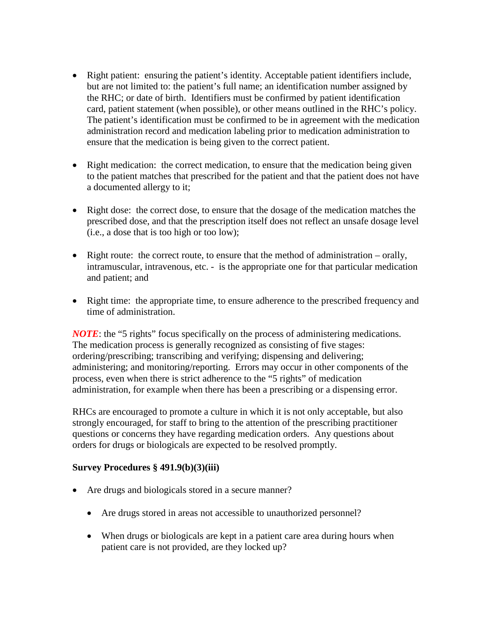- Right patient: ensuring the patient's identity. Acceptable patient identifiers include, but are not limited to: the patient's full name; an identification number assigned by the RHC; or date of birth. Identifiers must be confirmed by patient identification card, patient statement (when possible), or other means outlined in the RHC's policy. The patient's identification must be confirmed to be in agreement with the medication administration record and medication labeling prior to medication administration to ensure that the medication is being given to the correct patient.
- Right medication: the correct medication, to ensure that the medication being given to the patient matches that prescribed for the patient and that the patient does not have a documented allergy to it;
- Right dose: the correct dose, to ensure that the dosage of the medication matches the prescribed dose, and that the prescription itself does not reflect an unsafe dosage level (i.e., a dose that is too high or too low);
- Right route: the correct route, to ensure that the method of administration orally, intramuscular, intravenous, etc. - is the appropriate one for that particular medication and patient; and
- Right time: the appropriate time, to ensure adherence to the prescribed frequency and time of administration.

*NOTE*: the "5 rights" focus specifically on the process of administering medications. The medication process is generally recognized as consisting of five stages: ordering/prescribing; transcribing and verifying; dispensing and delivering; administering; and monitoring/reporting. Errors may occur in other components of the process, even when there is strict adherence to the "5 rights" of medication administration, for example when there has been a prescribing or a dispensing error.

RHCs are encouraged to promote a culture in which it is not only acceptable, but also strongly encouraged, for staff to bring to the attention of the prescribing practitioner questions or concerns they have regarding medication orders. Any questions about orders for drugs or biologicals are expected to be resolved promptly.

#### **Survey Procedures § 491.9(b)(3)(iii)**

- Are drugs and biologicals stored in a secure manner?
	- Are drugs stored in areas not accessible to unauthorized personnel?
	- When drugs or biologicals are kept in a patient care area during hours when patient care is not provided, are they locked up?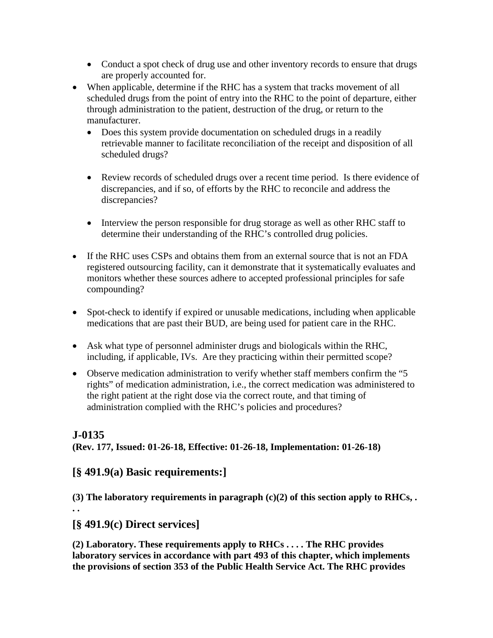- Conduct a spot check of drug use and other inventory records to ensure that drugs are properly accounted for.
- When applicable, determine if the RHC has a system that tracks movement of all scheduled drugs from the point of entry into the RHC to the point of departure, either through administration to the patient, destruction of the drug, or return to the manufacturer.
	- Does this system provide documentation on scheduled drugs in a readily retrievable manner to facilitate reconciliation of the receipt and disposition of all scheduled drugs?
	- Review records of scheduled drugs over a recent time period. Is there evidence of discrepancies, and if so, of efforts by the RHC to reconcile and address the discrepancies?
	- Interview the person responsible for drug storage as well as other RHC staff to determine their understanding of the RHC's controlled drug policies.
- If the RHC uses CSPs and obtains them from an external source that is not an FDA registered outsourcing facility, can it demonstrate that it systematically evaluates and monitors whether these sources adhere to accepted professional principles for safe compounding?
- Spot-check to identify if expired or unusable medications, including when applicable medications that are past their BUD, are being used for patient care in the RHC.
- Ask what type of personnel administer drugs and biologicals within the RHC, including, if applicable, IVs. Are they practicing within their permitted scope?
- Observe medication administration to verify whether staff members confirm the "5" rights" of medication administration, i.e., the correct medication was administered to the right patient at the right dose via the correct route, and that timing of administration complied with the RHC's policies and procedures?

## **J-0135**

**(Rev. 177, Issued: 01-26-18, Effective: 01-26-18, Implementation: 01-26-18)**

## **[§ 491.9(a) Basic requirements:]**

**(3) The laboratory requirements in paragraph (c)(2) of this section apply to RHCs, .** 

**. .**

# **[§ 491.9(c) Direct services]**

**(2) Laboratory. These requirements apply to RHCs . . . . The RHC provides laboratory services in accordance with part 493 of this chapter, which implements the provisions of section 353 of the Public Health Service Act. The RHC provides**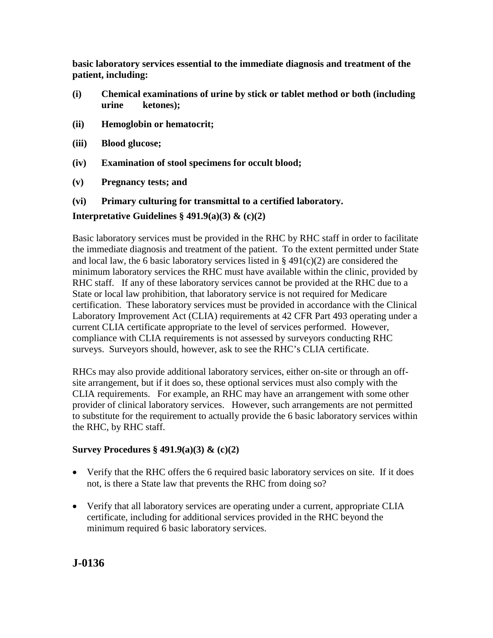**basic laboratory services essential to the immediate diagnosis and treatment of the patient, including:**

- **(i) Chemical examinations of urine by stick or tablet method or both (including urine ketones);**
- **(ii) Hemoglobin or hematocrit;**
- **(iii) Blood glucose;**
- **(iv) Examination of stool specimens for occult blood;**
- **(v) Pregnancy tests; and**

#### **(vi) Primary culturing for transmittal to a certified laboratory.**

#### **Interpretative Guidelines § 491.9(a)(3) & (c)(2)**

Basic laboratory services must be provided in the RHC by RHC staff in order to facilitate the immediate diagnosis and treatment of the patient. To the extent permitted under State and local law, the 6 basic laboratory services listed in  $\S$  491(c)(2) are considered the minimum laboratory services the RHC must have available within the clinic, provided by RHC staff. If any of these laboratory services cannot be provided at the RHC due to a State or local law prohibition, that laboratory service is not required for Medicare certification. These laboratory services must be provided in accordance with the Clinical Laboratory Improvement Act (CLIA) requirements at 42 CFR Part 493 operating under a current CLIA certificate appropriate to the level of services performed. However, compliance with CLIA requirements is not assessed by surveyors conducting RHC surveys. Surveyors should, however, ask to see the RHC's CLIA certificate.

RHCs may also provide additional laboratory services, either on-site or through an offsite arrangement, but if it does so, these optional services must also comply with the CLIA requirements. For example, an RHC may have an arrangement with some other provider of clinical laboratory services. However, such arrangements are not permitted to substitute for the requirement to actually provide the 6 basic laboratory services within the RHC, by RHC staff.

#### **Survey Procedures § 491.9(a)(3) & (c)(2)**

- Verify that the RHC offers the 6 required basic laboratory services on site. If it does not, is there a State law that prevents the RHC from doing so?
- Verify that all laboratory services are operating under a current, appropriate CLIA certificate, including for additional services provided in the RHC beyond the minimum required 6 basic laboratory services.

**J-0136**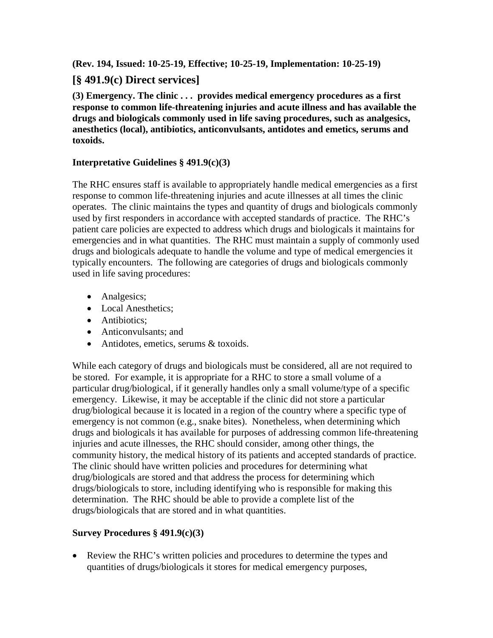**(Rev. 194, Issued: 10-25-19, Effective; 10-25-19, Implementation: 10-25-19)**

## **[§ 491.9(c) Direct services]**

**(3) Emergency. The clinic . . . provides medical emergency procedures as a first response to common life-threatening injuries and acute illness and has available the drugs and biologicals commonly used in life saving procedures, such as analgesics, anesthetics (local), antibiotics, anticonvulsants, antidotes and emetics, serums and toxoids.**

### **Interpretative Guidelines § 491.9(c)(3)**

The RHC ensures staff is available to appropriately handle medical emergencies as a first response to common life-threatening injuries and acute illnesses at all times the clinic operates. The clinic maintains the types and quantity of drugs and biologicals commonly used by first responders in accordance with accepted standards of practice. The RHC's patient care policies are expected to address which drugs and biologicals it maintains for emergencies and in what quantities. The RHC must maintain a supply of commonly used drugs and biologicals adequate to handle the volume and type of medical emergencies it typically encounters. The following are categories of drugs and biologicals commonly used in life saving procedures:

- Analgesics;
- Local Anesthetics;
- Antibiotics:
- Anticonvulsants; and
- Antidotes, emetics, serums & toxoids.

While each category of drugs and biologicals must be considered, all are not required to be stored. For example, it is appropriate for a RHC to store a small volume of a particular drug/biological, if it generally handles only a small volume/type of a specific emergency. Likewise, it may be acceptable if the clinic did not store a particular drug/biological because it is located in a region of the country where a specific type of emergency is not common (e.g., snake bites). Nonetheless, when determining which drugs and biologicals it has available for purposes of addressing common life-threatening injuries and acute illnesses, the RHC should consider, among other things, the community history, the medical history of its patients and accepted standards of practice. The clinic should have written policies and procedures for determining what drug/biologicals are stored and that address the process for determining which drugs/biologicals to store, including identifying who is responsible for making this determination. The RHC should be able to provide a complete list of the drugs/biologicals that are stored and in what quantities.

## **Survey Procedures § 491.9(c)(3)**

• Review the RHC's written policies and procedures to determine the types and quantities of drugs/biologicals it stores for medical emergency purposes,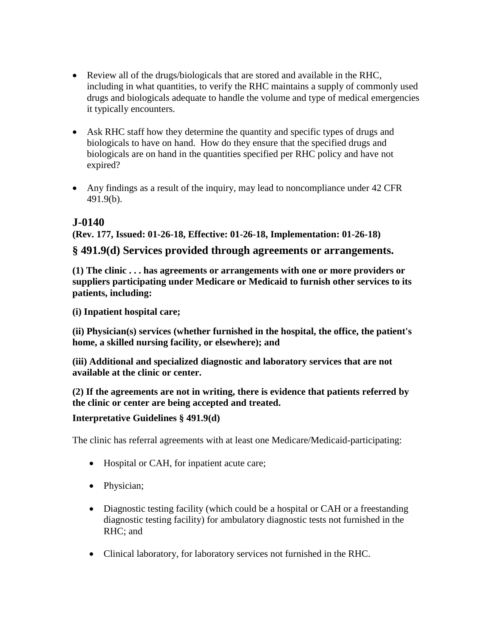- Review all of the drugs/biologicals that are stored and available in the RHC, including in what quantities, to verify the RHC maintains a supply of commonly used drugs and biologicals adequate to handle the volume and type of medical emergencies it typically encounters.
- Ask RHC staff how they determine the quantity and specific types of drugs and biologicals to have on hand. How do they ensure that the specified drugs and biologicals are on hand in the quantities specified per RHC policy and have not expired?
- Any findings as a result of the inquiry, may lead to noncompliance under 42 CFR 491.9(b).

# **J-0140**

### **(Rev. 177, Issued: 01-26-18, Effective: 01-26-18, Implementation: 01-26-18)**

## **§ 491.9(d) Services provided through agreements or arrangements.**

**(1) The clinic . . . has agreements or arrangements with one or more providers or suppliers participating under Medicare or Medicaid to furnish other services to its patients, including:**

**(i) Inpatient hospital care;**

**(ii) Physician(s) services (whether furnished in the hospital, the office, the patient's home, a skilled nursing facility, or elsewhere); and**

**(iii) Additional and specialized diagnostic and laboratory services that are not available at the clinic or center.**

**(2) If the agreements are not in writing, there is evidence that patients referred by the clinic or center are being accepted and treated.**

#### **Interpretative Guidelines § 491.9(d)**

The clinic has referral agreements with at least one Medicare/Medicaid-participating:

- Hospital or CAH, for inpatient acute care;
- Physician;
- Diagnostic testing facility (which could be a hospital or CAH or a freestanding diagnostic testing facility) for ambulatory diagnostic tests not furnished in the RHC; and
- Clinical laboratory, for laboratory services not furnished in the RHC.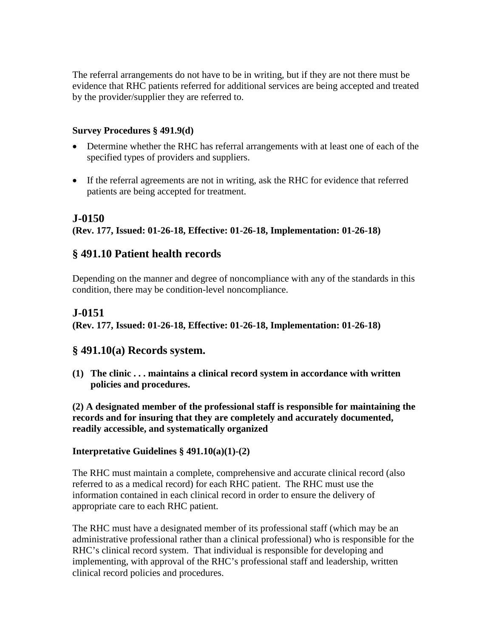The referral arrangements do not have to be in writing, but if they are not there must be evidence that RHC patients referred for additional services are being accepted and treated by the provider/supplier they are referred to.

#### **Survey Procedures § 491.9(d)**

- Determine whether the RHC has referral arrangements with at least one of each of the specified types of providers and suppliers.
- If the referral agreements are not in writing, ask the RHC for evidence that referred patients are being accepted for treatment.

### **J-0150**

**(Rev. 177, Issued: 01-26-18, Effective: 01-26-18, Implementation: 01-26-18)**

## **§ 491.10 Patient health records**

Depending on the manner and degree of noncompliance with any of the standards in this condition, there may be condition-level noncompliance.

## **J-0151**

**(Rev. 177, Issued: 01-26-18, Effective: 01-26-18, Implementation: 01-26-18)**

#### **§ 491.10(a) Records system.**

**(1) The clinic . . . maintains a clinical record system in accordance with written policies and procedures.**

**(2) A designated member of the professional staff is responsible for maintaining the records and for insuring that they are completely and accurately documented, readily accessible, and systematically organized**

#### **Interpretative Guidelines § 491.10(a)(1)-(2)**

The RHC must maintain a complete, comprehensive and accurate clinical record (also referred to as a medical record) for each RHC patient. The RHC must use the information contained in each clinical record in order to ensure the delivery of appropriate care to each RHC patient.

The RHC must have a designated member of its professional staff (which may be an administrative professional rather than a clinical professional) who is responsible for the RHC's clinical record system. That individual is responsible for developing and implementing, with approval of the RHC's professional staff and leadership, written clinical record policies and procedures.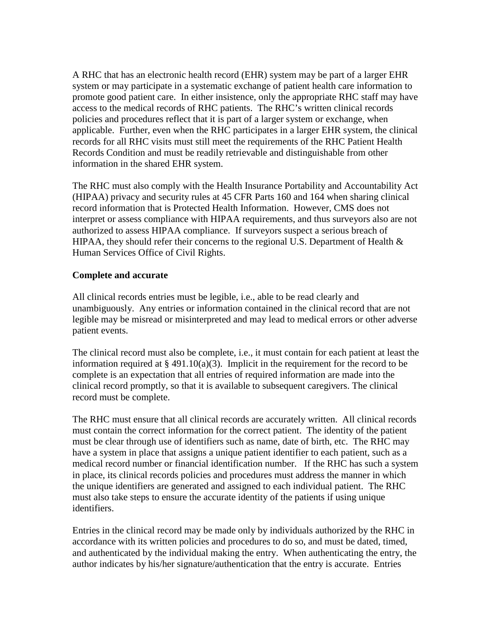A RHC that has an electronic health record (EHR) system may be part of a larger EHR system or may participate in a systematic exchange of patient health care information to promote good patient care. In either insistence, only the appropriate RHC staff may have access to the medical records of RHC patients. The RHC's written clinical records policies and procedures reflect that it is part of a larger system or exchange, when applicable. Further, even when the RHC participates in a larger EHR system, the clinical records for all RHC visits must still meet the requirements of the RHC Patient Health Records Condition and must be readily retrievable and distinguishable from other information in the shared EHR system.

The RHC must also comply with the Health Insurance Portability and Accountability Act (HIPAA) privacy and security rules at 45 CFR Parts 160 and 164 when sharing clinical record information that is Protected Health Information. However, CMS does not interpret or assess compliance with HIPAA requirements, and thus surveyors also are not authorized to assess HIPAA compliance. If surveyors suspect a serious breach of HIPAA, they should refer their concerns to the regional U.S. Department of Health  $\&$ Human Services Office of Civil Rights.

#### **Complete and accurate**

All clinical records entries must be legible, i.e., able to be read clearly and unambiguously. Any entries or information contained in the clinical record that are not legible may be misread or misinterpreted and may lead to medical errors or other adverse patient events.

The clinical record must also be complete, i.e., it must contain for each patient at least the information required at  $\S$  491.10(a)(3). Implicit in the requirement for the record to be complete is an expectation that all entries of required information are made into the clinical record promptly, so that it is available to subsequent caregivers. The clinical record must be complete.

The RHC must ensure that all clinical records are accurately written. All clinical records must contain the correct information for the correct patient. The identity of the patient must be clear through use of identifiers such as name, date of birth, etc. The RHC may have a system in place that assigns a unique patient identifier to each patient, such as a medical record number or financial identification number. If the RHC has such a system in place, its clinical records policies and procedures must address the manner in which the unique identifiers are generated and assigned to each individual patient. The RHC must also take steps to ensure the accurate identity of the patients if using unique identifiers.

Entries in the clinical record may be made only by individuals authorized by the RHC in accordance with its written policies and procedures to do so, and must be dated, timed, and authenticated by the individual making the entry. When authenticating the entry, the author indicates by his/her signature/authentication that the entry is accurate. Entries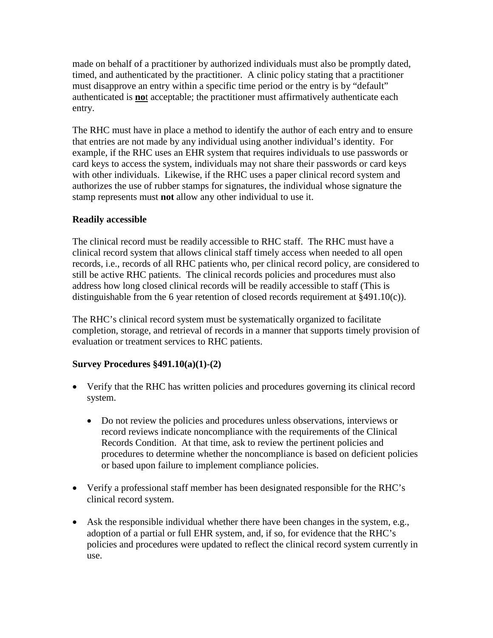made on behalf of a practitioner by authorized individuals must also be promptly dated, timed, and authenticated by the practitioner. A clinic policy stating that a practitioner must disapprove an entry within a specific time period or the entry is by "default" authenticated is **no**t acceptable; the practitioner must affirmatively authenticate each entry.

The RHC must have in place a method to identify the author of each entry and to ensure that entries are not made by any individual using another individual's identity. For example, if the RHC uses an EHR system that requires individuals to use passwords or card keys to access the system, individuals may not share their passwords or card keys with other individuals. Likewise, if the RHC uses a paper clinical record system and authorizes the use of rubber stamps for signatures, the individual whose signature the stamp represents must **not** allow any other individual to use it.

### **Readily accessible**

The clinical record must be readily accessible to RHC staff. The RHC must have a clinical record system that allows clinical staff timely access when needed to all open records, i.e., records of all RHC patients who, per clinical record policy, are considered to still be active RHC patients. The clinical records policies and procedures must also address how long closed clinical records will be readily accessible to staff (This is distinguishable from the 6 year retention of closed records requirement at §491.10(c)).

The RHC's clinical record system must be systematically organized to facilitate completion, storage, and retrieval of records in a manner that supports timely provision of evaluation or treatment services to RHC patients.

#### **Survey Procedures §491.10(a)(1)-(2)**

- Verify that the RHC has written policies and procedures governing its clinical record system.
	- Do not review the policies and procedures unless observations, interviews or record reviews indicate noncompliance with the requirements of the Clinical Records Condition. At that time, ask to review the pertinent policies and procedures to determine whether the noncompliance is based on deficient policies or based upon failure to implement compliance policies.
- Verify a professional staff member has been designated responsible for the RHC's clinical record system.
- Ask the responsible individual whether there have been changes in the system, e.g., adoption of a partial or full EHR system, and, if so, for evidence that the RHC's policies and procedures were updated to reflect the clinical record system currently in use.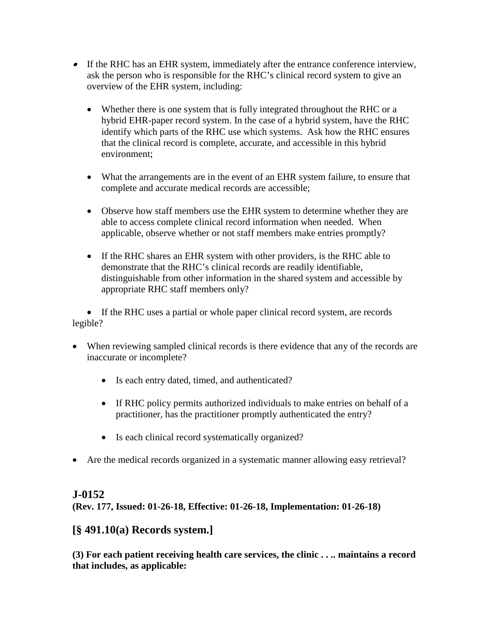- If the RHC has an EHR system, immediately after the entrance conference interview, ask the person who is responsible for the RHC's clinical record system to give an overview of the EHR system, including:
	- Whether there is one system that is fully integrated throughout the RHC or a hybrid EHR-paper record system. In the case of a hybrid system, have the RHC identify which parts of the RHC use which systems. Ask how the RHC ensures that the clinical record is complete, accurate, and accessible in this hybrid environment;
	- What the arrangements are in the event of an EHR system failure, to ensure that complete and accurate medical records are accessible;
	- Observe how staff members use the EHR system to determine whether they are able to access complete clinical record information when needed. When applicable, observe whether or not staff members make entries promptly?
	- If the RHC shares an EHR system with other providers, is the RHC able to demonstrate that the RHC's clinical records are readily identifiable, distinguishable from other information in the shared system and accessible by appropriate RHC staff members only?

• If the RHC uses a partial or whole paper clinical record system, are records legible?

- When reviewing sampled clinical records is there evidence that any of the records are inaccurate or incomplete?
	- Is each entry dated, timed, and authenticated?
	- If RHC policy permits authorized individuals to make entries on behalf of a practitioner, has the practitioner promptly authenticated the entry?
	- Is each clinical record systematically organized?
- Are the medical records organized in a systematic manner allowing easy retrieval?

## **J-0152**

**(Rev. 177, Issued: 01-26-18, Effective: 01-26-18, Implementation: 01-26-18)**

## **[§ 491.10(a) Records system.]**

**(3) For each patient receiving health care services, the clinic . . .. maintains a record that includes, as applicable:**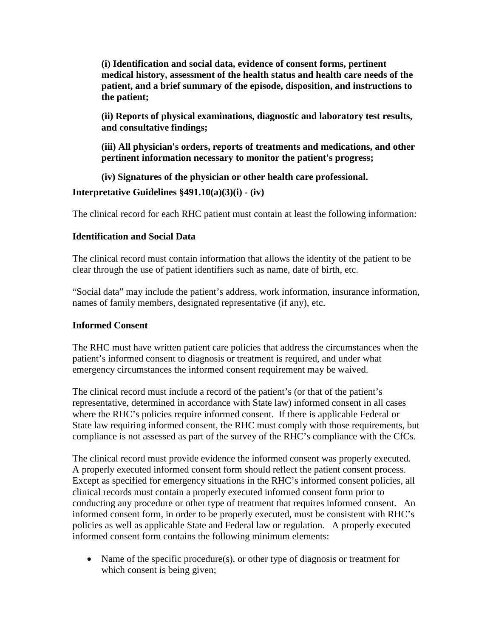**(i) Identification and social data, evidence of consent forms, pertinent medical history, assessment of the health status and health care needs of the patient, and a brief summary of the episode, disposition, and instructions to the patient;**

**(ii) Reports of physical examinations, diagnostic and laboratory test results, and consultative findings;**

**(iii) All physician's orders, reports of treatments and medications, and other pertinent information necessary to monitor the patient's progress;**

**(iv) Signatures of the physician or other health care professional.**

**Interpretative Guidelines §491.10(a)(3)(i) - (iv)**

The clinical record for each RHC patient must contain at least the following information:

## **Identification and Social Data**

The clinical record must contain information that allows the identity of the patient to be clear through the use of patient identifiers such as name, date of birth, etc.

"Social data" may include the patient's address, work information, insurance information, names of family members, designated representative (if any), etc.

## **Informed Consent**

The RHC must have written patient care policies that address the circumstances when the patient's informed consent to diagnosis or treatment is required, and under what emergency circumstances the informed consent requirement may be waived.

The clinical record must include a record of the patient's (or that of the patient's representative, determined in accordance with State law) informed consent in all cases where the RHC's policies require informed consent. If there is applicable Federal or State law requiring informed consent, the RHC must comply with those requirements, but compliance is not assessed as part of the survey of the RHC's compliance with the CfCs.

The clinical record must provide evidence the informed consent was properly executed. A properly executed informed consent form should reflect the patient consent process. Except as specified for emergency situations in the RHC's informed consent policies, all clinical records must contain a properly executed informed consent form prior to conducting any procedure or other type of treatment that requires informed consent. An informed consent form, in order to be properly executed, must be consistent with RHC's policies as well as applicable State and Federal law or regulation. A properly executed informed consent form contains the following minimum elements:

• Name of the specific procedure(s), or other type of diagnosis or treatment for which consent is being given;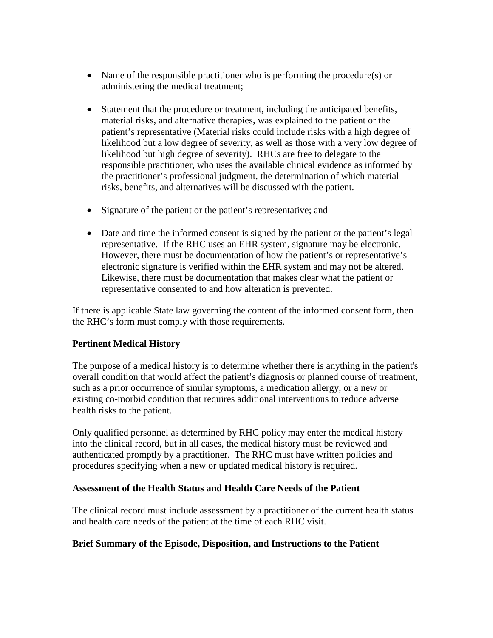- Name of the responsible practitioner who is performing the procedure(s) or administering the medical treatment;
- Statement that the procedure or treatment, including the anticipated benefits, material risks, and alternative therapies, was explained to the patient or the patient's representative (Material risks could include risks with a high degree of likelihood but a low degree of severity, as well as those with a very low degree of likelihood but high degree of severity). RHCs are free to delegate to the responsible practitioner, who uses the available clinical evidence as informed by the practitioner's professional judgment, the determination of which material risks, benefits, and alternatives will be discussed with the patient.
- Signature of the patient or the patient's representative; and
- Date and time the informed consent is signed by the patient or the patient's legal representative. If the RHC uses an EHR system, signature may be electronic. However, there must be documentation of how the patient's or representative's electronic signature is verified within the EHR system and may not be altered. Likewise, there must be documentation that makes clear what the patient or representative consented to and how alteration is prevented.

If there is applicable State law governing the content of the informed consent form, then the RHC's form must comply with those requirements.

#### **Pertinent Medical History**

The purpose of a medical history is to determine whether there is anything in the patient's overall condition that would affect the patient's diagnosis or planned course of treatment, such as a prior occurrence of similar symptoms, a medication allergy, or a new or existing co-morbid condition that requires additional interventions to reduce adverse health risks to the patient.

Only qualified personnel as determined by RHC policy may enter the medical history into the clinical record, but in all cases, the medical history must be reviewed and authenticated promptly by a practitioner. The RHC must have written policies and procedures specifying when a new or updated medical history is required.

#### **Assessment of the Health Status and Health Care Needs of the Patient**

The clinical record must include assessment by a practitioner of the current health status and health care needs of the patient at the time of each RHC visit.

#### **Brief Summary of the Episode, Disposition, and Instructions to the Patient**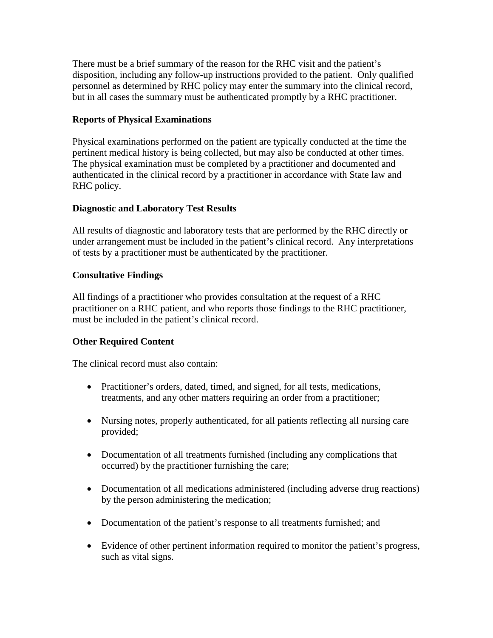There must be a brief summary of the reason for the RHC visit and the patient's disposition, including any follow-up instructions provided to the patient. Only qualified personnel as determined by RHC policy may enter the summary into the clinical record, but in all cases the summary must be authenticated promptly by a RHC practitioner.

#### **Reports of Physical Examinations**

Physical examinations performed on the patient are typically conducted at the time the pertinent medical history is being collected, but may also be conducted at other times. The physical examination must be completed by a practitioner and documented and authenticated in the clinical record by a practitioner in accordance with State law and RHC policy.

#### **Diagnostic and Laboratory Test Results**

All results of diagnostic and laboratory tests that are performed by the RHC directly or under arrangement must be included in the patient's clinical record. Any interpretations of tests by a practitioner must be authenticated by the practitioner.

#### **Consultative Findings**

All findings of a practitioner who provides consultation at the request of a RHC practitioner on a RHC patient, and who reports those findings to the RHC practitioner, must be included in the patient's clinical record.

#### **Other Required Content**

The clinical record must also contain:

- Practitioner's orders, dated, timed, and signed, for all tests, medications, treatments, and any other matters requiring an order from a practitioner;
- Nursing notes, properly authenticated, for all patients reflecting all nursing care provided;
- Documentation of all treatments furnished (including any complications that occurred) by the practitioner furnishing the care;
- Documentation of all medications administered (including adverse drug reactions) by the person administering the medication;
- Documentation of the patient's response to all treatments furnished; and
- Evidence of other pertinent information required to monitor the patient's progress, such as vital signs.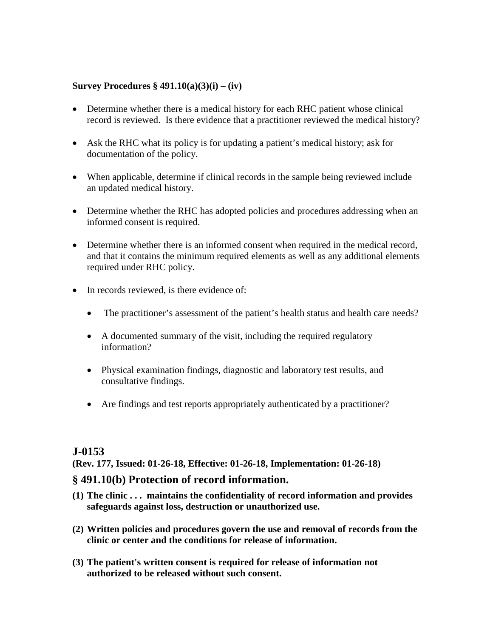#### **Survey Procedures § 491.10(a)(3)(i) – (iv)**

- Determine whether there is a medical history for each RHC patient whose clinical record is reviewed. Is there evidence that a practitioner reviewed the medical history?
- Ask the RHC what its policy is for updating a patient's medical history; ask for documentation of the policy.
- When applicable, determine if clinical records in the sample being reviewed include an updated medical history.
- Determine whether the RHC has adopted policies and procedures addressing when an informed consent is required.
- Determine whether there is an informed consent when required in the medical record, and that it contains the minimum required elements as well as any additional elements required under RHC policy.
- In records reviewed, is there evidence of:
	- The practitioner's assessment of the patient's health status and health care needs?
	- A documented summary of the visit, including the required regulatory information?
	- Physical examination findings, diagnostic and laboratory test results, and consultative findings.
	- Are findings and test reports appropriately authenticated by a practitioner?

## **J-0153**

**(Rev. 177, Issued: 01-26-18, Effective: 01-26-18, Implementation: 01-26-18)**

#### **§ 491.10(b) Protection of record information.**

- **(1) The clinic . . . maintains the confidentiality of record information and provides safeguards against loss, destruction or unauthorized use.**
- **(2) Written policies and procedures govern the use and removal of records from the clinic or center and the conditions for release of information.**
- **(3) The patient's written consent is required for release of information not authorized to be released without such consent.**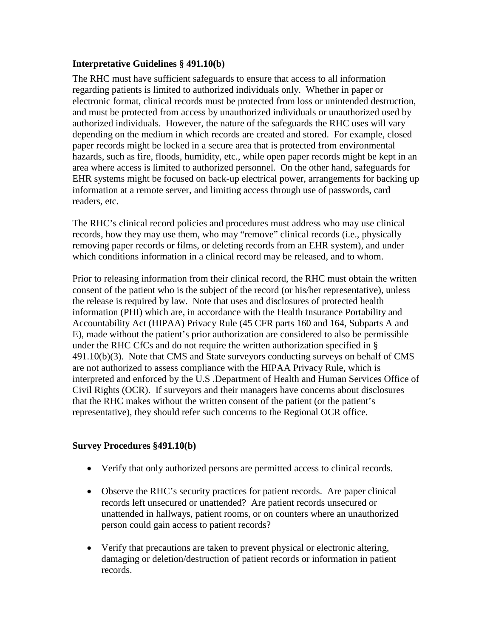#### **Interpretative Guidelines § 491.10(b)**

The RHC must have sufficient safeguards to ensure that access to all information regarding patients is limited to authorized individuals only. Whether in paper or electronic format, clinical records must be protected from loss or unintended destruction, and must be protected from access by unauthorized individuals or unauthorized used by authorized individuals. However, the nature of the safeguards the RHC uses will vary depending on the medium in which records are created and stored. For example, closed paper records might be locked in a secure area that is protected from environmental hazards, such as fire, floods, humidity, etc., while open paper records might be kept in an area where access is limited to authorized personnel. On the other hand, safeguards for EHR systems might be focused on back-up electrical power, arrangements for backing up information at a remote server, and limiting access through use of passwords, card readers, etc.

The RHC's clinical record policies and procedures must address who may use clinical records, how they may use them, who may "remove" clinical records (i.e., physically removing paper records or films, or deleting records from an EHR system), and under which conditions information in a clinical record may be released, and to whom.

Prior to releasing information from their clinical record, the RHC must obtain the written consent of the patient who is the subject of the record (or his/her representative), unless the release is required by law. Note that uses and disclosures of protected health information (PHI) which are, in accordance with the Health Insurance Portability and Accountability Act (HIPAA) Privacy Rule (45 CFR parts 160 and 164, Subparts A and E), made without the patient's prior authorization are considered to also be permissible under the RHC CfCs and do not require the written authorization specified in § 491.10(b)(3). Note that CMS and State surveyors conducting surveys on behalf of CMS are not authorized to assess compliance with the HIPAA Privacy Rule, which is interpreted and enforced by the U.S .Department of Health and Human Services Office of Civil Rights (OCR). If surveyors and their managers have concerns about disclosures that the RHC makes without the written consent of the patient (or the patient's representative), they should refer such concerns to the Regional OCR office.

#### **Survey Procedures §491.10(b)**

- Verify that only authorized persons are permitted access to clinical records.
- Observe the RHC's security practices for patient records. Are paper clinical records left unsecured or unattended? Are patient records unsecured or unattended in hallways, patient rooms, or on counters where an unauthorized person could gain access to patient records?
- Verify that precautions are taken to prevent physical or electronic altering, damaging or deletion/destruction of patient records or information in patient records.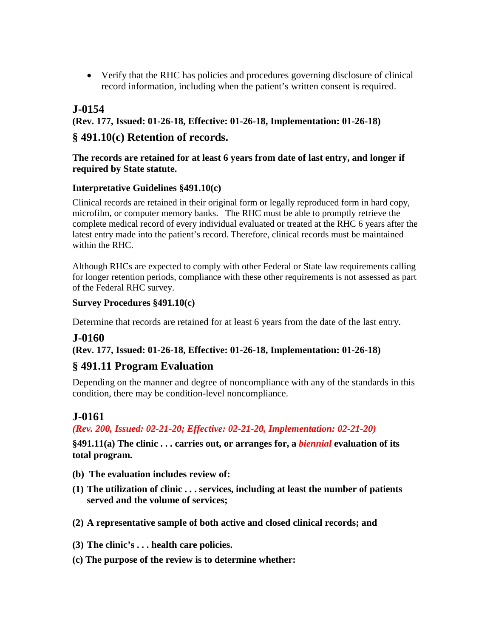• Verify that the RHC has policies and procedures governing disclosure of clinical record information, including when the patient's written consent is required.

# **J-0154**

**(Rev. 177, Issued: 01-26-18, Effective: 01-26-18, Implementation: 01-26-18)**

## **§ 491.10(c) Retention of records.**

#### **The records are retained for at least 6 years from date of last entry, and longer if required by State statute.**

#### **Interpretative Guidelines §491.10(c)**

Clinical records are retained in their original form or legally reproduced form in hard copy, microfilm, or computer memory banks. The RHC must be able to promptly retrieve the complete medical record of every individual evaluated or treated at the RHC 6 years after the latest entry made into the patient's record. Therefore, clinical records must be maintained within the RHC.

Although RHCs are expected to comply with other Federal or State law requirements calling for longer retention periods, compliance with these other requirements is not assessed as part of the Federal RHC survey.

#### **Survey Procedures §491.10(c)**

Determine that records are retained for at least 6 years from the date of the last entry.

#### **J-0160**

**(Rev. 177, Issued: 01-26-18, Effective: 01-26-18, Implementation: 01-26-18)**

## **§ 491.11 Program Evaluation**

Depending on the manner and degree of noncompliance with any of the standards in this condition, there may be condition-level noncompliance.

## **J-0161**

*(Rev. 200, Issued: 02-21-20; Effective: 02-21-20, Implementation: 02-21-20)*

**§491.11(a) The clinic . . . carries out, or arranges for, a** *biennial* **evaluation of its total program.**

- **(b) The evaluation includes review of:**
- **(1) The utilization of clinic . . . services, including at least the number of patients served and the volume of services;**
- **(2) A representative sample of both active and closed clinical records; and**
- **(3) The clinic's . . . health care policies.**
- **(c) The purpose of the review is to determine whether:**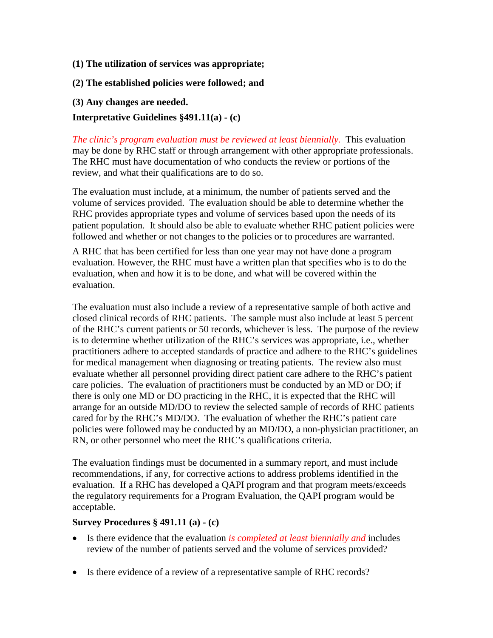- **(1) The utilization of services was appropriate;**
- **(2) The established policies were followed; and**
- **(3) Any changes are needed.**

#### **Interpretative Guidelines §491.11(a) - (c)**

*The clinic's program evaluation must be reviewed at least biennially.* This evaluation may be done by RHC staff or through arrangement with other appropriate professionals. The RHC must have documentation of who conducts the review or portions of the review, and what their qualifications are to do so.

The evaluation must include, at a minimum, the number of patients served and the volume of services provided. The evaluation should be able to determine whether the RHC provides appropriate types and volume of services based upon the needs of its patient population. It should also be able to evaluate whether RHC patient policies were followed and whether or not changes to the policies or to procedures are warranted.

A RHC that has been certified for less than one year may not have done a program evaluation. However, the RHC must have a written plan that specifies who is to do the evaluation, when and how it is to be done, and what will be covered within the evaluation.

The evaluation must also include a review of a representative sample of both active and closed clinical records of RHC patients. The sample must also include at least 5 percent of the RHC's current patients or 50 records, whichever is less. The purpose of the review is to determine whether utilization of the RHC's services was appropriate, i.e., whether practitioners adhere to accepted standards of practice and adhere to the RHC's guidelines for medical management when diagnosing or treating patients. The review also must evaluate whether all personnel providing direct patient care adhere to the RHC's patient care policies. The evaluation of practitioners must be conducted by an MD or DO; if there is only one MD or DO practicing in the RHC, it is expected that the RHC will arrange for an outside MD/DO to review the selected sample of records of RHC patients cared for by the RHC's MD/DO. The evaluation of whether the RHC's patient care policies were followed may be conducted by an MD/DO, a non-physician practitioner, an RN, or other personnel who meet the RHC's qualifications criteria.

The evaluation findings must be documented in a summary report, and must include recommendations, if any, for corrective actions to address problems identified in the evaluation. If a RHC has developed a QAPI program and that program meets/exceeds the regulatory requirements for a Program Evaluation, the QAPI program would be acceptable.

#### **Survey Procedures § 491.11 (a) - (c)**

- Is there evidence that the evaluation *is completed at least biennially and* includes review of the number of patients served and the volume of services provided?
- Is there evidence of a review of a representative sample of RHC records?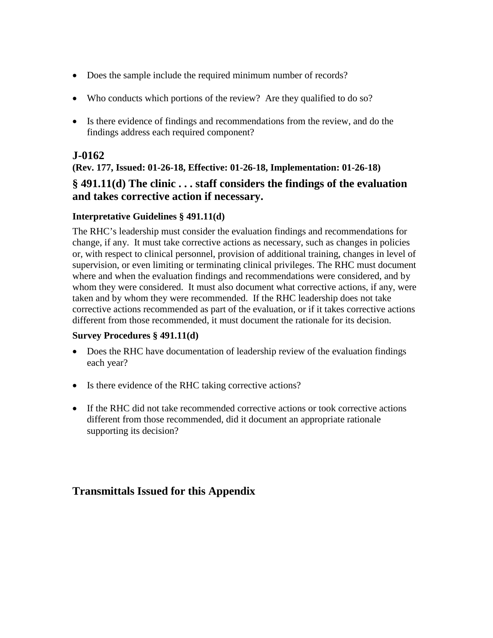- Does the sample include the required minimum number of records?
- Who conducts which portions of the review? Are they qualified to do so?
- Is there evidence of findings and recommendations from the review, and do the findings address each required component?

## **J-0162**

**(Rev. 177, Issued: 01-26-18, Effective: 01-26-18, Implementation: 01-26-18) § 491.11(d) The clinic . . . staff considers the findings of the evaluation and takes corrective action if necessary.**

### **Interpretative Guidelines § 491.11(d)**

The RHC's leadership must consider the evaluation findings and recommendations for change, if any. It must take corrective actions as necessary, such as changes in policies or, with respect to clinical personnel, provision of additional training, changes in level of supervision, or even limiting or terminating clinical privileges. The RHC must document where and when the evaluation findings and recommendations were considered, and by whom they were considered. It must also document what corrective actions, if any, were taken and by whom they were recommended. If the RHC leadership does not take corrective actions recommended as part of the evaluation, or if it takes corrective actions different from those recommended, it must document the rationale for its decision.

#### **Survey Procedures § 491.11(d)**

- Does the RHC have documentation of leadership review of the evaluation findings each year?
- Is there evidence of the RHC taking corrective actions?
- If the RHC did not take recommended corrective actions or took corrective actions different from those recommended, did it document an appropriate rationale supporting its decision?

# **Transmittals Issued for this Appendix**